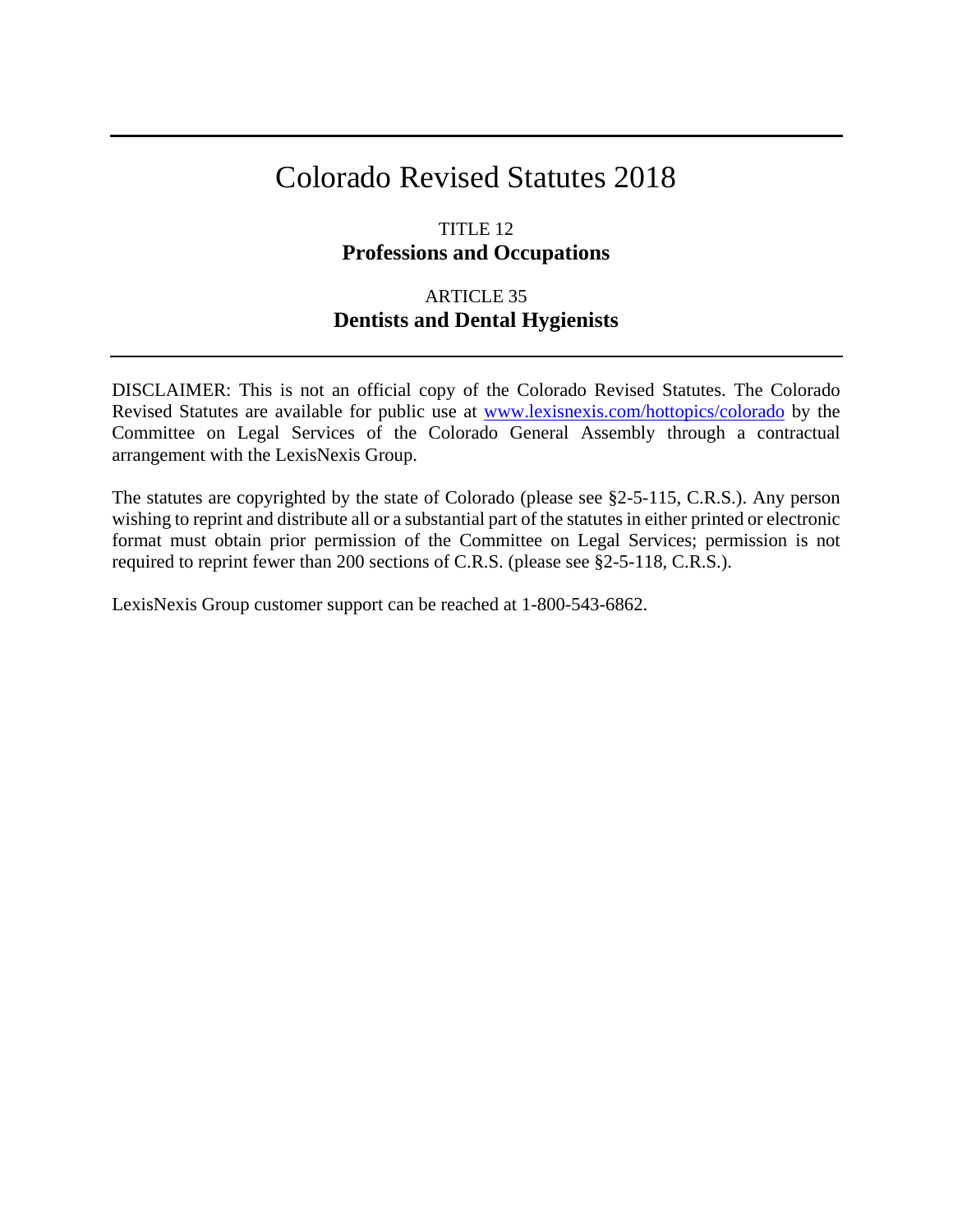# Colorado Revised Statutes 2018

# TITLE 12 **Professions and Occupations**

# ARTICLE 35 **Dentists and Dental Hygienists**

DISCLAIMER: This is not an official copy of the Colorado Revised Statutes. The Colorado Revised Statutes are available for public use at [www.lexisnexis.com/hottopics/colorado](http://www.lexisnexis.com/hottopics/colorado) by the Committee on Legal Services of the Colorado General Assembly through a contractual arrangement with the LexisNexis Group.

The statutes are copyrighted by the state of Colorado (please see §2-5-115, C.R.S.). Any person wishing to reprint and distribute all or a substantial part of the statutes in either printed or electronic format must obtain prior permission of the Committee on Legal Services; permission is not required to reprint fewer than 200 sections of C.R.S. (please see §2-5-118, C.R.S.).

LexisNexis Group customer support can be reached at 1-800-543-6862.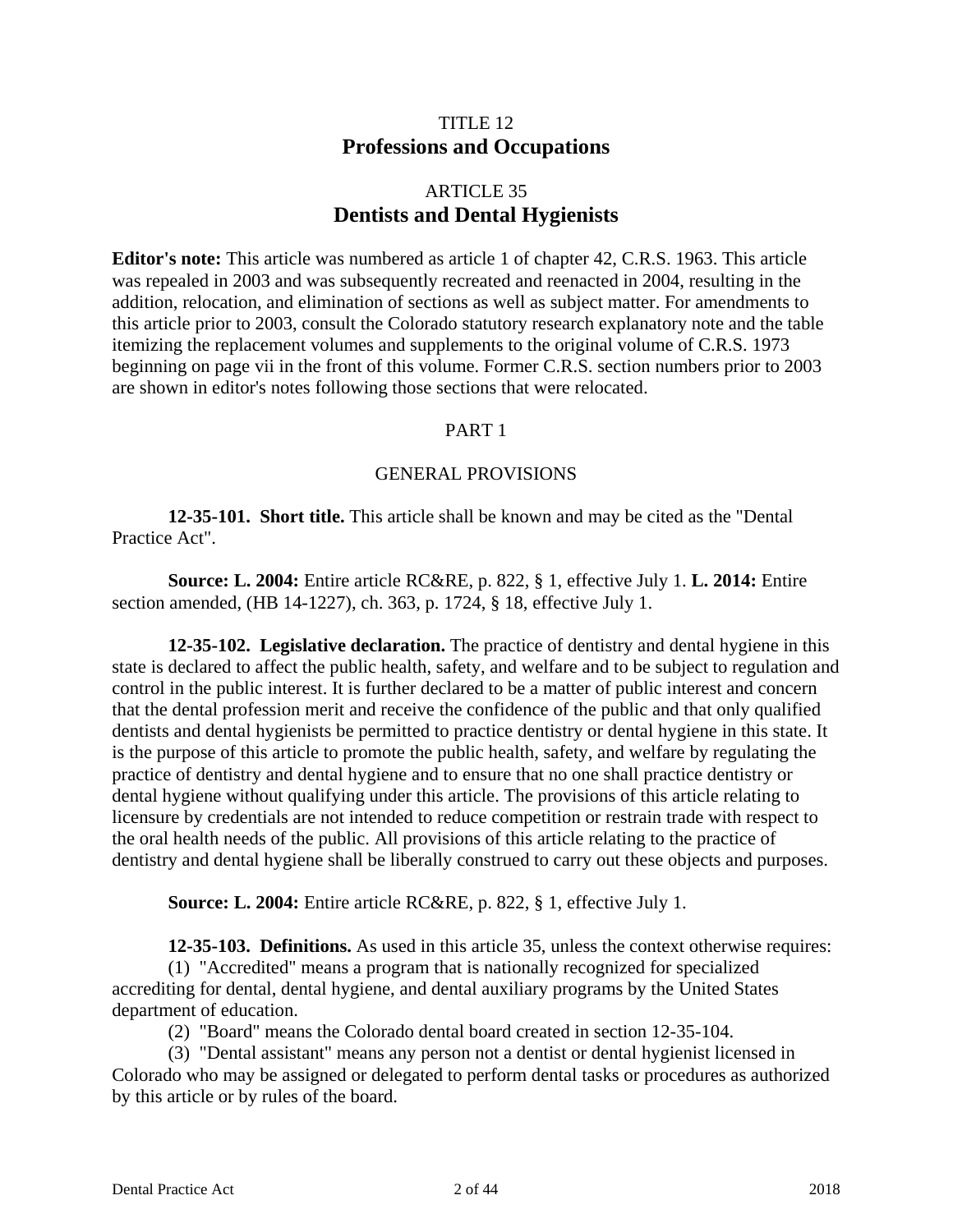# TITLE 12 **Professions and Occupations**

# ARTICLE 35 **Dentists and Dental Hygienists**

**Editor's note:** This article was numbered as article 1 of chapter 42, C.R.S. 1963. This article was repealed in 2003 and was subsequently recreated and reenacted in 2004, resulting in the addition, relocation, and elimination of sections as well as subject matter. For amendments to this article prior to 2003, consult the Colorado statutory research explanatory note and the table itemizing the replacement volumes and supplements to the original volume of C.R.S. 1973 beginning on page vii in the front of this volume. Former C.R.S. section numbers prior to 2003 are shown in editor's notes following those sections that were relocated.

### PART 1

### GENERAL PROVISIONS

**12-35-101. Short title.** This article shall be known and may be cited as the "Dental Practice Act".

**Source: L. 2004:** Entire article RC&RE, p. 822, § 1, effective July 1. **L. 2014:** Entire section amended, (HB 14-1227), ch. 363, p. 1724, § 18, effective July 1.

**12-35-102. Legislative declaration.** The practice of dentistry and dental hygiene in this state is declared to affect the public health, safety, and welfare and to be subject to regulation and control in the public interest. It is further declared to be a matter of public interest and concern that the dental profession merit and receive the confidence of the public and that only qualified dentists and dental hygienists be permitted to practice dentistry or dental hygiene in this state. It is the purpose of this article to promote the public health, safety, and welfare by regulating the practice of dentistry and dental hygiene and to ensure that no one shall practice dentistry or dental hygiene without qualifying under this article. The provisions of this article relating to licensure by credentials are not intended to reduce competition or restrain trade with respect to the oral health needs of the public. All provisions of this article relating to the practice of dentistry and dental hygiene shall be liberally construed to carry out these objects and purposes.

**Source: L. 2004:** Entire article RC&RE, p. 822, § 1, effective July 1.

**12-35-103. Definitions.** As used in this article 35, unless the context otherwise requires:

(1) "Accredited" means a program that is nationally recognized for specialized accrediting for dental, dental hygiene, and dental auxiliary programs by the United States department of education.

(2) "Board" means the Colorado dental board created in section 12-35-104.

(3) "Dental assistant" means any person not a dentist or dental hygienist licensed in Colorado who may be assigned or delegated to perform dental tasks or procedures as authorized by this article or by rules of the board.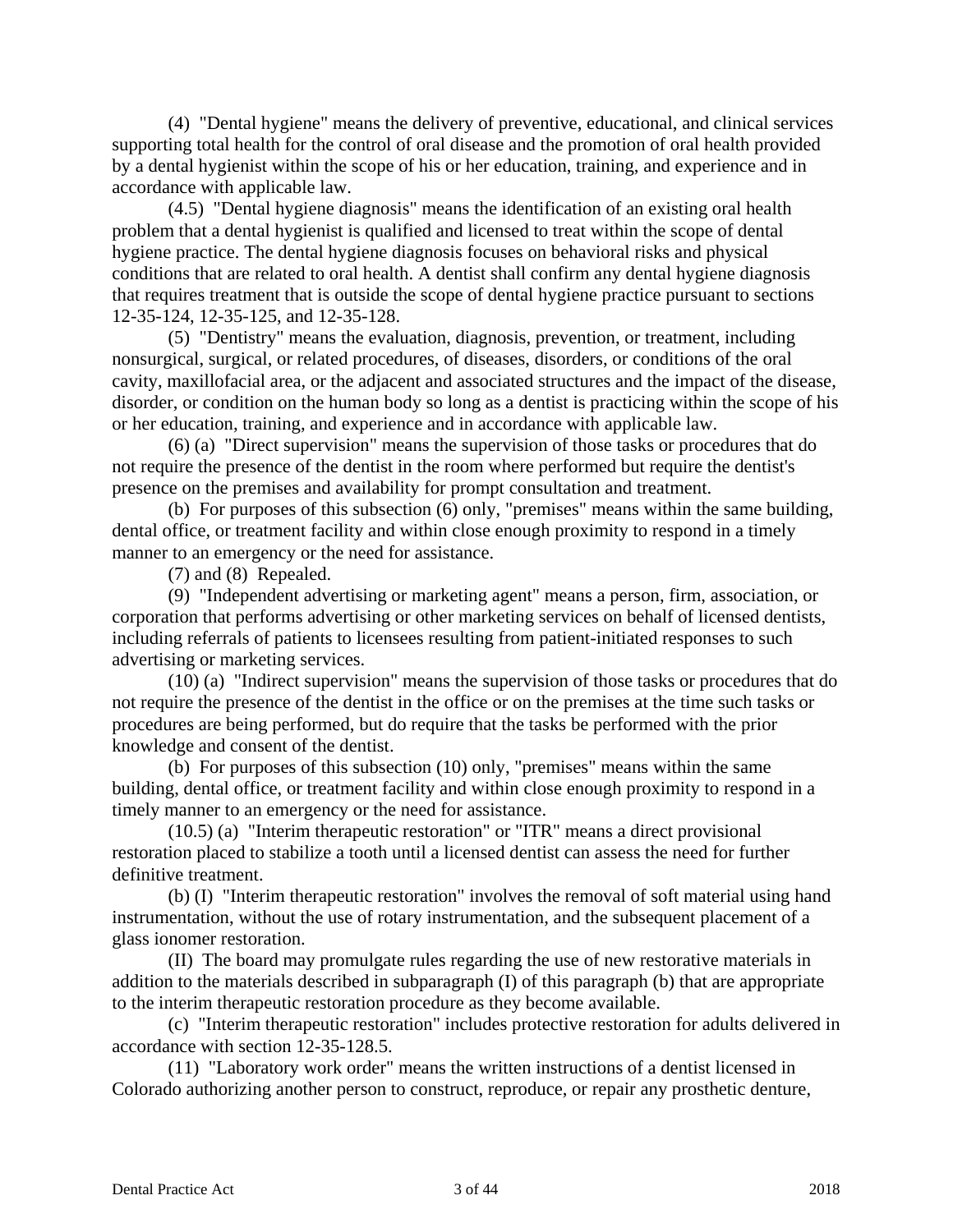(4) "Dental hygiene" means the delivery of preventive, educational, and clinical services supporting total health for the control of oral disease and the promotion of oral health provided by a dental hygienist within the scope of his or her education, training, and experience and in accordance with applicable law.

(4.5) "Dental hygiene diagnosis" means the identification of an existing oral health problem that a dental hygienist is qualified and licensed to treat within the scope of dental hygiene practice. The dental hygiene diagnosis focuses on behavioral risks and physical conditions that are related to oral health. A dentist shall confirm any dental hygiene diagnosis that requires treatment that is outside the scope of dental hygiene practice pursuant to sections 12-35-124, 12-35-125, and 12-35-128.

(5) "Dentistry" means the evaluation, diagnosis, prevention, or treatment, including nonsurgical, surgical, or related procedures, of diseases, disorders, or conditions of the oral cavity, maxillofacial area, or the adjacent and associated structures and the impact of the disease, disorder, or condition on the human body so long as a dentist is practicing within the scope of his or her education, training, and experience and in accordance with applicable law.

(6) (a) "Direct supervision" means the supervision of those tasks or procedures that do not require the presence of the dentist in the room where performed but require the dentist's presence on the premises and availability for prompt consultation and treatment.

(b) For purposes of this subsection (6) only, "premises" means within the same building, dental office, or treatment facility and within close enough proximity to respond in a timely manner to an emergency or the need for assistance.

(7) and (8) Repealed.

(9) "Independent advertising or marketing agent" means a person, firm, association, or corporation that performs advertising or other marketing services on behalf of licensed dentists, including referrals of patients to licensees resulting from patient-initiated responses to such advertising or marketing services.

(10) (a) "Indirect supervision" means the supervision of those tasks or procedures that do not require the presence of the dentist in the office or on the premises at the time such tasks or procedures are being performed, but do require that the tasks be performed with the prior knowledge and consent of the dentist.

(b) For purposes of this subsection (10) only, "premises" means within the same building, dental office, or treatment facility and within close enough proximity to respond in a timely manner to an emergency or the need for assistance.

(10.5) (a) "Interim therapeutic restoration" or "ITR" means a direct provisional restoration placed to stabilize a tooth until a licensed dentist can assess the need for further definitive treatment.

(b) (I) "Interim therapeutic restoration" involves the removal of soft material using hand instrumentation, without the use of rotary instrumentation, and the subsequent placement of a glass ionomer restoration.

(II) The board may promulgate rules regarding the use of new restorative materials in addition to the materials described in subparagraph (I) of this paragraph (b) that are appropriate to the interim therapeutic restoration procedure as they become available.

(c) "Interim therapeutic restoration" includes protective restoration for adults delivered in accordance with section 12-35-128.5.

(11) "Laboratory work order" means the written instructions of a dentist licensed in Colorado authorizing another person to construct, reproduce, or repair any prosthetic denture,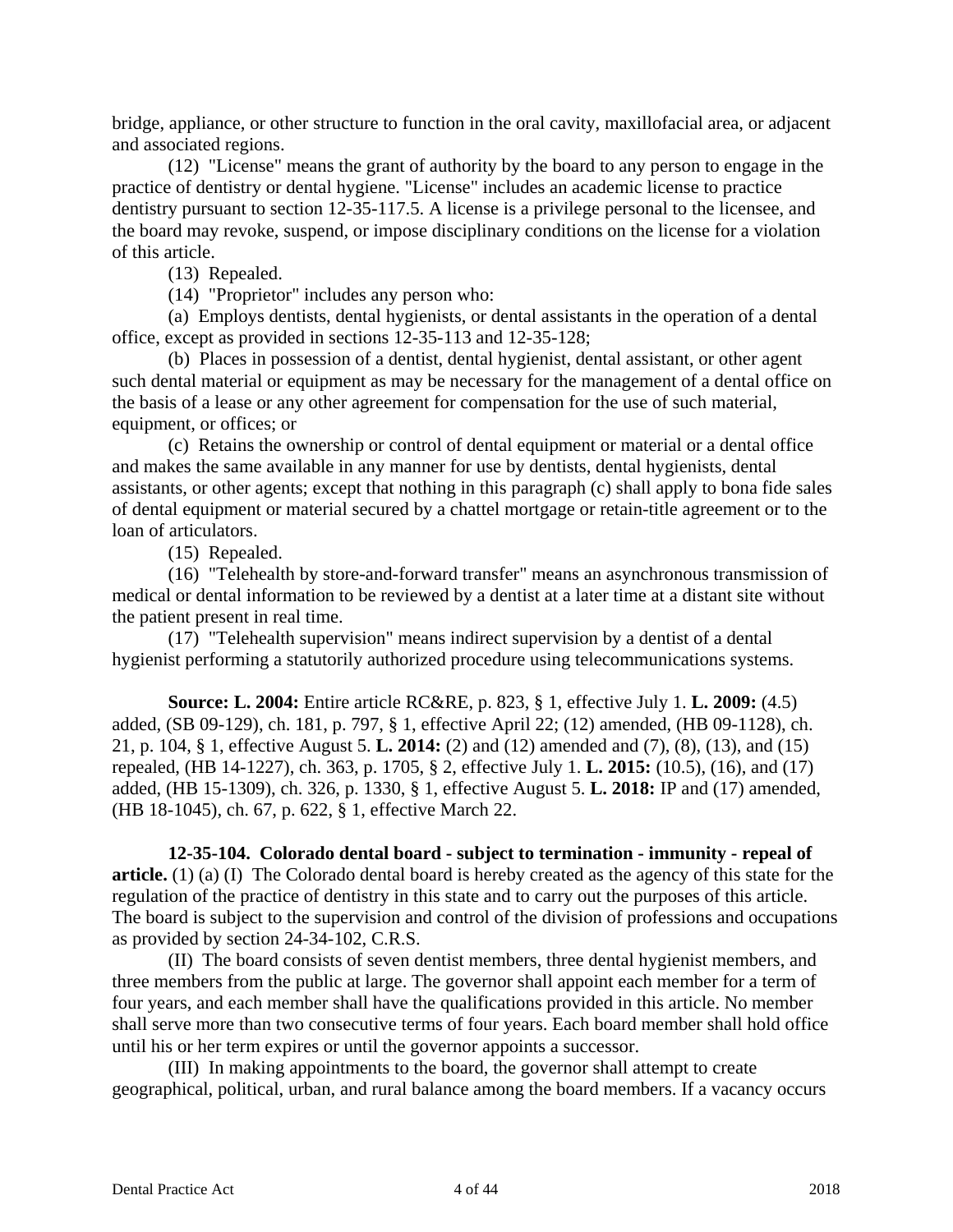bridge, appliance, or other structure to function in the oral cavity, maxillofacial area, or adjacent and associated regions.

(12) "License" means the grant of authority by the board to any person to engage in the practice of dentistry or dental hygiene. "License" includes an academic license to practice dentistry pursuant to section 12-35-117.5. A license is a privilege personal to the licensee, and the board may revoke, suspend, or impose disciplinary conditions on the license for a violation of this article.

(13) Repealed.

(14) "Proprietor" includes any person who:

(a) Employs dentists, dental hygienists, or dental assistants in the operation of a dental office, except as provided in sections 12-35-113 and 12-35-128;

(b) Places in possession of a dentist, dental hygienist, dental assistant, or other agent such dental material or equipment as may be necessary for the management of a dental office on the basis of a lease or any other agreement for compensation for the use of such material, equipment, or offices; or

(c) Retains the ownership or control of dental equipment or material or a dental office and makes the same available in any manner for use by dentists, dental hygienists, dental assistants, or other agents; except that nothing in this paragraph (c) shall apply to bona fide sales of dental equipment or material secured by a chattel mortgage or retain-title agreement or to the loan of articulators.

(15) Repealed.

(16) "Telehealth by store-and-forward transfer" means an asynchronous transmission of medical or dental information to be reviewed by a dentist at a later time at a distant site without the patient present in real time.

(17) "Telehealth supervision" means indirect supervision by a dentist of a dental hygienist performing a statutorily authorized procedure using telecommunications systems.

**Source: L. 2004:** Entire article RC&RE, p. 823, § 1, effective July 1. **L. 2009:** (4.5) added, (SB 09-129), ch. 181, p. 797, § 1, effective April 22; (12) amended, (HB 09-1128), ch. 21, p. 104, § 1, effective August 5. **L. 2014:** (2) and (12) amended and (7), (8), (13), and (15) repealed, (HB 14-1227), ch. 363, p. 1705, § 2, effective July 1. **L. 2015:** (10.5), (16), and (17) added, (HB 15-1309), ch. 326, p. 1330, § 1, effective August 5. **L. 2018:** IP and (17) amended, (HB 18-1045), ch. 67, p. 622, § 1, effective March 22.

**12-35-104. Colorado dental board - subject to termination - immunity - repeal of article.** (1) (a) (I) The Colorado dental board is hereby created as the agency of this state for the regulation of the practice of dentistry in this state and to carry out the purposes of this article. The board is subject to the supervision and control of the division of professions and occupations as provided by section 24-34-102, C.R.S.

(II) The board consists of seven dentist members, three dental hygienist members, and three members from the public at large. The governor shall appoint each member for a term of four years, and each member shall have the qualifications provided in this article. No member shall serve more than two consecutive terms of four years. Each board member shall hold office until his or her term expires or until the governor appoints a successor.

(III) In making appointments to the board, the governor shall attempt to create geographical, political, urban, and rural balance among the board members. If a vacancy occurs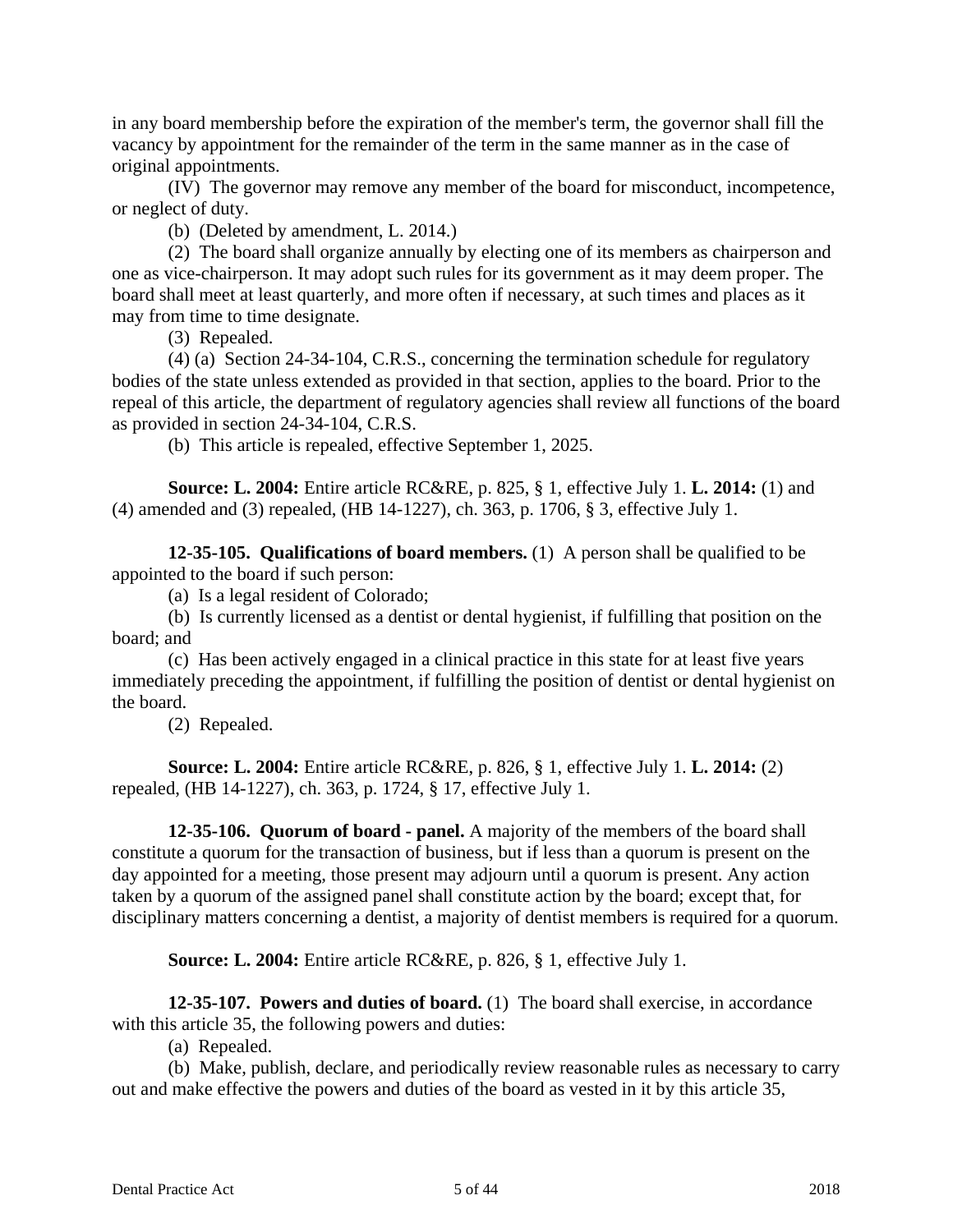in any board membership before the expiration of the member's term, the governor shall fill the vacancy by appointment for the remainder of the term in the same manner as in the case of original appointments.

(IV) The governor may remove any member of the board for misconduct, incompetence, or neglect of duty.

(b) (Deleted by amendment, L. 2014.)

(2) The board shall organize annually by electing one of its members as chairperson and one as vice-chairperson. It may adopt such rules for its government as it may deem proper. The board shall meet at least quarterly, and more often if necessary, at such times and places as it may from time to time designate.

(3) Repealed.

(4) (a) Section 24-34-104, C.R.S., concerning the termination schedule for regulatory bodies of the state unless extended as provided in that section, applies to the board. Prior to the repeal of this article, the department of regulatory agencies shall review all functions of the board as provided in section 24-34-104, C.R.S.

(b) This article is repealed, effective September 1, 2025.

**Source: L. 2004:** Entire article RC&RE, p. 825, § 1, effective July 1. **L. 2014:** (1) and (4) amended and (3) repealed, (HB 14-1227), ch. 363, p. 1706, § 3, effective July 1.

**12-35-105. Qualifications of board members.** (1) A person shall be qualified to be appointed to the board if such person:

(a) Is a legal resident of Colorado;

(b) Is currently licensed as a dentist or dental hygienist, if fulfilling that position on the board; and

(c) Has been actively engaged in a clinical practice in this state for at least five years immediately preceding the appointment, if fulfilling the position of dentist or dental hygienist on the board.

(2) Repealed.

**Source: L. 2004:** Entire article RC&RE, p. 826, § 1, effective July 1. **L. 2014:** (2) repealed, (HB 14-1227), ch. 363, p. 1724, § 17, effective July 1.

**12-35-106. Quorum of board - panel.** A majority of the members of the board shall constitute a quorum for the transaction of business, but if less than a quorum is present on the day appointed for a meeting, those present may adjourn until a quorum is present. Any action taken by a quorum of the assigned panel shall constitute action by the board; except that, for disciplinary matters concerning a dentist, a majority of dentist members is required for a quorum.

**Source: L. 2004:** Entire article RC&RE, p. 826, § 1, effective July 1.

**12-35-107. Powers and duties of board.** (1) The board shall exercise, in accordance with this article 35, the following powers and duties:

(a) Repealed.

(b) Make, publish, declare, and periodically review reasonable rules as necessary to carry out and make effective the powers and duties of the board as vested in it by this article 35,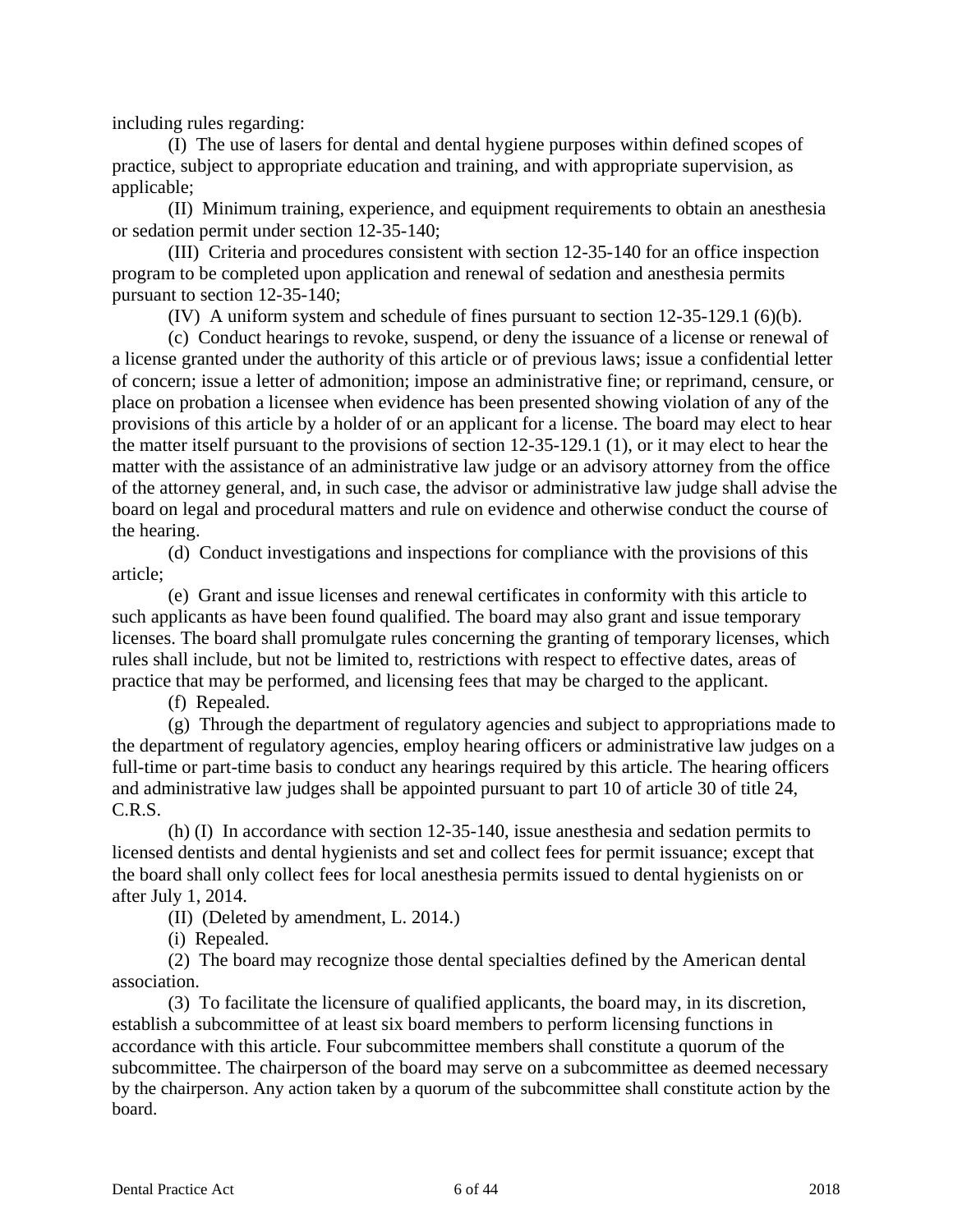including rules regarding:

(I) The use of lasers for dental and dental hygiene purposes within defined scopes of practice, subject to appropriate education and training, and with appropriate supervision, as applicable;

(II) Minimum training, experience, and equipment requirements to obtain an anesthesia or sedation permit under section 12-35-140;

(III) Criteria and procedures consistent with section 12-35-140 for an office inspection program to be completed upon application and renewal of sedation and anesthesia permits pursuant to section 12-35-140;

(IV) A uniform system and schedule of fines pursuant to section 12-35-129.1 (6)(b).

(c) Conduct hearings to revoke, suspend, or deny the issuance of a license or renewal of a license granted under the authority of this article or of previous laws; issue a confidential letter of concern; issue a letter of admonition; impose an administrative fine; or reprimand, censure, or place on probation a licensee when evidence has been presented showing violation of any of the provisions of this article by a holder of or an applicant for a license. The board may elect to hear the matter itself pursuant to the provisions of section 12-35-129.1 (1), or it may elect to hear the matter with the assistance of an administrative law judge or an advisory attorney from the office of the attorney general, and, in such case, the advisor or administrative law judge shall advise the board on legal and procedural matters and rule on evidence and otherwise conduct the course of the hearing.

(d) Conduct investigations and inspections for compliance with the provisions of this article;

(e) Grant and issue licenses and renewal certificates in conformity with this article to such applicants as have been found qualified. The board may also grant and issue temporary licenses. The board shall promulgate rules concerning the granting of temporary licenses, which rules shall include, but not be limited to, restrictions with respect to effective dates, areas of practice that may be performed, and licensing fees that may be charged to the applicant.

(f) Repealed.

(g) Through the department of regulatory agencies and subject to appropriations made to the department of regulatory agencies, employ hearing officers or administrative law judges on a full-time or part-time basis to conduct any hearings required by this article. The hearing officers and administrative law judges shall be appointed pursuant to part 10 of article 30 of title 24, C.R.S.

(h) (I) In accordance with section 12-35-140, issue anesthesia and sedation permits to licensed dentists and dental hygienists and set and collect fees for permit issuance; except that the board shall only collect fees for local anesthesia permits issued to dental hygienists on or after July 1, 2014.

(II) (Deleted by amendment, L. 2014.)

(i) Repealed.

(2) The board may recognize those dental specialties defined by the American dental association.

(3) To facilitate the licensure of qualified applicants, the board may, in its discretion, establish a subcommittee of at least six board members to perform licensing functions in accordance with this article. Four subcommittee members shall constitute a quorum of the subcommittee. The chairperson of the board may serve on a subcommittee as deemed necessary by the chairperson. Any action taken by a quorum of the subcommittee shall constitute action by the board.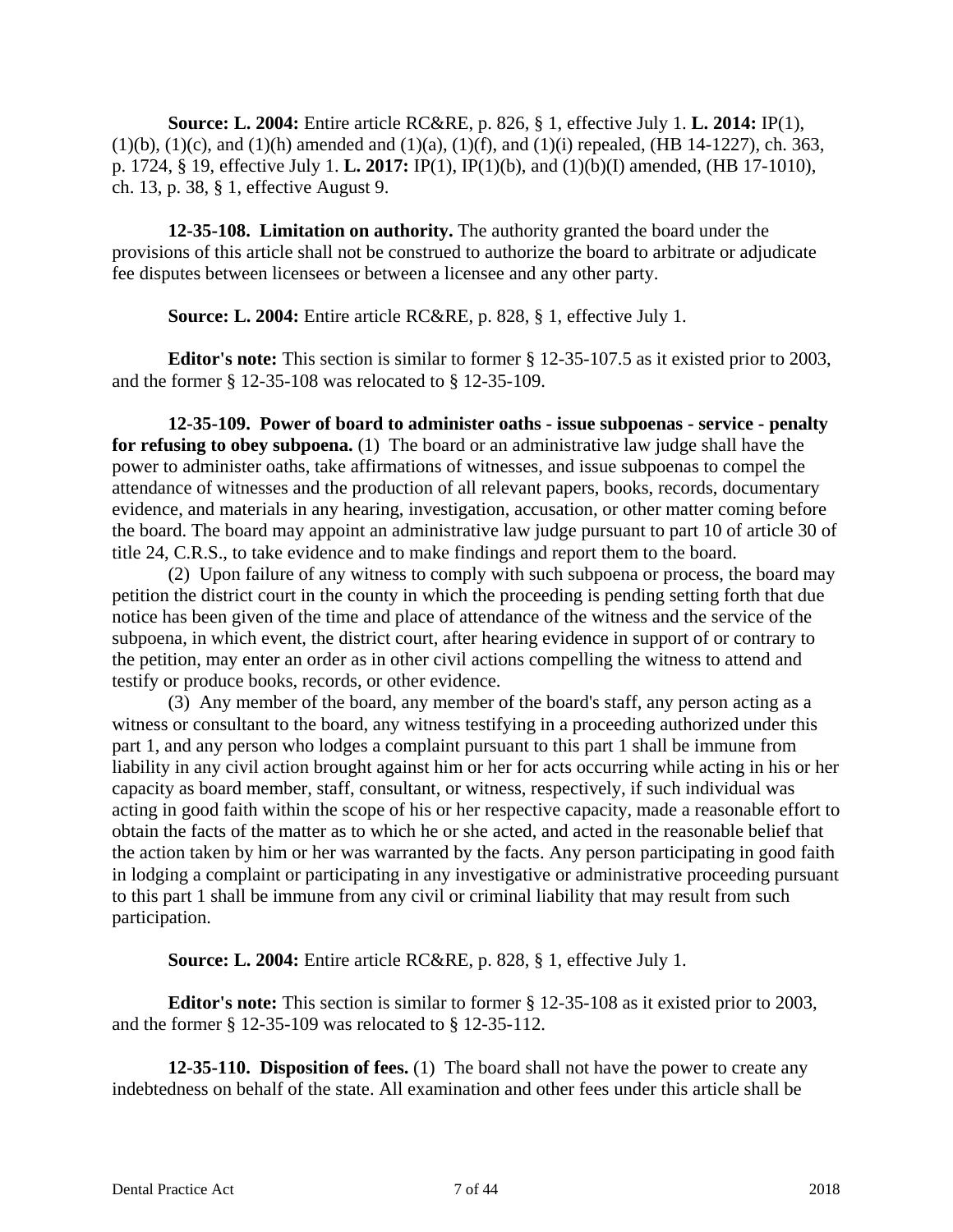**Source: L. 2004:** Entire article RC&RE, p. 826, § 1, effective July 1. **L. 2014:** IP(1),  $(1)(b)$ ,  $(1)(c)$ , and  $(1)(h)$  amended and  $(1)(a)$ ,  $(1)(f)$ , and  $(1)(i)$  repealed, (HB 14-1227), ch. 363, p. 1724, § 19, effective July 1. **L. 2017:** IP(1), IP(1)(b), and (1)(b)(I) amended, (HB 17-1010), ch. 13, p. 38, § 1, effective August 9.

**12-35-108. Limitation on authority.** The authority granted the board under the provisions of this article shall not be construed to authorize the board to arbitrate or adjudicate fee disputes between licensees or between a licensee and any other party.

**Source: L. 2004:** Entire article RC&RE, p. 828, § 1, effective July 1.

**Editor's note:** This section is similar to former § 12-35-107.5 as it existed prior to 2003, and the former § 12-35-108 was relocated to § 12-35-109.

**12-35-109. Power of board to administer oaths - issue subpoenas - service - penalty for refusing to obey subpoena.** (1) The board or an administrative law judge shall have the power to administer oaths, take affirmations of witnesses, and issue subpoenas to compel the attendance of witnesses and the production of all relevant papers, books, records, documentary evidence, and materials in any hearing, investigation, accusation, or other matter coming before the board. The board may appoint an administrative law judge pursuant to part 10 of article 30 of title 24, C.R.S., to take evidence and to make findings and report them to the board.

(2) Upon failure of any witness to comply with such subpoena or process, the board may petition the district court in the county in which the proceeding is pending setting forth that due notice has been given of the time and place of attendance of the witness and the service of the subpoena, in which event, the district court, after hearing evidence in support of or contrary to the petition, may enter an order as in other civil actions compelling the witness to attend and testify or produce books, records, or other evidence.

(3) Any member of the board, any member of the board's staff, any person acting as a witness or consultant to the board, any witness testifying in a proceeding authorized under this part 1, and any person who lodges a complaint pursuant to this part 1 shall be immune from liability in any civil action brought against him or her for acts occurring while acting in his or her capacity as board member, staff, consultant, or witness, respectively, if such individual was acting in good faith within the scope of his or her respective capacity, made a reasonable effort to obtain the facts of the matter as to which he or she acted, and acted in the reasonable belief that the action taken by him or her was warranted by the facts. Any person participating in good faith in lodging a complaint or participating in any investigative or administrative proceeding pursuant to this part 1 shall be immune from any civil or criminal liability that may result from such participation.

**Source: L. 2004:** Entire article RC&RE, p. 828, § 1, effective July 1.

**Editor's note:** This section is similar to former § 12-35-108 as it existed prior to 2003, and the former § 12-35-109 was relocated to § 12-35-112.

**12-35-110. Disposition of fees.** (1) The board shall not have the power to create any indebtedness on behalf of the state. All examination and other fees under this article shall be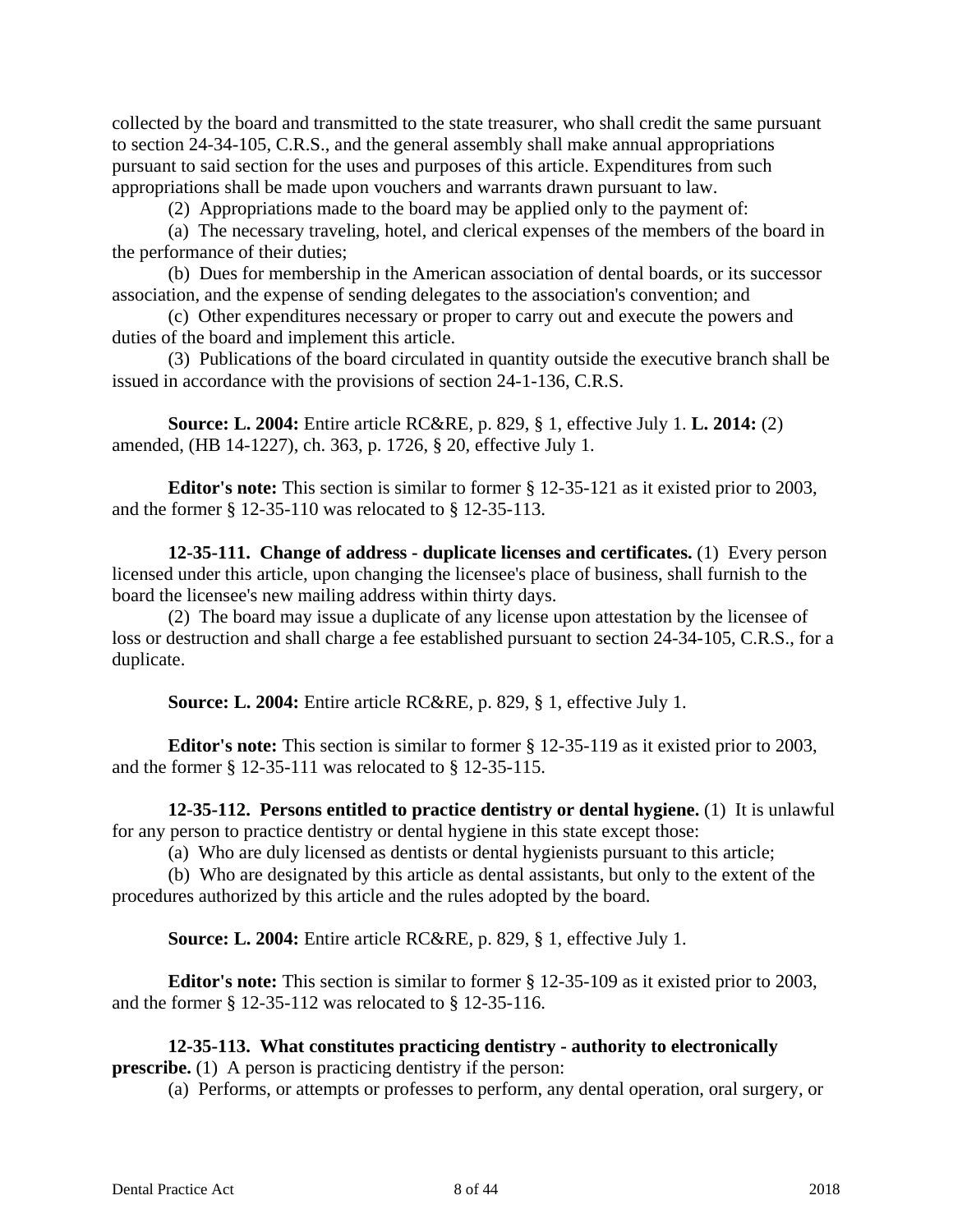collected by the board and transmitted to the state treasurer, who shall credit the same pursuant to section 24-34-105, C.R.S., and the general assembly shall make annual appropriations pursuant to said section for the uses and purposes of this article. Expenditures from such appropriations shall be made upon vouchers and warrants drawn pursuant to law.

(2) Appropriations made to the board may be applied only to the payment of:

(a) The necessary traveling, hotel, and clerical expenses of the members of the board in the performance of their duties;

(b) Dues for membership in the American association of dental boards, or its successor association, and the expense of sending delegates to the association's convention; and

(c) Other expenditures necessary or proper to carry out and execute the powers and duties of the board and implement this article.

(3) Publications of the board circulated in quantity outside the executive branch shall be issued in accordance with the provisions of section 24-1-136, C.R.S.

**Source: L. 2004:** Entire article RC&RE, p. 829, § 1, effective July 1. **L. 2014:** (2) amended, (HB 14-1227), ch. 363, p. 1726, § 20, effective July 1.

**Editor's note:** This section is similar to former § 12-35-121 as it existed prior to 2003, and the former § 12-35-110 was relocated to § 12-35-113.

**12-35-111. Change of address - duplicate licenses and certificates.** (1) Every person licensed under this article, upon changing the licensee's place of business, shall furnish to the board the licensee's new mailing address within thirty days.

(2) The board may issue a duplicate of any license upon attestation by the licensee of loss or destruction and shall charge a fee established pursuant to section 24-34-105, C.R.S., for a duplicate.

**Source: L. 2004:** Entire article RC&RE, p. 829, § 1, effective July 1.

**Editor's note:** This section is similar to former § 12-35-119 as it existed prior to 2003, and the former § 12-35-111 was relocated to § 12-35-115.

**12-35-112. Persons entitled to practice dentistry or dental hygiene.** (1) It is unlawful for any person to practice dentistry or dental hygiene in this state except those:

(a) Who are duly licensed as dentists or dental hygienists pursuant to this article;

(b) Who are designated by this article as dental assistants, but only to the extent of the procedures authorized by this article and the rules adopted by the board.

**Source: L. 2004:** Entire article RC&RE, p. 829, § 1, effective July 1.

**Editor's note:** This section is similar to former § 12-35-109 as it existed prior to 2003, and the former § 12-35-112 was relocated to § 12-35-116.

### **12-35-113. What constitutes practicing dentistry - authority to electronically prescribe.** (1) A person is practicing dentistry if the person:

(a) Performs, or attempts or professes to perform, any dental operation, oral surgery, or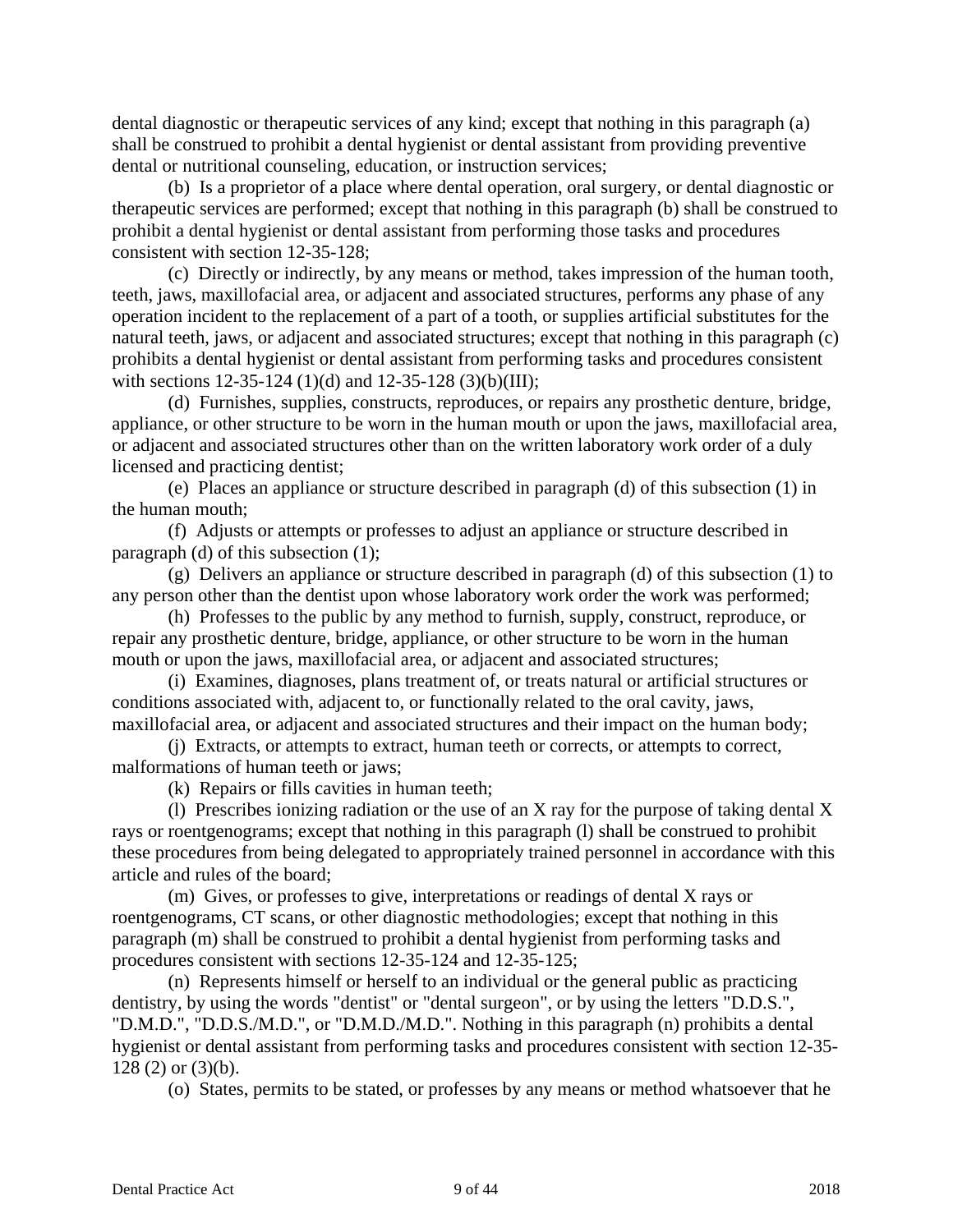dental diagnostic or therapeutic services of any kind; except that nothing in this paragraph (a) shall be construed to prohibit a dental hygienist or dental assistant from providing preventive dental or nutritional counseling, education, or instruction services;

(b) Is a proprietor of a place where dental operation, oral surgery, or dental diagnostic or therapeutic services are performed; except that nothing in this paragraph (b) shall be construed to prohibit a dental hygienist or dental assistant from performing those tasks and procedures consistent with section 12-35-128;

(c) Directly or indirectly, by any means or method, takes impression of the human tooth, teeth, jaws, maxillofacial area, or adjacent and associated structures, performs any phase of any operation incident to the replacement of a part of a tooth, or supplies artificial substitutes for the natural teeth, jaws, or adjacent and associated structures; except that nothing in this paragraph (c) prohibits a dental hygienist or dental assistant from performing tasks and procedures consistent with sections 12-35-124 (1)(d) and 12-35-128 (3)(b)(III);

(d) Furnishes, supplies, constructs, reproduces, or repairs any prosthetic denture, bridge, appliance, or other structure to be worn in the human mouth or upon the jaws, maxillofacial area, or adjacent and associated structures other than on the written laboratory work order of a duly licensed and practicing dentist;

(e) Places an appliance or structure described in paragraph (d) of this subsection (1) in the human mouth;

(f) Adjusts or attempts or professes to adjust an appliance or structure described in paragraph (d) of this subsection (1);

(g) Delivers an appliance or structure described in paragraph (d) of this subsection (1) to any person other than the dentist upon whose laboratory work order the work was performed;

(h) Professes to the public by any method to furnish, supply, construct, reproduce, or repair any prosthetic denture, bridge, appliance, or other structure to be worn in the human mouth or upon the jaws, maxillofacial area, or adjacent and associated structures;

(i) Examines, diagnoses, plans treatment of, or treats natural or artificial structures or conditions associated with, adjacent to, or functionally related to the oral cavity, jaws, maxillofacial area, or adjacent and associated structures and their impact on the human body;

(j) Extracts, or attempts to extract, human teeth or corrects, or attempts to correct, malformations of human teeth or jaws;

(k) Repairs or fills cavities in human teeth;

(l) Prescribes ionizing radiation or the use of an X ray for the purpose of taking dental X rays or roentgenograms; except that nothing in this paragraph (l) shall be construed to prohibit these procedures from being delegated to appropriately trained personnel in accordance with this article and rules of the board;

(m) Gives, or professes to give, interpretations or readings of dental X rays or roentgenograms, CT scans, or other diagnostic methodologies; except that nothing in this paragraph (m) shall be construed to prohibit a dental hygienist from performing tasks and procedures consistent with sections 12-35-124 and 12-35-125;

(n) Represents himself or herself to an individual or the general public as practicing dentistry, by using the words "dentist" or "dental surgeon", or by using the letters "D.D.S.", "D.M.D.", "D.D.S./M.D.", or "D.M.D./M.D.". Nothing in this paragraph (n) prohibits a dental hygienist or dental assistant from performing tasks and procedures consistent with section 12-35- 128 (2) or (3)(b).

(o) States, permits to be stated, or professes by any means or method whatsoever that he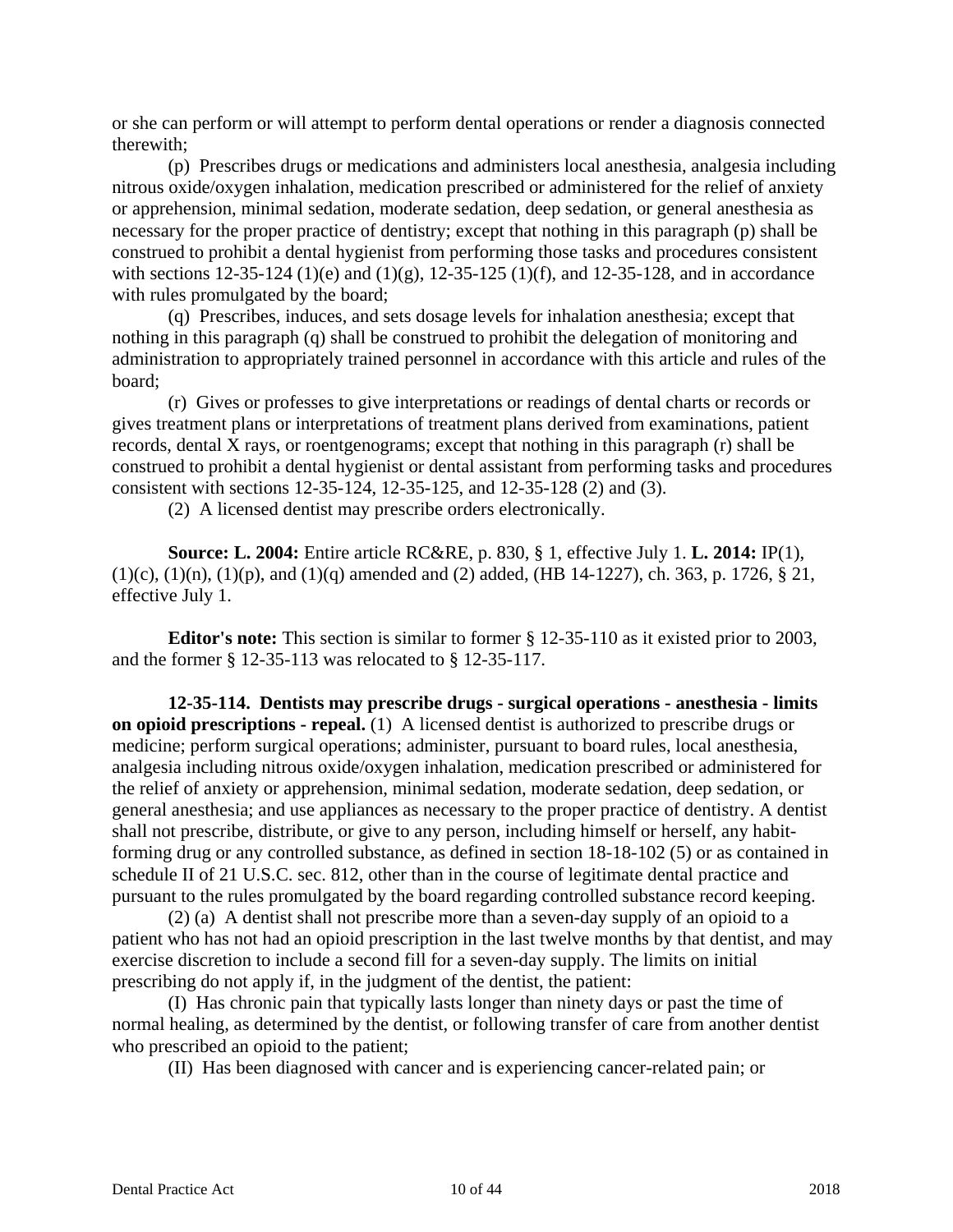or she can perform or will attempt to perform dental operations or render a diagnosis connected therewith;

(p) Prescribes drugs or medications and administers local anesthesia, analgesia including nitrous oxide/oxygen inhalation, medication prescribed or administered for the relief of anxiety or apprehension, minimal sedation, moderate sedation, deep sedation, or general anesthesia as necessary for the proper practice of dentistry; except that nothing in this paragraph (p) shall be construed to prohibit a dental hygienist from performing those tasks and procedures consistent with sections 12-35-124 (1)(e) and (1)(g), 12-35-125 (1)(f), and 12-35-128, and in accordance with rules promulgated by the board;

(q) Prescribes, induces, and sets dosage levels for inhalation anesthesia; except that nothing in this paragraph (q) shall be construed to prohibit the delegation of monitoring and administration to appropriately trained personnel in accordance with this article and rules of the board;

(r) Gives or professes to give interpretations or readings of dental charts or records or gives treatment plans or interpretations of treatment plans derived from examinations, patient records, dental X rays, or roentgenograms; except that nothing in this paragraph (r) shall be construed to prohibit a dental hygienist or dental assistant from performing tasks and procedures consistent with sections 12-35-124, 12-35-125, and 12-35-128 (2) and (3).

(2) A licensed dentist may prescribe orders electronically.

**Source: L. 2004:** Entire article RC&RE, p. 830, § 1, effective July 1. **L. 2014:** IP(1),  $(1)(c)$ ,  $(1)(n)$ ,  $(1)(p)$ , and  $(1)(q)$  amended and  $(2)$  added,  $(HB 14-1227)$ , ch. 363, p. 1726, § 21, effective July 1.

**Editor's note:** This section is similar to former § 12-35-110 as it existed prior to 2003, and the former § 12-35-113 was relocated to § 12-35-117.

**12-35-114. Dentists may prescribe drugs - surgical operations - anesthesia - limits on opioid prescriptions - repeal.** (1) A licensed dentist is authorized to prescribe drugs or medicine; perform surgical operations; administer, pursuant to board rules, local anesthesia, analgesia including nitrous oxide/oxygen inhalation, medication prescribed or administered for the relief of anxiety or apprehension, minimal sedation, moderate sedation, deep sedation, or general anesthesia; and use appliances as necessary to the proper practice of dentistry. A dentist shall not prescribe, distribute, or give to any person, including himself or herself, any habitforming drug or any controlled substance, as defined in section 18-18-102 (5) or as contained in schedule II of 21 U.S.C. sec. 812, other than in the course of legitimate dental practice and pursuant to the rules promulgated by the board regarding controlled substance record keeping.

(2) (a) A dentist shall not prescribe more than a seven-day supply of an opioid to a patient who has not had an opioid prescription in the last twelve months by that dentist, and may exercise discretion to include a second fill for a seven-day supply. The limits on initial prescribing do not apply if, in the judgment of the dentist, the patient:

(I) Has chronic pain that typically lasts longer than ninety days or past the time of normal healing, as determined by the dentist, or following transfer of care from another dentist who prescribed an opioid to the patient;

(II) Has been diagnosed with cancer and is experiencing cancer-related pain; or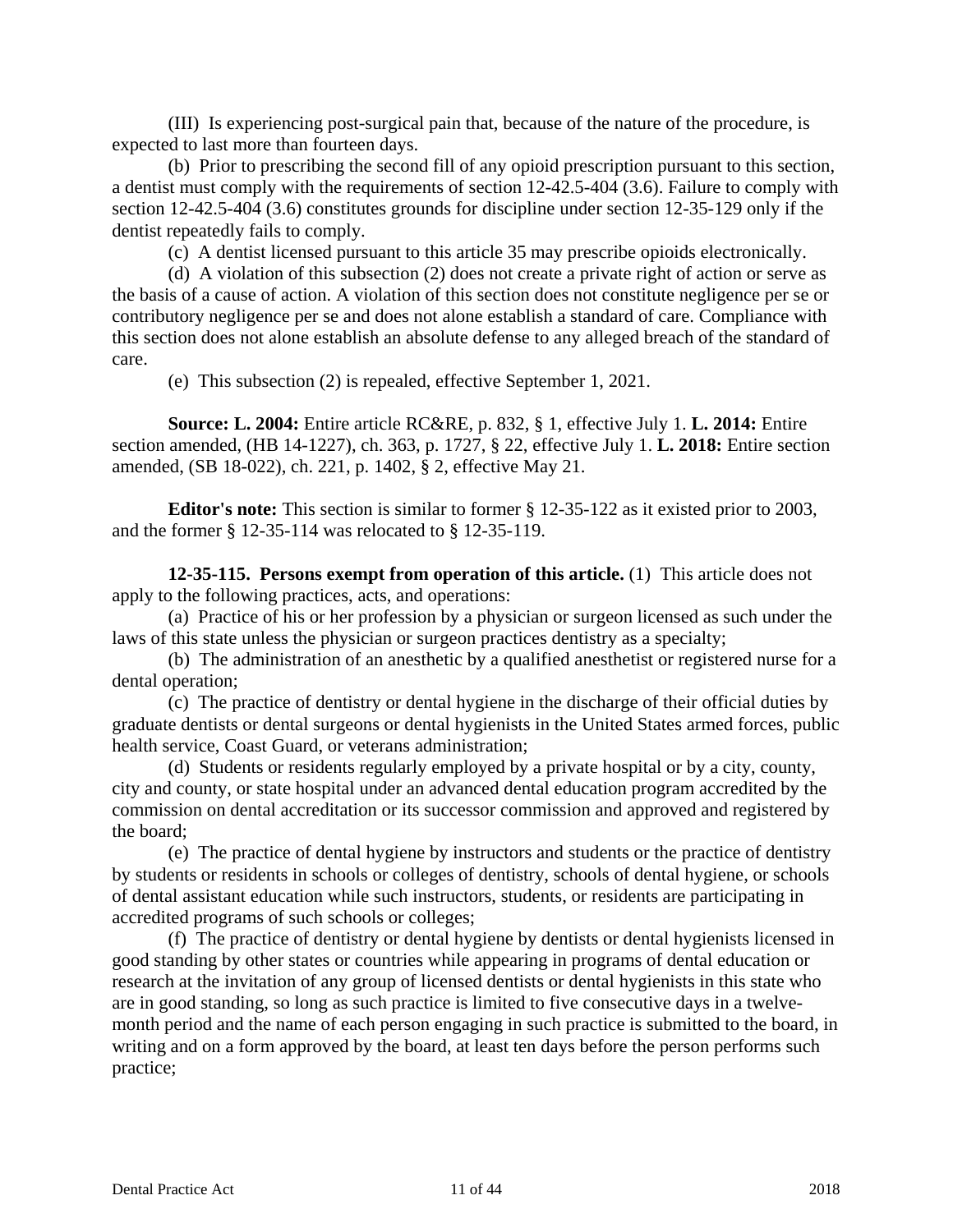(III) Is experiencing post-surgical pain that, because of the nature of the procedure, is expected to last more than fourteen days.

(b) Prior to prescribing the second fill of any opioid prescription pursuant to this section, a dentist must comply with the requirements of section 12-42.5-404 (3.6). Failure to comply with section 12-42.5-404 (3.6) constitutes grounds for discipline under section 12-35-129 only if the dentist repeatedly fails to comply.

(c) A dentist licensed pursuant to this article 35 may prescribe opioids electronically.

(d) A violation of this subsection (2) does not create a private right of action or serve as the basis of a cause of action. A violation of this section does not constitute negligence per se or contributory negligence per se and does not alone establish a standard of care. Compliance with this section does not alone establish an absolute defense to any alleged breach of the standard of care.

(e) This subsection (2) is repealed, effective September 1, 2021.

**Source: L. 2004:** Entire article RC&RE, p. 832, § 1, effective July 1. **L. 2014:** Entire section amended, (HB 14-1227), ch. 363, p. 1727, § 22, effective July 1. **L. 2018:** Entire section amended, (SB 18-022), ch. 221, p. 1402, § 2, effective May 21.

**Editor's note:** This section is similar to former § 12-35-122 as it existed prior to 2003, and the former § 12-35-114 was relocated to § 12-35-119.

**12-35-115. Persons exempt from operation of this article.** (1) This article does not apply to the following practices, acts, and operations:

(a) Practice of his or her profession by a physician or surgeon licensed as such under the laws of this state unless the physician or surgeon practices dentistry as a specialty;

(b) The administration of an anesthetic by a qualified anesthetist or registered nurse for a dental operation;

(c) The practice of dentistry or dental hygiene in the discharge of their official duties by graduate dentists or dental surgeons or dental hygienists in the United States armed forces, public health service, Coast Guard, or veterans administration;

(d) Students or residents regularly employed by a private hospital or by a city, county, city and county, or state hospital under an advanced dental education program accredited by the commission on dental accreditation or its successor commission and approved and registered by the board;

(e) The practice of dental hygiene by instructors and students or the practice of dentistry by students or residents in schools or colleges of dentistry, schools of dental hygiene, or schools of dental assistant education while such instructors, students, or residents are participating in accredited programs of such schools or colleges;

(f) The practice of dentistry or dental hygiene by dentists or dental hygienists licensed in good standing by other states or countries while appearing in programs of dental education or research at the invitation of any group of licensed dentists or dental hygienists in this state who are in good standing, so long as such practice is limited to five consecutive days in a twelvemonth period and the name of each person engaging in such practice is submitted to the board, in writing and on a form approved by the board, at least ten days before the person performs such practice;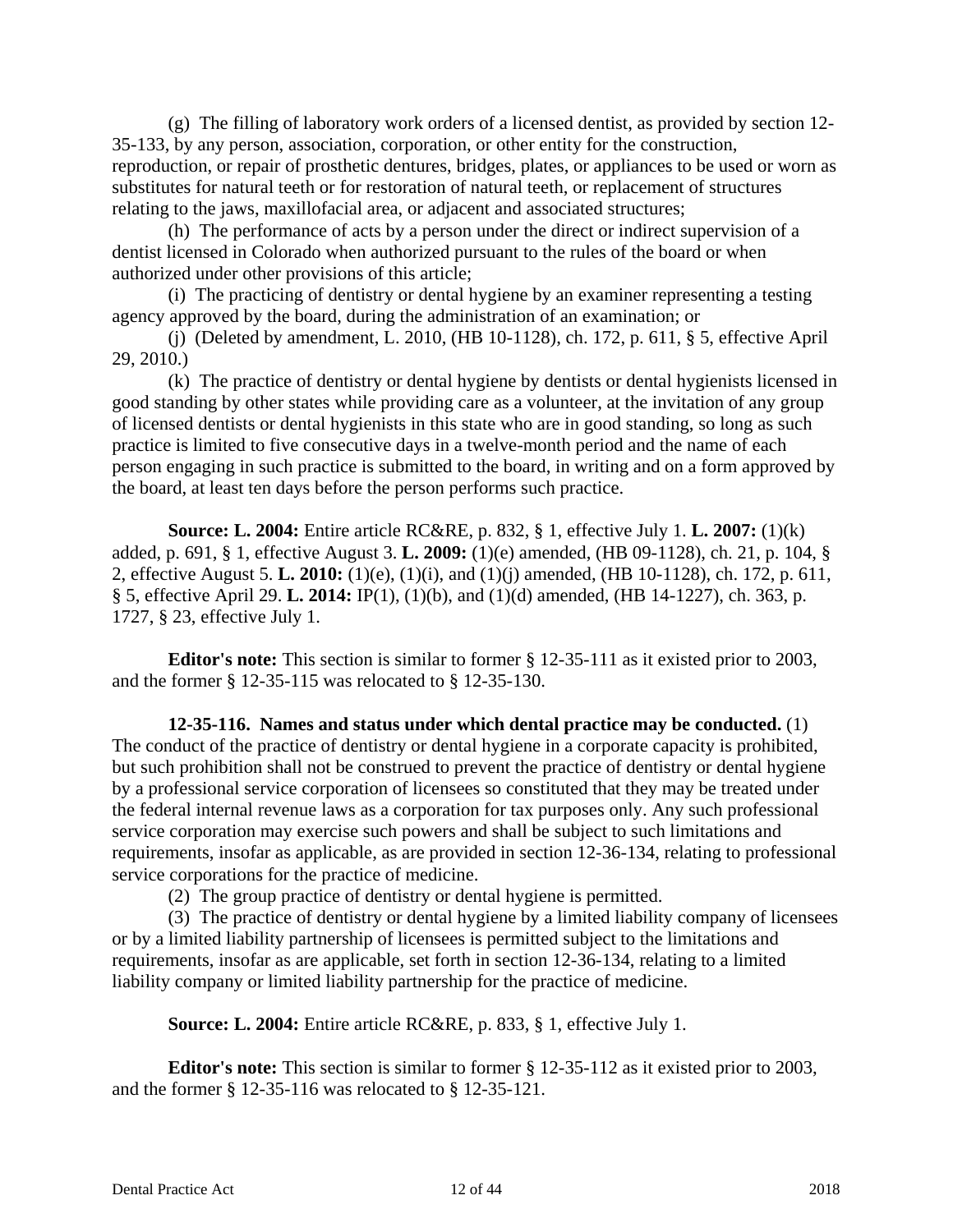(g) The filling of laboratory work orders of a licensed dentist, as provided by section 12- 35-133, by any person, association, corporation, or other entity for the construction, reproduction, or repair of prosthetic dentures, bridges, plates, or appliances to be used or worn as substitutes for natural teeth or for restoration of natural teeth, or replacement of structures relating to the jaws, maxillofacial area, or adjacent and associated structures;

(h) The performance of acts by a person under the direct or indirect supervision of a dentist licensed in Colorado when authorized pursuant to the rules of the board or when authorized under other provisions of this article;

(i) The practicing of dentistry or dental hygiene by an examiner representing a testing agency approved by the board, during the administration of an examination; or

(j) (Deleted by amendment, L. 2010, (HB 10-1128), ch. 172, p. 611, § 5, effective April 29, 2010.)

(k) The practice of dentistry or dental hygiene by dentists or dental hygienists licensed in good standing by other states while providing care as a volunteer, at the invitation of any group of licensed dentists or dental hygienists in this state who are in good standing, so long as such practice is limited to five consecutive days in a twelve-month period and the name of each person engaging in such practice is submitted to the board, in writing and on a form approved by the board, at least ten days before the person performs such practice.

**Source: L. 2004:** Entire article RC&RE, p. 832, § 1, effective July 1. **L. 2007:** (1)(k) added, p. 691, § 1, effective August 3. **L. 2009:** (1)(e) amended, (HB 09-1128), ch. 21, p. 104, § 2, effective August 5. **L. 2010:** (1)(e), (1)(i), and (1)(j) amended, (HB 10-1128), ch. 172, p. 611, § 5, effective April 29. **L. 2014:** IP(1), (1)(b), and (1)(d) amended, (HB 14-1227), ch. 363, p. 1727, § 23, effective July 1.

**Editor's note:** This section is similar to former § 12-35-111 as it existed prior to 2003, and the former § 12-35-115 was relocated to § 12-35-130.

**12-35-116. Names and status under which dental practice may be conducted.** (1) The conduct of the practice of dentistry or dental hygiene in a corporate capacity is prohibited, but such prohibition shall not be construed to prevent the practice of dentistry or dental hygiene by a professional service corporation of licensees so constituted that they may be treated under the federal internal revenue laws as a corporation for tax purposes only. Any such professional service corporation may exercise such powers and shall be subject to such limitations and requirements, insofar as applicable, as are provided in section 12-36-134, relating to professional service corporations for the practice of medicine.

(2) The group practice of dentistry or dental hygiene is permitted.

(3) The practice of dentistry or dental hygiene by a limited liability company of licensees or by a limited liability partnership of licensees is permitted subject to the limitations and requirements, insofar as are applicable, set forth in section 12-36-134, relating to a limited liability company or limited liability partnership for the practice of medicine.

**Source: L. 2004:** Entire article RC&RE, p. 833, § 1, effective July 1.

**Editor's note:** This section is similar to former § 12-35-112 as it existed prior to 2003, and the former § 12-35-116 was relocated to § 12-35-121.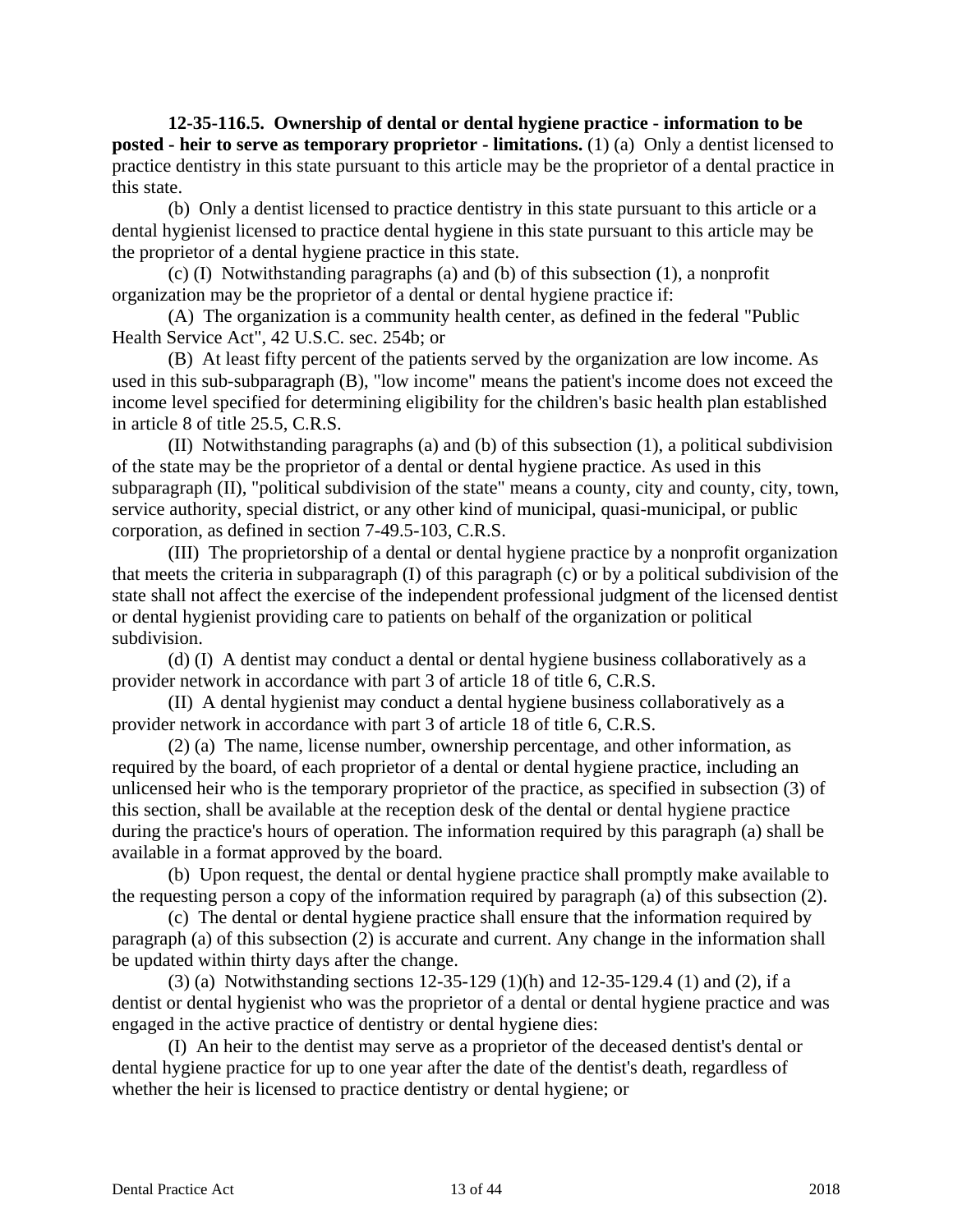**12-35-116.5. Ownership of dental or dental hygiene practice - information to be posted - heir to serve as temporary proprietor - limitations.** (1) (a) Only a dentist licensed to practice dentistry in this state pursuant to this article may be the proprietor of a dental practice in this state.

(b) Only a dentist licensed to practice dentistry in this state pursuant to this article or a dental hygienist licensed to practice dental hygiene in this state pursuant to this article may be the proprietor of a dental hygiene practice in this state.

(c) (I) Notwithstanding paragraphs (a) and (b) of this subsection (1), a nonprofit organization may be the proprietor of a dental or dental hygiene practice if:

(A) The organization is a community health center, as defined in the federal "Public Health Service Act", 42 U.S.C. sec. 254b; or

(B) At least fifty percent of the patients served by the organization are low income. As used in this sub-subparagraph (B), "low income" means the patient's income does not exceed the income level specified for determining eligibility for the children's basic health plan established in article 8 of title 25.5, C.R.S.

(II) Notwithstanding paragraphs (a) and (b) of this subsection (1), a political subdivision of the state may be the proprietor of a dental or dental hygiene practice. As used in this subparagraph (II), "political subdivision of the state" means a county, city and county, city, town, service authority, special district, or any other kind of municipal, quasi-municipal, or public corporation, as defined in section 7-49.5-103, C.R.S.

(III) The proprietorship of a dental or dental hygiene practice by a nonprofit organization that meets the criteria in subparagraph (I) of this paragraph (c) or by a political subdivision of the state shall not affect the exercise of the independent professional judgment of the licensed dentist or dental hygienist providing care to patients on behalf of the organization or political subdivision.

(d) (I) A dentist may conduct a dental or dental hygiene business collaboratively as a provider network in accordance with part 3 of article 18 of title 6, C.R.S.

(II) A dental hygienist may conduct a dental hygiene business collaboratively as a provider network in accordance with part 3 of article 18 of title 6, C.R.S.

(2) (a) The name, license number, ownership percentage, and other information, as required by the board, of each proprietor of a dental or dental hygiene practice, including an unlicensed heir who is the temporary proprietor of the practice, as specified in subsection (3) of this section, shall be available at the reception desk of the dental or dental hygiene practice during the practice's hours of operation. The information required by this paragraph (a) shall be available in a format approved by the board.

(b) Upon request, the dental or dental hygiene practice shall promptly make available to the requesting person a copy of the information required by paragraph (a) of this subsection (2).

(c) The dental or dental hygiene practice shall ensure that the information required by paragraph (a) of this subsection (2) is accurate and current. Any change in the information shall be updated within thirty days after the change.

(3) (a) Notwithstanding sections 12-35-129 (1)(h) and 12-35-129.4 (1) and (2), if a dentist or dental hygienist who was the proprietor of a dental or dental hygiene practice and was engaged in the active practice of dentistry or dental hygiene dies:

(I) An heir to the dentist may serve as a proprietor of the deceased dentist's dental or dental hygiene practice for up to one year after the date of the dentist's death, regardless of whether the heir is licensed to practice dentistry or dental hygiene; or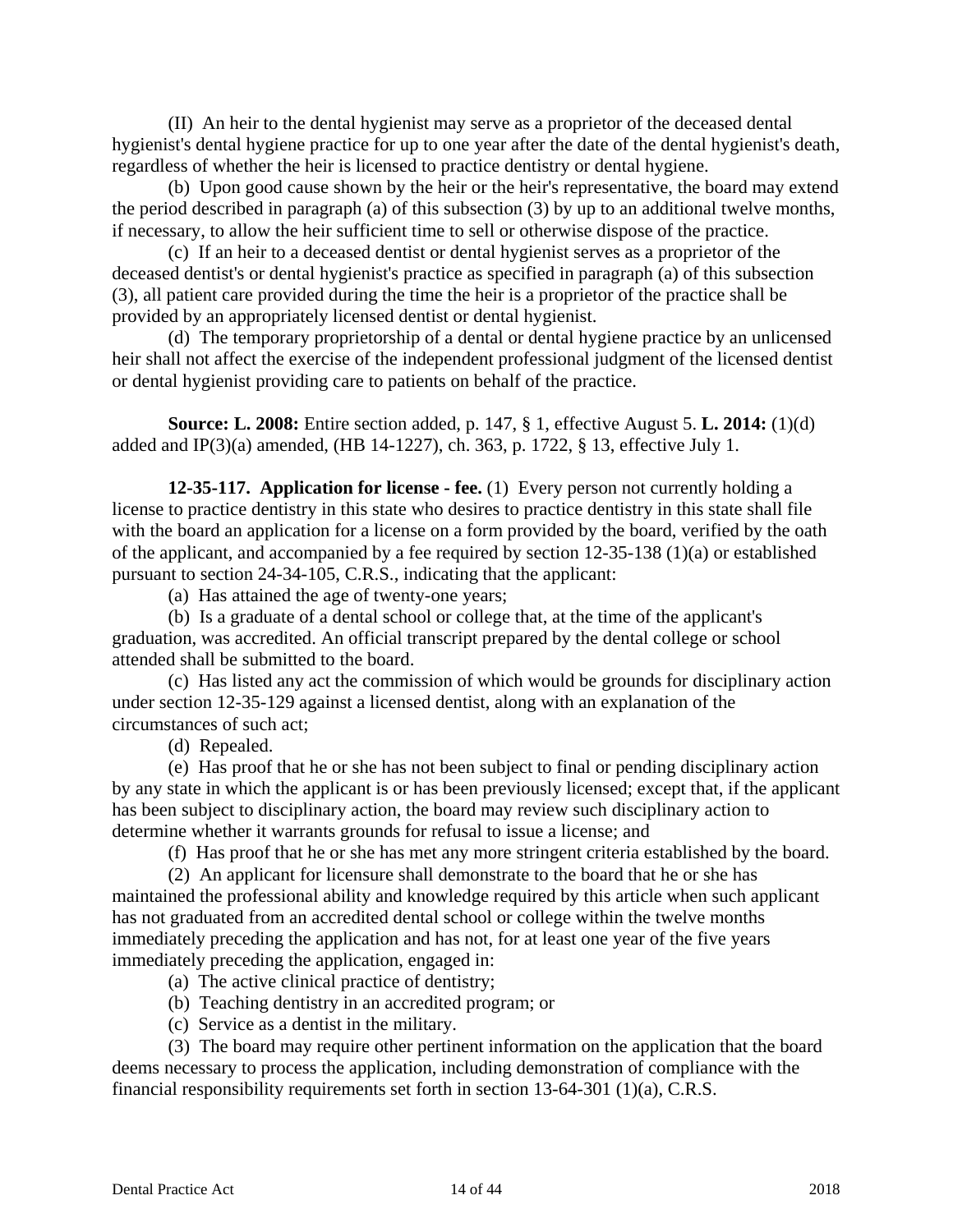(II) An heir to the dental hygienist may serve as a proprietor of the deceased dental hygienist's dental hygiene practice for up to one year after the date of the dental hygienist's death, regardless of whether the heir is licensed to practice dentistry or dental hygiene.

(b) Upon good cause shown by the heir or the heir's representative, the board may extend the period described in paragraph (a) of this subsection (3) by up to an additional twelve months, if necessary, to allow the heir sufficient time to sell or otherwise dispose of the practice.

(c) If an heir to a deceased dentist or dental hygienist serves as a proprietor of the deceased dentist's or dental hygienist's practice as specified in paragraph (a) of this subsection (3), all patient care provided during the time the heir is a proprietor of the practice shall be provided by an appropriately licensed dentist or dental hygienist.

(d) The temporary proprietorship of a dental or dental hygiene practice by an unlicensed heir shall not affect the exercise of the independent professional judgment of the licensed dentist or dental hygienist providing care to patients on behalf of the practice.

**Source: L. 2008:** Entire section added, p. 147, § 1, effective August 5. **L. 2014:** (1)(d) added and IP(3)(a) amended, (HB 14-1227), ch. 363, p. 1722, § 13, effective July 1.

**12-35-117. Application for license - fee.** (1) Every person not currently holding a license to practice dentistry in this state who desires to practice dentistry in this state shall file with the board an application for a license on a form provided by the board, verified by the oath of the applicant, and accompanied by a fee required by section 12-35-138 (1)(a) or established pursuant to section 24-34-105, C.R.S., indicating that the applicant:

(a) Has attained the age of twenty-one years;

(b) Is a graduate of a dental school or college that, at the time of the applicant's graduation, was accredited. An official transcript prepared by the dental college or school attended shall be submitted to the board.

(c) Has listed any act the commission of which would be grounds for disciplinary action under section 12-35-129 against a licensed dentist, along with an explanation of the circumstances of such act;

(d) Repealed.

(e) Has proof that he or she has not been subject to final or pending disciplinary action by any state in which the applicant is or has been previously licensed; except that, if the applicant has been subject to disciplinary action, the board may review such disciplinary action to determine whether it warrants grounds for refusal to issue a license; and

(f) Has proof that he or she has met any more stringent criteria established by the board.

(2) An applicant for licensure shall demonstrate to the board that he or she has maintained the professional ability and knowledge required by this article when such applicant has not graduated from an accredited dental school or college within the twelve months immediately preceding the application and has not, for at least one year of the five years immediately preceding the application, engaged in:

- (a) The active clinical practice of dentistry;
- (b) Teaching dentistry in an accredited program; or
- (c) Service as a dentist in the military.

(3) The board may require other pertinent information on the application that the board deems necessary to process the application, including demonstration of compliance with the financial responsibility requirements set forth in section 13-64-301 (1)(a), C.R.S.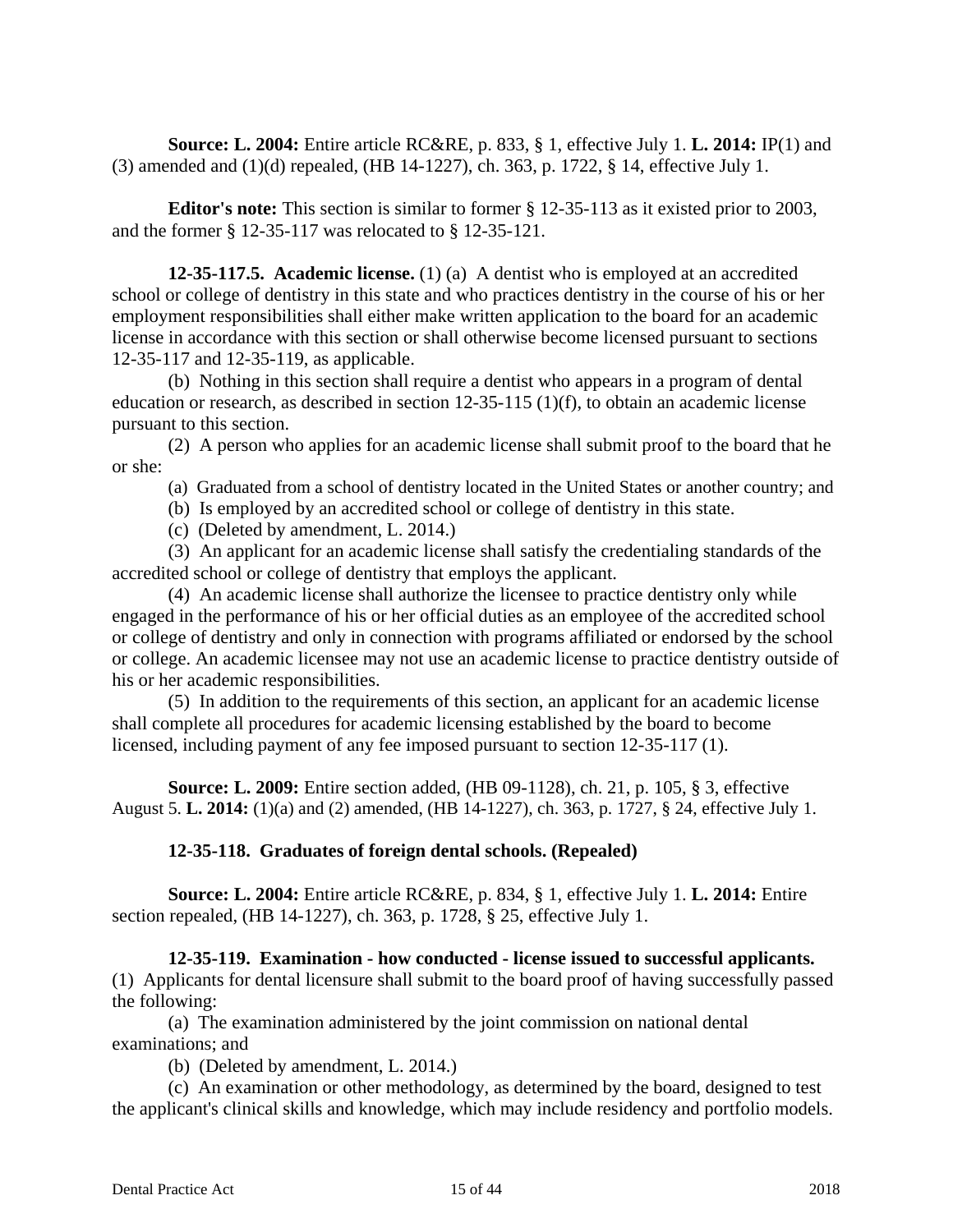**Source: L. 2004:** Entire article RC&RE, p. 833, § 1, effective July 1. **L. 2014:** IP(1) and (3) amended and (1)(d) repealed, (HB 14-1227), ch. 363, p. 1722, § 14, effective July 1.

**Editor's note:** This section is similar to former § 12-35-113 as it existed prior to 2003, and the former § 12-35-117 was relocated to § 12-35-121.

**12-35-117.5. Academic license.** (1) (a) A dentist who is employed at an accredited school or college of dentistry in this state and who practices dentistry in the course of his or her employment responsibilities shall either make written application to the board for an academic license in accordance with this section or shall otherwise become licensed pursuant to sections 12-35-117 and 12-35-119, as applicable.

(b) Nothing in this section shall require a dentist who appears in a program of dental education or research, as described in section 12-35-115 (1)(f), to obtain an academic license pursuant to this section.

(2) A person who applies for an academic license shall submit proof to the board that he or she:

(a) Graduated from a school of dentistry located in the United States or another country; and

(b) Is employed by an accredited school or college of dentistry in this state.

(c) (Deleted by amendment, L. 2014.)

(3) An applicant for an academic license shall satisfy the credentialing standards of the accredited school or college of dentistry that employs the applicant.

(4) An academic license shall authorize the licensee to practice dentistry only while engaged in the performance of his or her official duties as an employee of the accredited school or college of dentistry and only in connection with programs affiliated or endorsed by the school or college. An academic licensee may not use an academic license to practice dentistry outside of his or her academic responsibilities.

(5) In addition to the requirements of this section, an applicant for an academic license shall complete all procedures for academic licensing established by the board to become licensed, including payment of any fee imposed pursuant to section 12-35-117 (1).

**Source: L. 2009:** Entire section added, (HB 09-1128), ch. 21, p. 105, § 3, effective August 5. **L. 2014:** (1)(a) and (2) amended, (HB 14-1227), ch. 363, p. 1727, § 24, effective July 1.

# **12-35-118. Graduates of foreign dental schools. (Repealed)**

**Source: L. 2004:** Entire article RC&RE, p. 834, § 1, effective July 1. **L. 2014:** Entire section repealed, (HB 14-1227), ch. 363, p. 1728, § 25, effective July 1.

**12-35-119. Examination - how conducted - license issued to successful applicants.**  (1) Applicants for dental licensure shall submit to the board proof of having successfully passed the following:

(a) The examination administered by the joint commission on national dental examinations; and

(b) (Deleted by amendment, L. 2014.)

(c) An examination or other methodology, as determined by the board, designed to test the applicant's clinical skills and knowledge, which may include residency and portfolio models.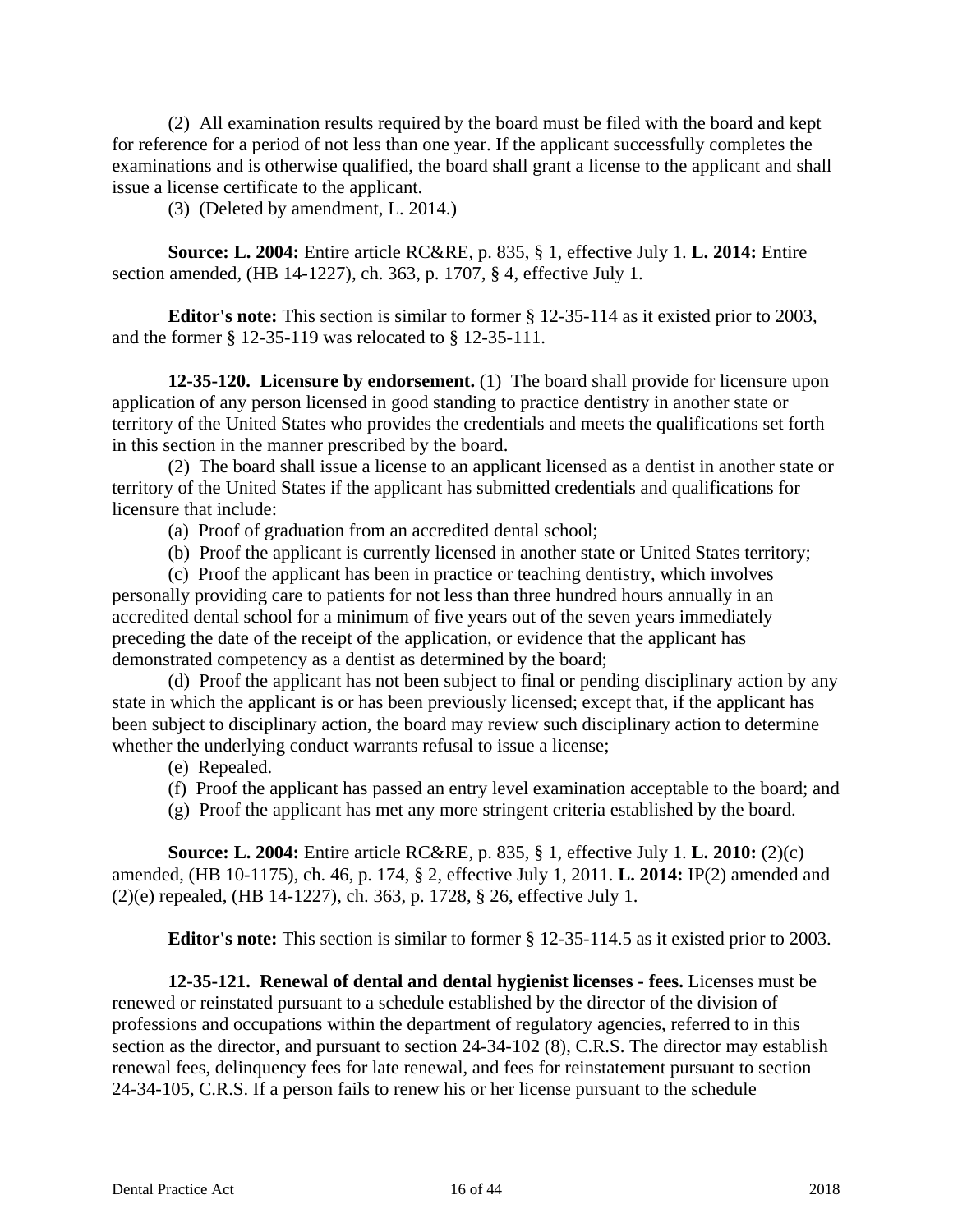(2) All examination results required by the board must be filed with the board and kept for reference for a period of not less than one year. If the applicant successfully completes the examinations and is otherwise qualified, the board shall grant a license to the applicant and shall issue a license certificate to the applicant.

(3) (Deleted by amendment, L. 2014.)

**Source: L. 2004:** Entire article RC&RE, p. 835, § 1, effective July 1. **L. 2014:** Entire section amended, (HB 14-1227), ch. 363, p. 1707, § 4, effective July 1.

**Editor's note:** This section is similar to former § 12-35-114 as it existed prior to 2003, and the former § 12-35-119 was relocated to § 12-35-111.

**12-35-120. Licensure by endorsement.** (1) The board shall provide for licensure upon application of any person licensed in good standing to practice dentistry in another state or territory of the United States who provides the credentials and meets the qualifications set forth in this section in the manner prescribed by the board.

(2) The board shall issue a license to an applicant licensed as a dentist in another state or territory of the United States if the applicant has submitted credentials and qualifications for licensure that include:

(a) Proof of graduation from an accredited dental school;

(b) Proof the applicant is currently licensed in another state or United States territory;

(c) Proof the applicant has been in practice or teaching dentistry, which involves personally providing care to patients for not less than three hundred hours annually in an accredited dental school for a minimum of five years out of the seven years immediately preceding the date of the receipt of the application, or evidence that the applicant has demonstrated competency as a dentist as determined by the board;

(d) Proof the applicant has not been subject to final or pending disciplinary action by any state in which the applicant is or has been previously licensed; except that, if the applicant has been subject to disciplinary action, the board may review such disciplinary action to determine whether the underlying conduct warrants refusal to issue a license;

#### (e) Repealed.

(f) Proof the applicant has passed an entry level examination acceptable to the board; and

(g) Proof the applicant has met any more stringent criteria established by the board.

**Source: L. 2004:** Entire article RC&RE, p. 835, § 1, effective July 1. **L. 2010:** (2)(c) amended, (HB 10-1175), ch. 46, p. 174, § 2, effective July 1, 2011. **L. 2014:** IP(2) amended and (2)(e) repealed, (HB 14-1227), ch. 363, p. 1728, § 26, effective July 1.

**Editor's note:** This section is similar to former § 12-35-114.5 as it existed prior to 2003.

**12-35-121. Renewal of dental and dental hygienist licenses - fees.** Licenses must be renewed or reinstated pursuant to a schedule established by the director of the division of professions and occupations within the department of regulatory agencies, referred to in this section as the director, and pursuant to section 24-34-102 (8), C.R.S. The director may establish renewal fees, delinquency fees for late renewal, and fees for reinstatement pursuant to section 24-34-105, C.R.S. If a person fails to renew his or her license pursuant to the schedule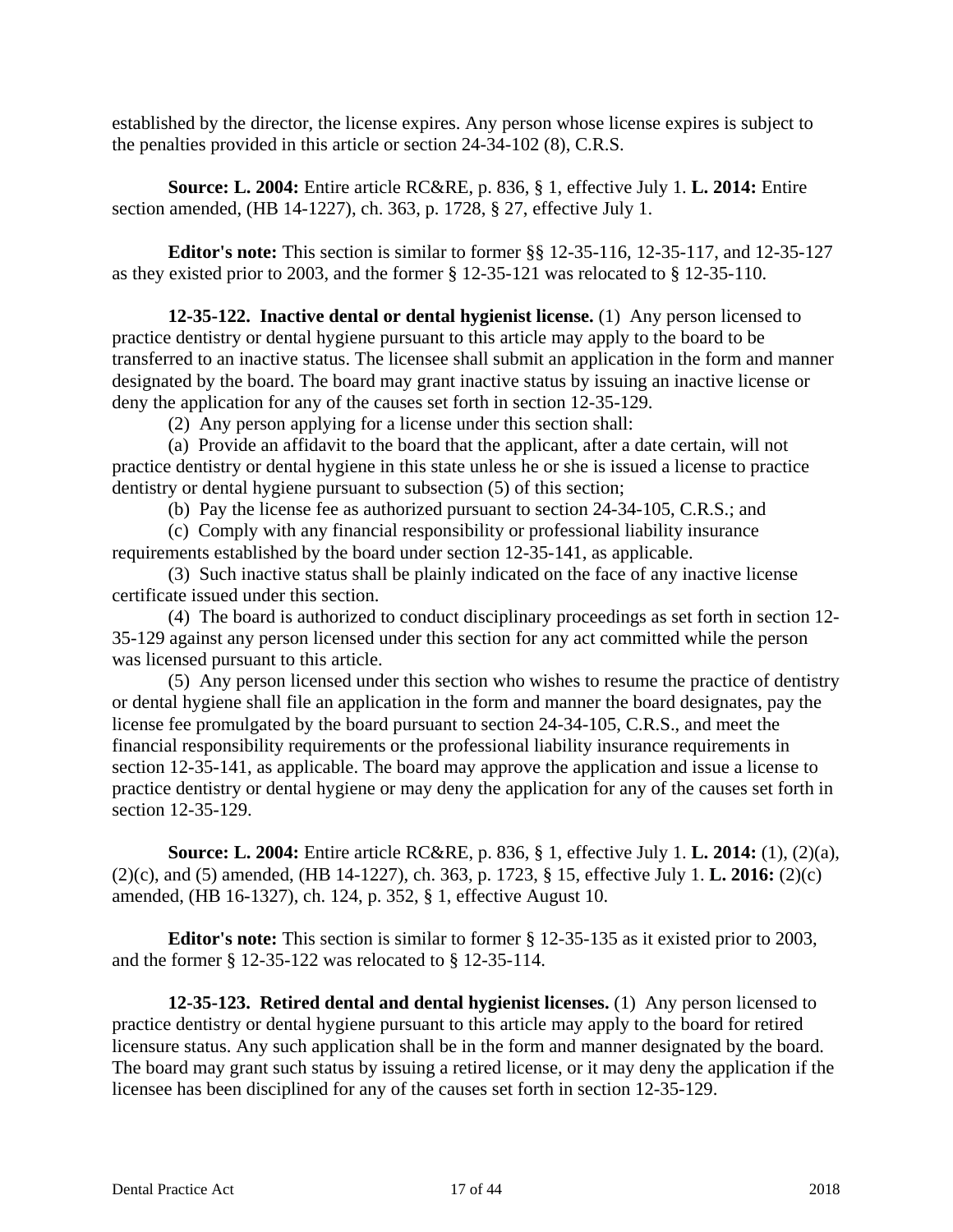established by the director, the license expires. Any person whose license expires is subject to the penalties provided in this article or section 24-34-102 (8), C.R.S.

**Source: L. 2004:** Entire article RC&RE, p. 836, § 1, effective July 1. **L. 2014:** Entire section amended, (HB 14-1227), ch. 363, p. 1728, § 27, effective July 1.

**Editor's note:** This section is similar to former §§ 12-35-116, 12-35-117, and 12-35-127 as they existed prior to 2003, and the former § 12-35-121 was relocated to § 12-35-110.

**12-35-122. Inactive dental or dental hygienist license.** (1) Any person licensed to practice dentistry or dental hygiene pursuant to this article may apply to the board to be transferred to an inactive status. The licensee shall submit an application in the form and manner designated by the board. The board may grant inactive status by issuing an inactive license or deny the application for any of the causes set forth in section 12-35-129.

(2) Any person applying for a license under this section shall:

(a) Provide an affidavit to the board that the applicant, after a date certain, will not practice dentistry or dental hygiene in this state unless he or she is issued a license to practice dentistry or dental hygiene pursuant to subsection (5) of this section;

(b) Pay the license fee as authorized pursuant to section 24-34-105, C.R.S.; and

(c) Comply with any financial responsibility or professional liability insurance requirements established by the board under section 12-35-141, as applicable.

(3) Such inactive status shall be plainly indicated on the face of any inactive license certificate issued under this section.

(4) The board is authorized to conduct disciplinary proceedings as set forth in section 12- 35-129 against any person licensed under this section for any act committed while the person was licensed pursuant to this article.

(5) Any person licensed under this section who wishes to resume the practice of dentistry or dental hygiene shall file an application in the form and manner the board designates, pay the license fee promulgated by the board pursuant to section 24-34-105, C.R.S., and meet the financial responsibility requirements or the professional liability insurance requirements in section 12-35-141, as applicable. The board may approve the application and issue a license to practice dentistry or dental hygiene or may deny the application for any of the causes set forth in section 12-35-129.

**Source: L. 2004:** Entire article RC&RE, p. 836, § 1, effective July 1. **L. 2014:** (1), (2)(a), (2)(c), and (5) amended, (HB 14-1227), ch. 363, p. 1723, § 15, effective July 1. **L. 2016:** (2)(c) amended, (HB 16-1327), ch. 124, p. 352, § 1, effective August 10.

**Editor's note:** This section is similar to former § 12-35-135 as it existed prior to 2003, and the former § 12-35-122 was relocated to § 12-35-114.

**12-35-123. Retired dental and dental hygienist licenses.** (1) Any person licensed to practice dentistry or dental hygiene pursuant to this article may apply to the board for retired licensure status. Any such application shall be in the form and manner designated by the board. The board may grant such status by issuing a retired license, or it may deny the application if the licensee has been disciplined for any of the causes set forth in section 12-35-129.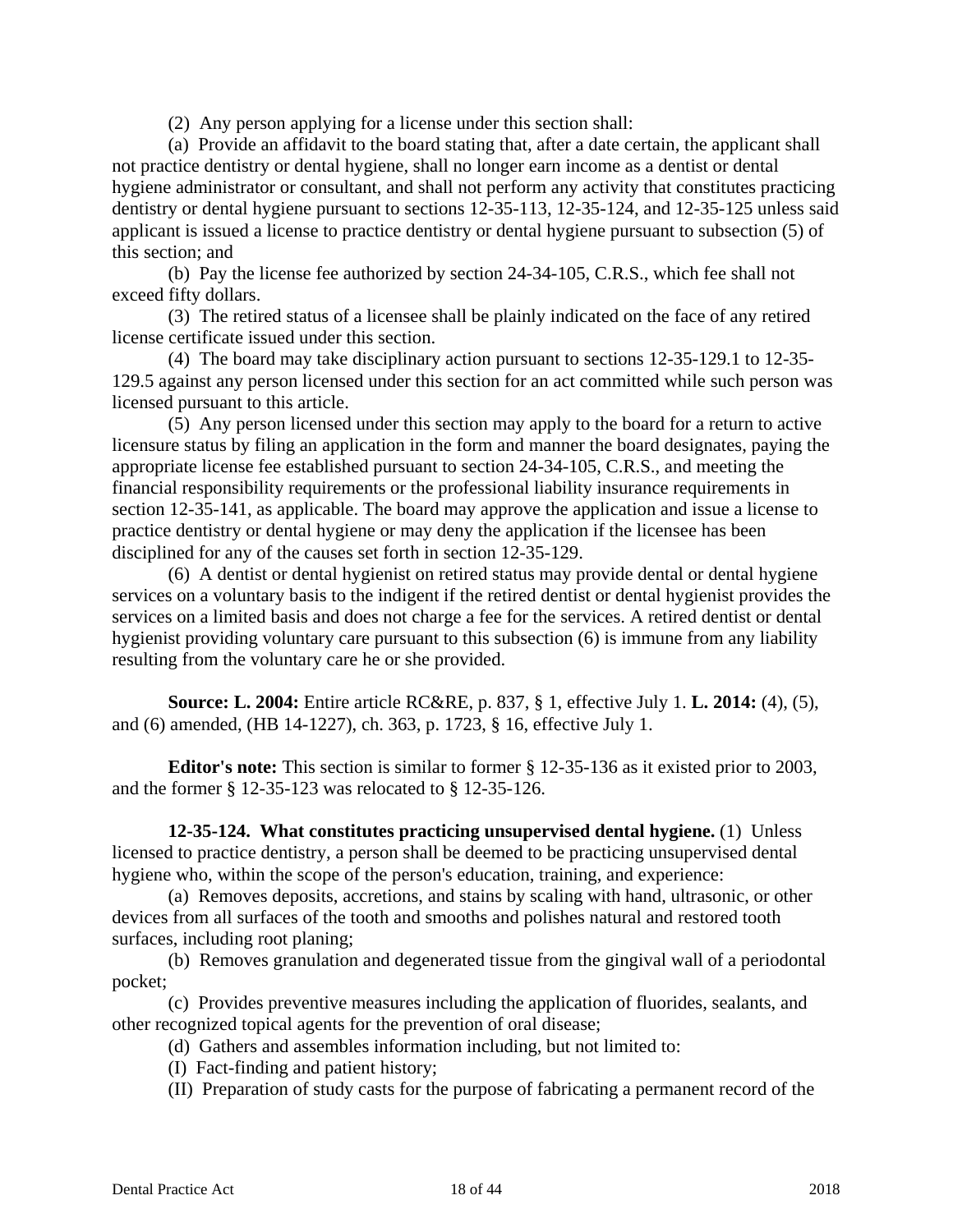(2) Any person applying for a license under this section shall:

(a) Provide an affidavit to the board stating that, after a date certain, the applicant shall not practice dentistry or dental hygiene, shall no longer earn income as a dentist or dental hygiene administrator or consultant, and shall not perform any activity that constitutes practicing dentistry or dental hygiene pursuant to sections 12-35-113, 12-35-124, and 12-35-125 unless said applicant is issued a license to practice dentistry or dental hygiene pursuant to subsection (5) of this section; and

(b) Pay the license fee authorized by section 24-34-105, C.R.S., which fee shall not exceed fifty dollars.

(3) The retired status of a licensee shall be plainly indicated on the face of any retired license certificate issued under this section.

(4) The board may take disciplinary action pursuant to sections 12-35-129.1 to 12-35- 129.5 against any person licensed under this section for an act committed while such person was licensed pursuant to this article.

(5) Any person licensed under this section may apply to the board for a return to active licensure status by filing an application in the form and manner the board designates, paying the appropriate license fee established pursuant to section 24-34-105, C.R.S., and meeting the financial responsibility requirements or the professional liability insurance requirements in section 12-35-141, as applicable. The board may approve the application and issue a license to practice dentistry or dental hygiene or may deny the application if the licensee has been disciplined for any of the causes set forth in section 12-35-129.

(6) A dentist or dental hygienist on retired status may provide dental or dental hygiene services on a voluntary basis to the indigent if the retired dentist or dental hygienist provides the services on a limited basis and does not charge a fee for the services. A retired dentist or dental hygienist providing voluntary care pursuant to this subsection (6) is immune from any liability resulting from the voluntary care he or she provided.

**Source: L. 2004:** Entire article RC&RE, p. 837, § 1, effective July 1. **L. 2014:** (4), (5), and (6) amended, (HB 14-1227), ch. 363, p. 1723, § 16, effective July 1.

**Editor's note:** This section is similar to former § 12-35-136 as it existed prior to 2003, and the former § 12-35-123 was relocated to § 12-35-126.

**12-35-124. What constitutes practicing unsupervised dental hygiene.** (1) Unless licensed to practice dentistry, a person shall be deemed to be practicing unsupervised dental hygiene who, within the scope of the person's education, training, and experience:

(a) Removes deposits, accretions, and stains by scaling with hand, ultrasonic, or other devices from all surfaces of the tooth and smooths and polishes natural and restored tooth surfaces, including root planing;

(b) Removes granulation and degenerated tissue from the gingival wall of a periodontal pocket;

(c) Provides preventive measures including the application of fluorides, sealants, and other recognized topical agents for the prevention of oral disease;

(d) Gathers and assembles information including, but not limited to:

(I) Fact-finding and patient history;

(II) Preparation of study casts for the purpose of fabricating a permanent record of the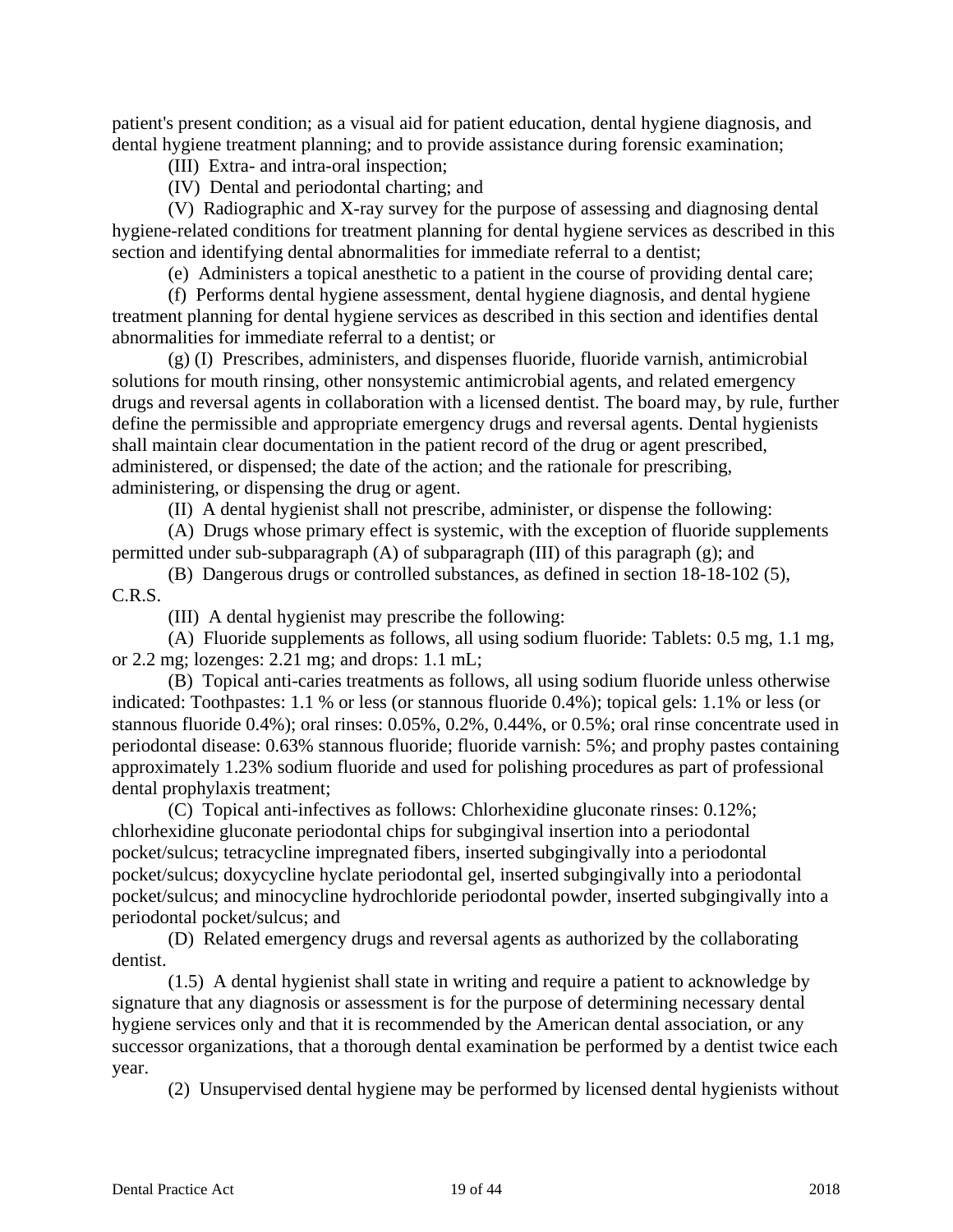patient's present condition; as a visual aid for patient education, dental hygiene diagnosis, and dental hygiene treatment planning; and to provide assistance during forensic examination;

(III) Extra- and intra-oral inspection;

(IV) Dental and periodontal charting; and

(V) Radiographic and X-ray survey for the purpose of assessing and diagnosing dental hygiene-related conditions for treatment planning for dental hygiene services as described in this section and identifying dental abnormalities for immediate referral to a dentist;

(e) Administers a topical anesthetic to a patient in the course of providing dental care;

(f) Performs dental hygiene assessment, dental hygiene diagnosis, and dental hygiene treatment planning for dental hygiene services as described in this section and identifies dental abnormalities for immediate referral to a dentist; or

(g) (I) Prescribes, administers, and dispenses fluoride, fluoride varnish, antimicrobial solutions for mouth rinsing, other nonsystemic antimicrobial agents, and related emergency drugs and reversal agents in collaboration with a licensed dentist. The board may, by rule, further define the permissible and appropriate emergency drugs and reversal agents. Dental hygienists shall maintain clear documentation in the patient record of the drug or agent prescribed, administered, or dispensed; the date of the action; and the rationale for prescribing, administering, or dispensing the drug or agent.

(II) A dental hygienist shall not prescribe, administer, or dispense the following:

(A) Drugs whose primary effect is systemic, with the exception of fluoride supplements permitted under sub-subparagraph (A) of subparagraph (III) of this paragraph (g); and

(B) Dangerous drugs or controlled substances, as defined in section 18-18-102 (5), C.R.S.

(III) A dental hygienist may prescribe the following:

(A) Fluoride supplements as follows, all using sodium fluoride: Tablets: 0.5 mg, 1.1 mg, or 2.2 mg; lozenges: 2.21 mg; and drops: 1.1 mL;

(B) Topical anti-caries treatments as follows, all using sodium fluoride unless otherwise indicated: Toothpastes: 1.1 % or less (or stannous fluoride 0.4%); topical gels: 1.1% or less (or stannous fluoride 0.4%); oral rinses: 0.05%, 0.2%, 0.44%, or 0.5%; oral rinse concentrate used in periodontal disease: 0.63% stannous fluoride; fluoride varnish: 5%; and prophy pastes containing approximately 1.23% sodium fluoride and used for polishing procedures as part of professional dental prophylaxis treatment;

(C) Topical anti-infectives as follows: Chlorhexidine gluconate rinses: 0.12%; chlorhexidine gluconate periodontal chips for subgingival insertion into a periodontal pocket/sulcus; tetracycline impregnated fibers, inserted subgingivally into a periodontal pocket/sulcus; doxycycline hyclate periodontal gel, inserted subgingivally into a periodontal pocket/sulcus; and minocycline hydrochloride periodontal powder, inserted subgingivally into a periodontal pocket/sulcus; and

(D) Related emergency drugs and reversal agents as authorized by the collaborating dentist.

(1.5) A dental hygienist shall state in writing and require a patient to acknowledge by signature that any diagnosis or assessment is for the purpose of determining necessary dental hygiene services only and that it is recommended by the American dental association, or any successor organizations, that a thorough dental examination be performed by a dentist twice each year.

(2) Unsupervised dental hygiene may be performed by licensed dental hygienists without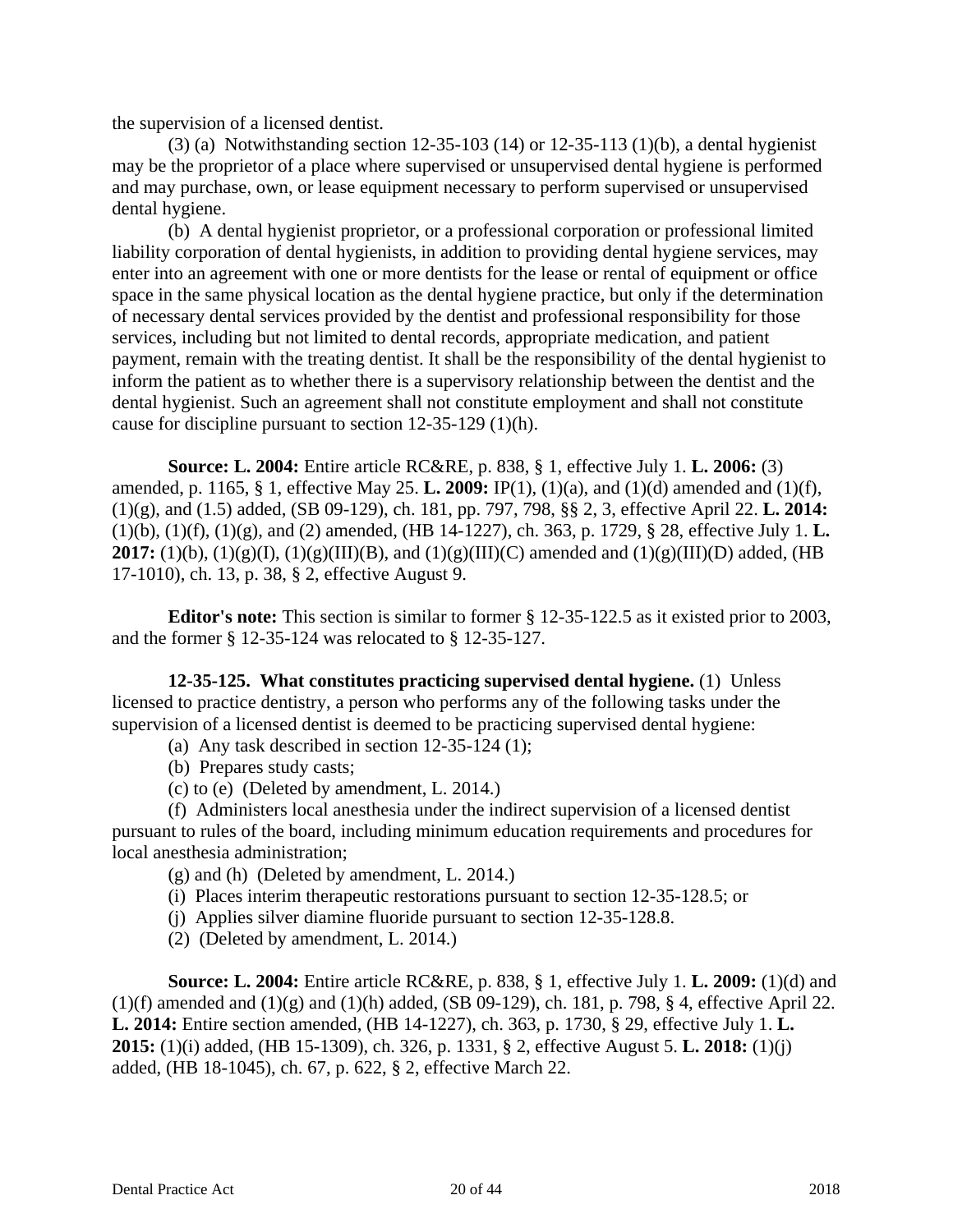the supervision of a licensed dentist.

(3) (a) Notwithstanding section 12-35-103 (14) or 12-35-113 (1)(b), a dental hygienist may be the proprietor of a place where supervised or unsupervised dental hygiene is performed and may purchase, own, or lease equipment necessary to perform supervised or unsupervised dental hygiene.

(b) A dental hygienist proprietor, or a professional corporation or professional limited liability corporation of dental hygienists, in addition to providing dental hygiene services, may enter into an agreement with one or more dentists for the lease or rental of equipment or office space in the same physical location as the dental hygiene practice, but only if the determination of necessary dental services provided by the dentist and professional responsibility for those services, including but not limited to dental records, appropriate medication, and patient payment, remain with the treating dentist. It shall be the responsibility of the dental hygienist to inform the patient as to whether there is a supervisory relationship between the dentist and the dental hygienist. Such an agreement shall not constitute employment and shall not constitute cause for discipline pursuant to section 12-35-129 (1)(h).

**Source: L. 2004:** Entire article RC&RE, p. 838, § 1, effective July 1. **L. 2006:** (3) amended, p. 1165, § 1, effective May 25. **L. 2009:** IP(1), (1)(a), and (1)(d) amended and (1)(f), (1)(g), and (1.5) added, (SB 09-129), ch. 181, pp. 797, 798, §§ 2, 3, effective April 22. **L. 2014:** (1)(b), (1)(f), (1)(g), and (2) amended, (HB 14-1227), ch. 363, p. 1729, § 28, effective July 1. **L. 2017:** (1)(b), (1)(g)(I), (1)(g)(III)(B), and (1)(g)(III)(C) amended and (1)(g)(III)(D) added, (HB 17-1010), ch. 13, p. 38, § 2, effective August 9.

**Editor's note:** This section is similar to former § 12-35-122.5 as it existed prior to 2003, and the former § 12-35-124 was relocated to § 12-35-127.

**12-35-125. What constitutes practicing supervised dental hygiene.** (1) Unless licensed to practice dentistry, a person who performs any of the following tasks under the supervision of a licensed dentist is deemed to be practicing supervised dental hygiene:

- (a) Any task described in section  $12-35-124$  (1);
- (b) Prepares study casts;
- (c) to (e) (Deleted by amendment, L. 2014.)

(f) Administers local anesthesia under the indirect supervision of a licensed dentist pursuant to rules of the board, including minimum education requirements and procedures for local anesthesia administration;

- (g) and (h) (Deleted by amendment, L. 2014.)
- (i) Places interim therapeutic restorations pursuant to section 12-35-128.5; or
- (j) Applies silver diamine fluoride pursuant to section 12-35-128.8.
- (2) (Deleted by amendment, L. 2014.)

**Source: L. 2004:** Entire article RC&RE, p. 838, § 1, effective July 1. **L. 2009:** (1)(d) and  $(1)(f)$  amended and  $(1)(g)$  and  $(1)(h)$  added,  $(SB 09-129)$ , ch. 181, p. 798, § 4, effective April 22. **L. 2014:** Entire section amended, (HB 14-1227), ch. 363, p. 1730, § 29, effective July 1. **L. 2015:** (1)(i) added, (HB 15-1309), ch. 326, p. 1331, § 2, effective August 5. **L. 2018:** (1)(j) added, (HB 18-1045), ch. 67, p. 622, § 2, effective March 22.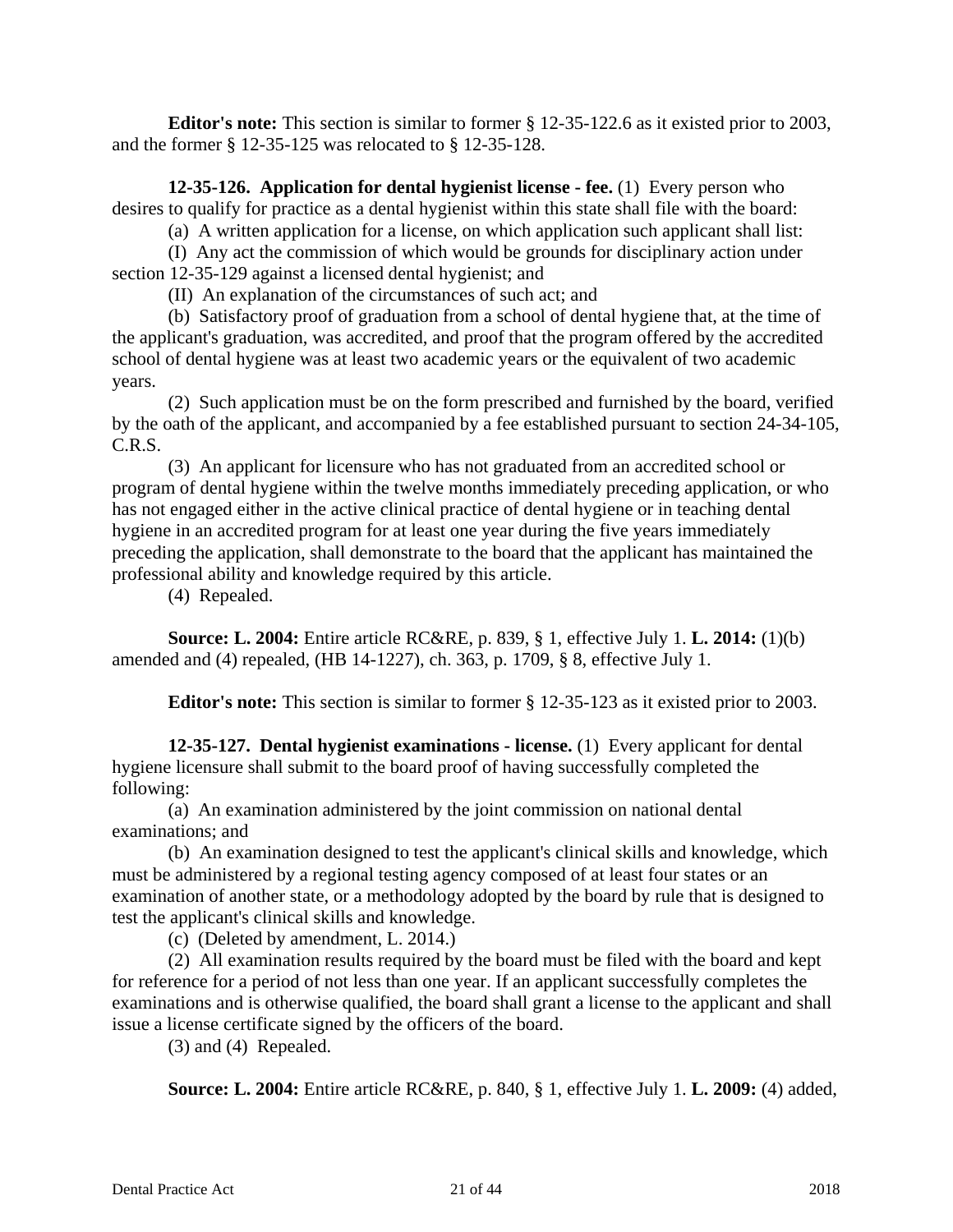**Editor's note:** This section is similar to former § 12-35-122.6 as it existed prior to 2003, and the former § 12-35-125 was relocated to § 12-35-128.

**12-35-126. Application for dental hygienist license - fee.** (1) Every person who desires to qualify for practice as a dental hygienist within this state shall file with the board:

(a) A written application for a license, on which application such applicant shall list:

(I) Any act the commission of which would be grounds for disciplinary action under section 12-35-129 against a licensed dental hygienist; and

(II) An explanation of the circumstances of such act; and

(b) Satisfactory proof of graduation from a school of dental hygiene that, at the time of the applicant's graduation, was accredited, and proof that the program offered by the accredited school of dental hygiene was at least two academic years or the equivalent of two academic years.

(2) Such application must be on the form prescribed and furnished by the board, verified by the oath of the applicant, and accompanied by a fee established pursuant to section 24-34-105, C.R.S.

(3) An applicant for licensure who has not graduated from an accredited school or program of dental hygiene within the twelve months immediately preceding application, or who has not engaged either in the active clinical practice of dental hygiene or in teaching dental hygiene in an accredited program for at least one year during the five years immediately preceding the application, shall demonstrate to the board that the applicant has maintained the professional ability and knowledge required by this article.

(4) Repealed.

**Source: L. 2004:** Entire article RC&RE, p. 839, § 1, effective July 1. **L. 2014:** (1)(b) amended and (4) repealed, (HB 14-1227), ch. 363, p. 1709, § 8, effective July 1.

**Editor's note:** This section is similar to former § 12-35-123 as it existed prior to 2003.

**12-35-127. Dental hygienist examinations - license.** (1) Every applicant for dental hygiene licensure shall submit to the board proof of having successfully completed the following:

(a) An examination administered by the joint commission on national dental examinations; and

(b) An examination designed to test the applicant's clinical skills and knowledge, which must be administered by a regional testing agency composed of at least four states or an examination of another state, or a methodology adopted by the board by rule that is designed to test the applicant's clinical skills and knowledge.

(c) (Deleted by amendment, L. 2014.)

(2) All examination results required by the board must be filed with the board and kept for reference for a period of not less than one year. If an applicant successfully completes the examinations and is otherwise qualified, the board shall grant a license to the applicant and shall issue a license certificate signed by the officers of the board.

(3) and (4) Repealed.

**Source: L. 2004:** Entire article RC&RE, p. 840, § 1, effective July 1. **L. 2009:** (4) added,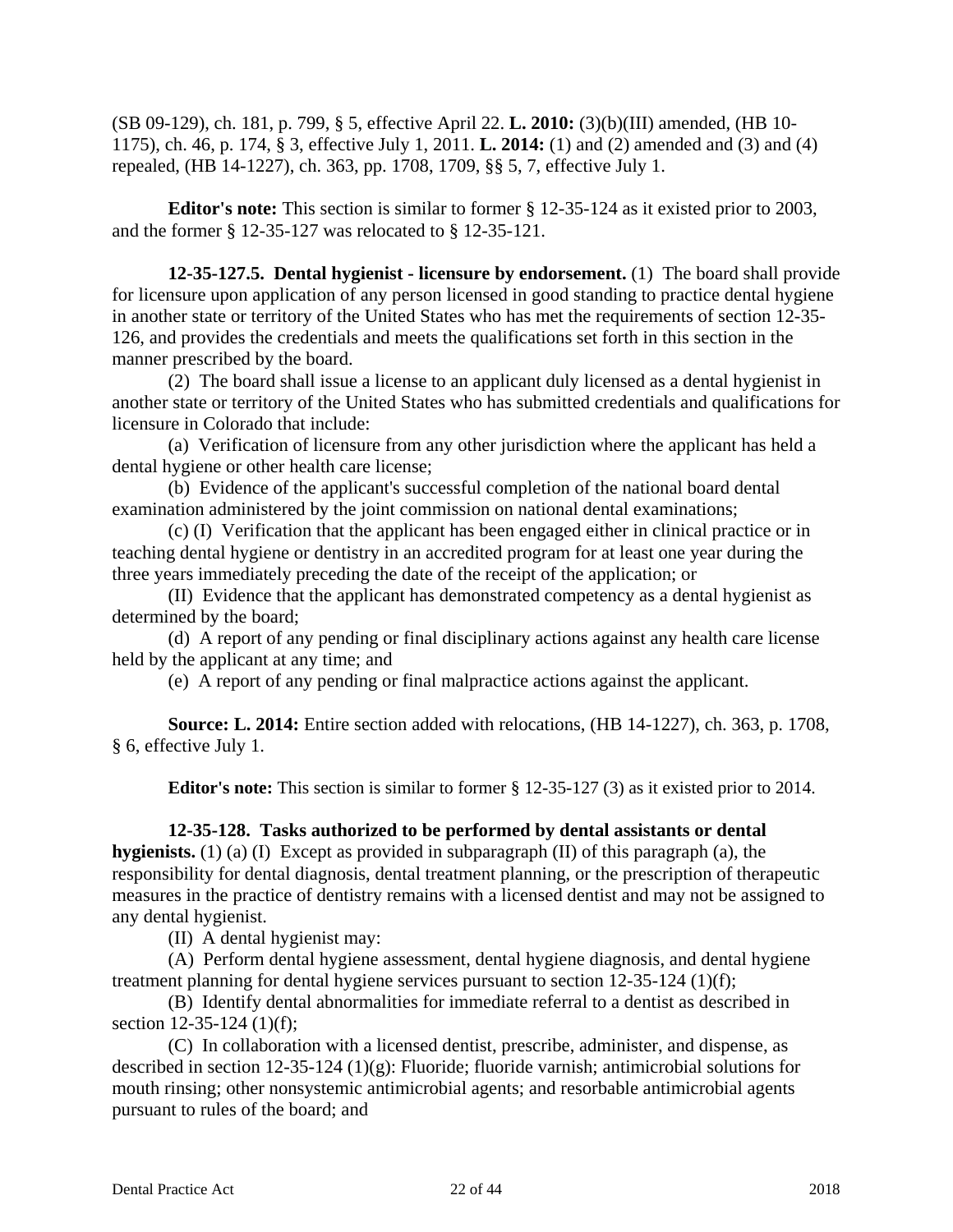(SB 09-129), ch. 181, p. 799, § 5, effective April 22. **L. 2010:** (3)(b)(III) amended, (HB 10- 1175), ch. 46, p. 174, § 3, effective July 1, 2011. **L. 2014:** (1) and (2) amended and (3) and (4) repealed, (HB 14-1227), ch. 363, pp. 1708, 1709, §§ 5, 7, effective July 1.

**Editor's note:** This section is similar to former § 12-35-124 as it existed prior to 2003, and the former § 12-35-127 was relocated to § 12-35-121.

**12-35-127.5. Dental hygienist - licensure by endorsement.** (1) The board shall provide for licensure upon application of any person licensed in good standing to practice dental hygiene in another state or territory of the United States who has met the requirements of section 12-35- 126, and provides the credentials and meets the qualifications set forth in this section in the manner prescribed by the board.

(2) The board shall issue a license to an applicant duly licensed as a dental hygienist in another state or territory of the United States who has submitted credentials and qualifications for licensure in Colorado that include:

(a) Verification of licensure from any other jurisdiction where the applicant has held a dental hygiene or other health care license;

(b) Evidence of the applicant's successful completion of the national board dental examination administered by the joint commission on national dental examinations;

(c) (I) Verification that the applicant has been engaged either in clinical practice or in teaching dental hygiene or dentistry in an accredited program for at least one year during the three years immediately preceding the date of the receipt of the application; or

(II) Evidence that the applicant has demonstrated competency as a dental hygienist as determined by the board;

(d) A report of any pending or final disciplinary actions against any health care license held by the applicant at any time; and

(e) A report of any pending or final malpractice actions against the applicant.

**Source: L. 2014:** Entire section added with relocations, (HB 14-1227), ch. 363, p. 1708, § 6, effective July 1.

**Editor's note:** This section is similar to former § 12-35-127 (3) as it existed prior to 2014.

# **12-35-128. Tasks authorized to be performed by dental assistants or dental**

**hygienists.** (1) (a) (I) Except as provided in subparagraph (II) of this paragraph (a), the responsibility for dental diagnosis, dental treatment planning, or the prescription of therapeutic measures in the practice of dentistry remains with a licensed dentist and may not be assigned to any dental hygienist.

(II) A dental hygienist may:

(A) Perform dental hygiene assessment, dental hygiene diagnosis, and dental hygiene treatment planning for dental hygiene services pursuant to section 12-35-124 (1)(f);

(B) Identify dental abnormalities for immediate referral to a dentist as described in section 12-35-124 (1)(f);

(C) In collaboration with a licensed dentist, prescribe, administer, and dispense, as described in section 12-35-124 (1)(g): Fluoride; fluoride varnish; antimicrobial solutions for mouth rinsing; other nonsystemic antimicrobial agents; and resorbable antimicrobial agents pursuant to rules of the board; and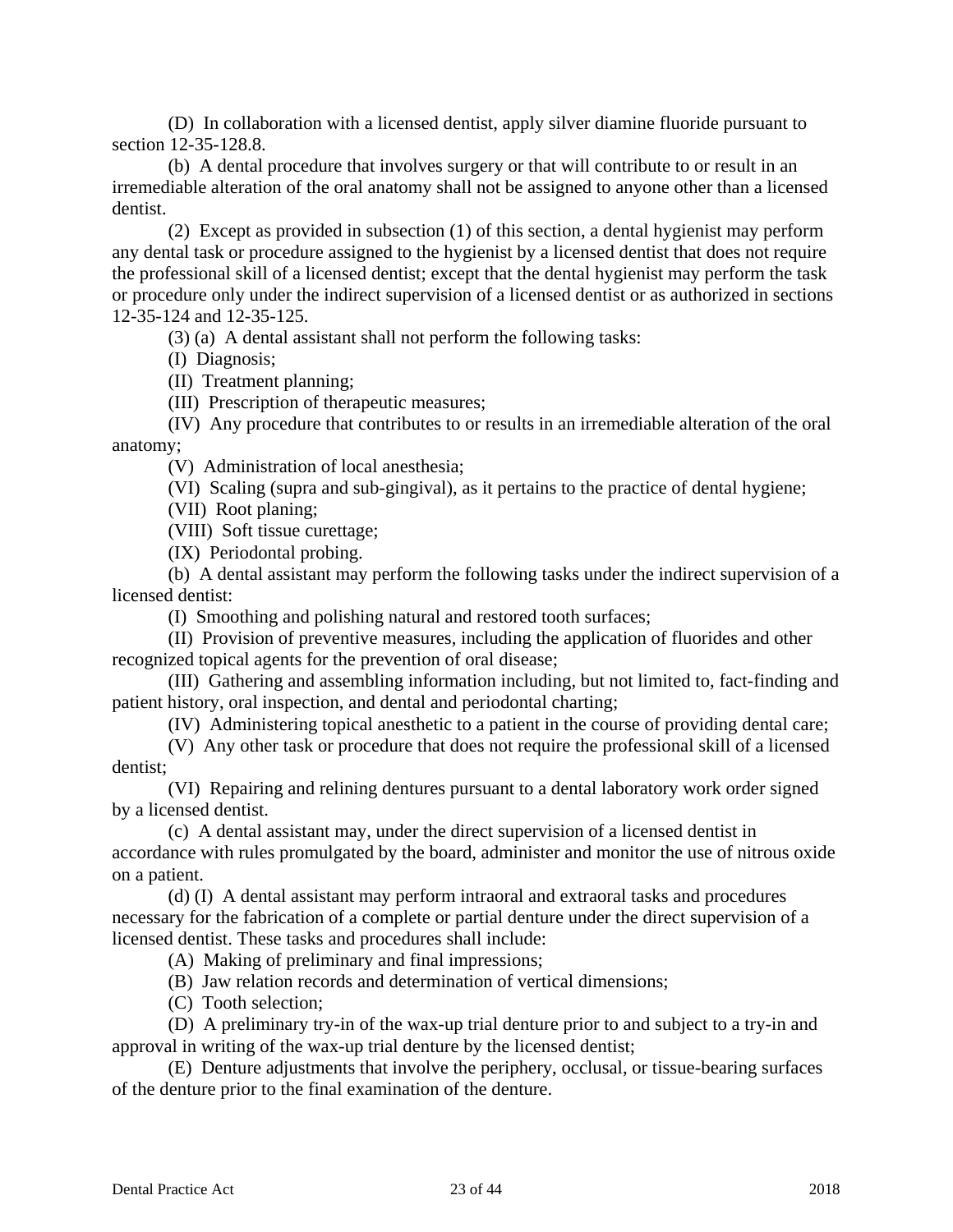(D) In collaboration with a licensed dentist, apply silver diamine fluoride pursuant to section 12-35-128.8.

(b) A dental procedure that involves surgery or that will contribute to or result in an irremediable alteration of the oral anatomy shall not be assigned to anyone other than a licensed dentist.

(2) Except as provided in subsection (1) of this section, a dental hygienist may perform any dental task or procedure assigned to the hygienist by a licensed dentist that does not require the professional skill of a licensed dentist; except that the dental hygienist may perform the task or procedure only under the indirect supervision of a licensed dentist or as authorized in sections 12-35-124 and 12-35-125.

(3) (a) A dental assistant shall not perform the following tasks:

(I) Diagnosis;

(II) Treatment planning;

(III) Prescription of therapeutic measures;

(IV) Any procedure that contributes to or results in an irremediable alteration of the oral anatomy;

(V) Administration of local anesthesia;

(VI) Scaling (supra and sub-gingival), as it pertains to the practice of dental hygiene;

(VII) Root planing;

(VIII) Soft tissue curettage;

(IX) Periodontal probing.

(b) A dental assistant may perform the following tasks under the indirect supervision of a licensed dentist:

(I) Smoothing and polishing natural and restored tooth surfaces;

(II) Provision of preventive measures, including the application of fluorides and other recognized topical agents for the prevention of oral disease;

(III) Gathering and assembling information including, but not limited to, fact-finding and patient history, oral inspection, and dental and periodontal charting;

(IV) Administering topical anesthetic to a patient in the course of providing dental care;

(V) Any other task or procedure that does not require the professional skill of a licensed dentist;

(VI) Repairing and relining dentures pursuant to a dental laboratory work order signed by a licensed dentist.

(c) A dental assistant may, under the direct supervision of a licensed dentist in accordance with rules promulgated by the board, administer and monitor the use of nitrous oxide on a patient.

(d) (I) A dental assistant may perform intraoral and extraoral tasks and procedures necessary for the fabrication of a complete or partial denture under the direct supervision of a licensed dentist. These tasks and procedures shall include:

(A) Making of preliminary and final impressions;

(B) Jaw relation records and determination of vertical dimensions;

(C) Tooth selection;

(D) A preliminary try-in of the wax-up trial denture prior to and subject to a try-in and approval in writing of the wax-up trial denture by the licensed dentist;

(E) Denture adjustments that involve the periphery, occlusal, or tissue-bearing surfaces of the denture prior to the final examination of the denture.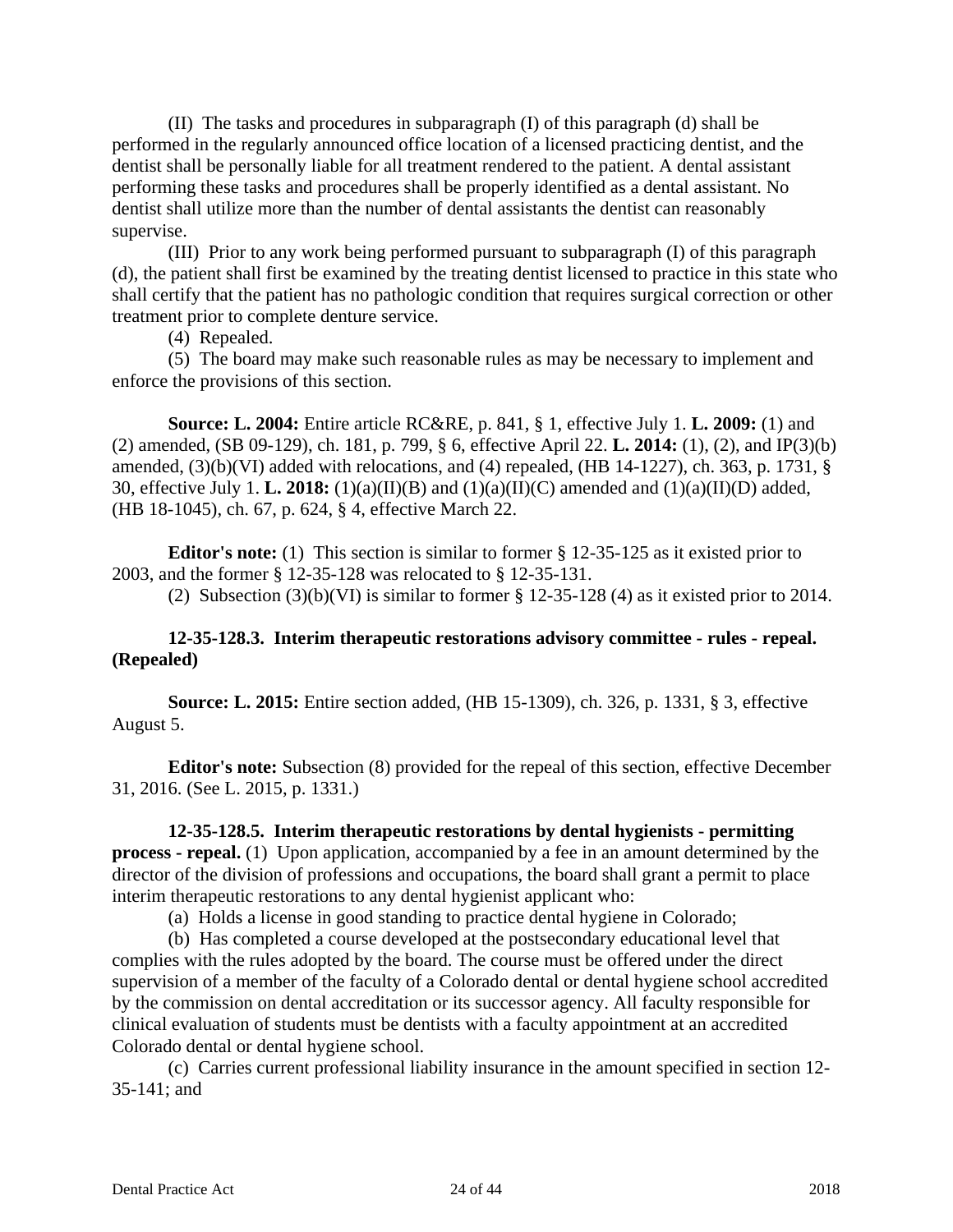(II) The tasks and procedures in subparagraph (I) of this paragraph (d) shall be performed in the regularly announced office location of a licensed practicing dentist, and the dentist shall be personally liable for all treatment rendered to the patient. A dental assistant performing these tasks and procedures shall be properly identified as a dental assistant. No dentist shall utilize more than the number of dental assistants the dentist can reasonably supervise.

(III) Prior to any work being performed pursuant to subparagraph (I) of this paragraph (d), the patient shall first be examined by the treating dentist licensed to practice in this state who shall certify that the patient has no pathologic condition that requires surgical correction or other treatment prior to complete denture service.

(4) Repealed.

(5) The board may make such reasonable rules as may be necessary to implement and enforce the provisions of this section.

**Source: L. 2004:** Entire article RC&RE, p. 841, § 1, effective July 1. **L. 2009:** (1) and (2) amended, (SB 09-129), ch. 181, p. 799, § 6, effective April 22. **L. 2014:** (1), (2), and IP(3)(b) amended,  $(3)(b)(VI)$  added with relocations, and  $(4)$  repealed,  $(HB 14-1227)$ , ch. 363, p. 1731, § 30, effective July 1. **L. 2018:** (1)(a)(II)(B) and (1)(a)(II)(C) amended and (1)(a)(II)(D) added, (HB 18-1045), ch. 67, p. 624, § 4, effective March 22.

**Editor's note:** (1) This section is similar to former § 12-35-125 as it existed prior to 2003, and the former § 12-35-128 was relocated to § 12-35-131.

(2) Subsection  $(3)(b)(VI)$  is similar to former § 12-35-128 (4) as it existed prior to 2014.

### **12-35-128.3. Interim therapeutic restorations advisory committee - rules - repeal. (Repealed)**

**Source: L. 2015:** Entire section added, (HB 15-1309), ch. 326, p. 1331, § 3, effective August 5.

**Editor's note:** Subsection (8) provided for the repeal of this section, effective December 31, 2016. (See L. 2015, p. 1331.)

# **12-35-128.5. Interim therapeutic restorations by dental hygienists - permitting**

**process - repeal.** (1) Upon application, accompanied by a fee in an amount determined by the director of the division of professions and occupations, the board shall grant a permit to place interim therapeutic restorations to any dental hygienist applicant who:

(a) Holds a license in good standing to practice dental hygiene in Colorado;

(b) Has completed a course developed at the postsecondary educational level that complies with the rules adopted by the board. The course must be offered under the direct supervision of a member of the faculty of a Colorado dental or dental hygiene school accredited by the commission on dental accreditation or its successor agency. All faculty responsible for clinical evaluation of students must be dentists with a faculty appointment at an accredited Colorado dental or dental hygiene school.

(c) Carries current professional liability insurance in the amount specified in section 12- 35-141; and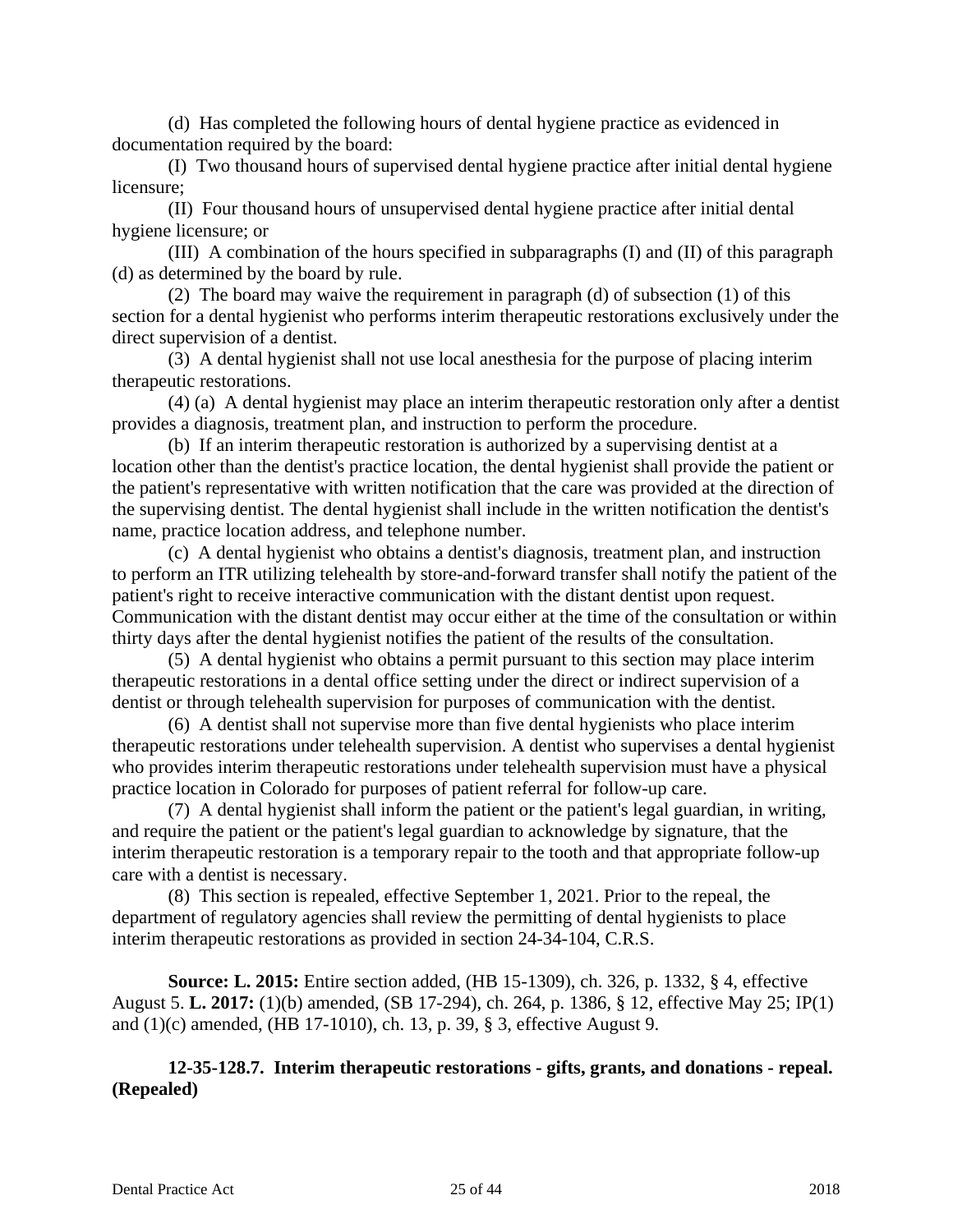(d) Has completed the following hours of dental hygiene practice as evidenced in documentation required by the board:

(I) Two thousand hours of supervised dental hygiene practice after initial dental hygiene licensure;

(II) Four thousand hours of unsupervised dental hygiene practice after initial dental hygiene licensure; or

(III) A combination of the hours specified in subparagraphs (I) and (II) of this paragraph (d) as determined by the board by rule.

(2) The board may waive the requirement in paragraph (d) of subsection (1) of this section for a dental hygienist who performs interim therapeutic restorations exclusively under the direct supervision of a dentist.

(3) A dental hygienist shall not use local anesthesia for the purpose of placing interim therapeutic restorations.

(4) (a) A dental hygienist may place an interim therapeutic restoration only after a dentist provides a diagnosis, treatment plan, and instruction to perform the procedure.

(b) If an interim therapeutic restoration is authorized by a supervising dentist at a location other than the dentist's practice location, the dental hygienist shall provide the patient or the patient's representative with written notification that the care was provided at the direction of the supervising dentist. The dental hygienist shall include in the written notification the dentist's name, practice location address, and telephone number.

(c) A dental hygienist who obtains a dentist's diagnosis, treatment plan, and instruction to perform an ITR utilizing telehealth by store-and-forward transfer shall notify the patient of the patient's right to receive interactive communication with the distant dentist upon request. Communication with the distant dentist may occur either at the time of the consultation or within thirty days after the dental hygienist notifies the patient of the results of the consultation.

(5) A dental hygienist who obtains a permit pursuant to this section may place interim therapeutic restorations in a dental office setting under the direct or indirect supervision of a dentist or through telehealth supervision for purposes of communication with the dentist.

(6) A dentist shall not supervise more than five dental hygienists who place interim therapeutic restorations under telehealth supervision. A dentist who supervises a dental hygienist who provides interim therapeutic restorations under telehealth supervision must have a physical practice location in Colorado for purposes of patient referral for follow-up care.

(7) A dental hygienist shall inform the patient or the patient's legal guardian, in writing, and require the patient or the patient's legal guardian to acknowledge by signature, that the interim therapeutic restoration is a temporary repair to the tooth and that appropriate follow-up care with a dentist is necessary.

(8) This section is repealed, effective September 1, 2021. Prior to the repeal, the department of regulatory agencies shall review the permitting of dental hygienists to place interim therapeutic restorations as provided in section 24-34-104, C.R.S.

**Source: L. 2015:** Entire section added, (HB 15-1309), ch. 326, p. 1332, § 4, effective August 5. **L. 2017:** (1)(b) amended, (SB 17-294), ch. 264, p. 1386, § 12, effective May 25; IP(1) and (1)(c) amended, (HB 17-1010), ch. 13, p. 39, § 3, effective August 9.

# **12-35-128.7. Interim therapeutic restorations - gifts, grants, and donations - repeal. (Repealed)**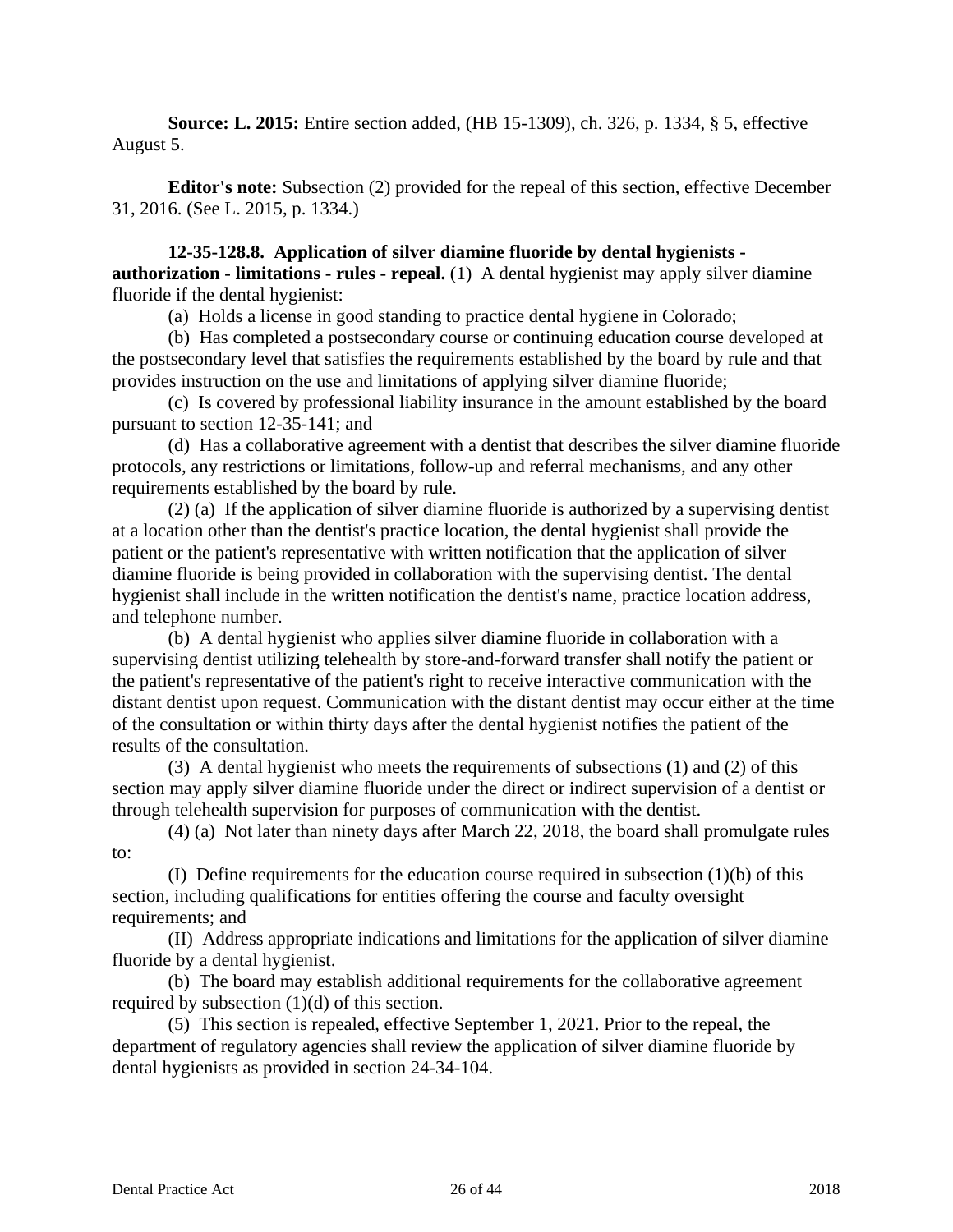**Source: L. 2015:** Entire section added, (HB 15-1309), ch. 326, p. 1334, § 5, effective August 5.

**Editor's note:** Subsection (2) provided for the repeal of this section, effective December 31, 2016. (See L. 2015, p. 1334.)

**12-35-128.8. Application of silver diamine fluoride by dental hygienists authorization - limitations - rules - repeal.** (1) A dental hygienist may apply silver diamine fluoride if the dental hygienist:

(a) Holds a license in good standing to practice dental hygiene in Colorado;

(b) Has completed a postsecondary course or continuing education course developed at the postsecondary level that satisfies the requirements established by the board by rule and that provides instruction on the use and limitations of applying silver diamine fluoride;

(c) Is covered by professional liability insurance in the amount established by the board pursuant to section 12-35-141; and

(d) Has a collaborative agreement with a dentist that describes the silver diamine fluoride protocols, any restrictions or limitations, follow-up and referral mechanisms, and any other requirements established by the board by rule.

(2) (a) If the application of silver diamine fluoride is authorized by a supervising dentist at a location other than the dentist's practice location, the dental hygienist shall provide the patient or the patient's representative with written notification that the application of silver diamine fluoride is being provided in collaboration with the supervising dentist. The dental hygienist shall include in the written notification the dentist's name, practice location address, and telephone number.

(b) A dental hygienist who applies silver diamine fluoride in collaboration with a supervising dentist utilizing telehealth by store-and-forward transfer shall notify the patient or the patient's representative of the patient's right to receive interactive communication with the distant dentist upon request. Communication with the distant dentist may occur either at the time of the consultation or within thirty days after the dental hygienist notifies the patient of the results of the consultation.

(3) A dental hygienist who meets the requirements of subsections (1) and (2) of this section may apply silver diamine fluoride under the direct or indirect supervision of a dentist or through telehealth supervision for purposes of communication with the dentist.

(4) (a) Not later than ninety days after March 22, 2018, the board shall promulgate rules to:

(I) Define requirements for the education course required in subsection  $(1)(b)$  of this section, including qualifications for entities offering the course and faculty oversight requirements; and

(II) Address appropriate indications and limitations for the application of silver diamine fluoride by a dental hygienist.

(b) The board may establish additional requirements for the collaborative agreement required by subsection (1)(d) of this section.

(5) This section is repealed, effective September 1, 2021. Prior to the repeal, the department of regulatory agencies shall review the application of silver diamine fluoride by dental hygienists as provided in section 24-34-104.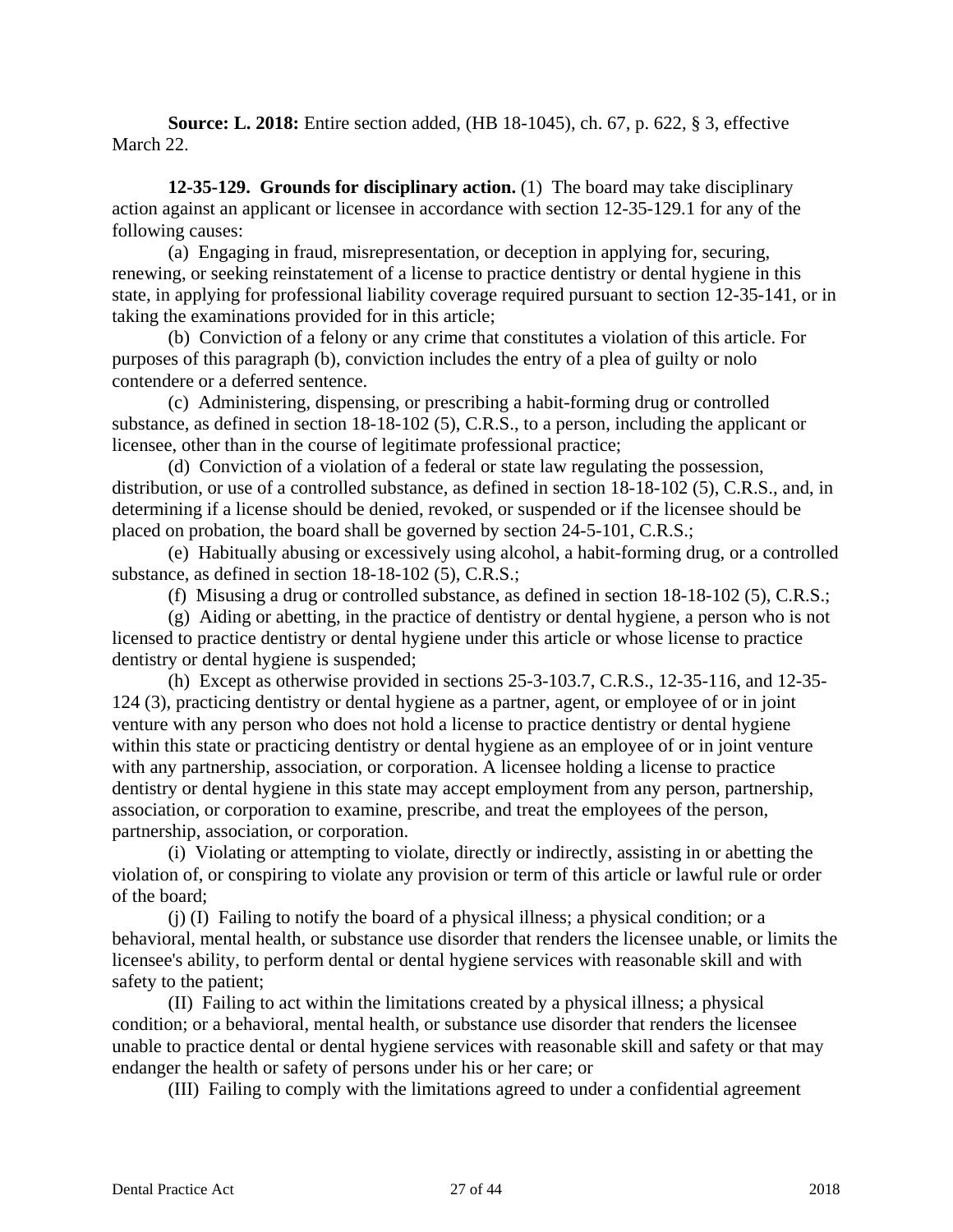**Source: L. 2018:** Entire section added, (HB 18-1045), ch. 67, p. 622, § 3, effective March 22.

**12-35-129. Grounds for disciplinary action.** (1) The board may take disciplinary action against an applicant or licensee in accordance with section 12-35-129.1 for any of the following causes:

(a) Engaging in fraud, misrepresentation, or deception in applying for, securing, renewing, or seeking reinstatement of a license to practice dentistry or dental hygiene in this state, in applying for professional liability coverage required pursuant to section 12-35-141, or in taking the examinations provided for in this article;

(b) Conviction of a felony or any crime that constitutes a violation of this article. For purposes of this paragraph (b), conviction includes the entry of a plea of guilty or nolo contendere or a deferred sentence.

(c) Administering, dispensing, or prescribing a habit-forming drug or controlled substance, as defined in section 18-18-102 (5), C.R.S., to a person, including the applicant or licensee, other than in the course of legitimate professional practice;

(d) Conviction of a violation of a federal or state law regulating the possession, distribution, or use of a controlled substance, as defined in section 18-18-102 (5), C.R.S., and, in determining if a license should be denied, revoked, or suspended or if the licensee should be placed on probation, the board shall be governed by section 24-5-101, C.R.S.;

(e) Habitually abusing or excessively using alcohol, a habit-forming drug, or a controlled substance, as defined in section 18-18-102 (5), C.R.S.;

(f) Misusing a drug or controlled substance, as defined in section 18-18-102 (5), C.R.S.;

(g) Aiding or abetting, in the practice of dentistry or dental hygiene, a person who is not licensed to practice dentistry or dental hygiene under this article or whose license to practice dentistry or dental hygiene is suspended;

(h) Except as otherwise provided in sections 25-3-103.7, C.R.S., 12-35-116, and 12-35- 124 (3), practicing dentistry or dental hygiene as a partner, agent, or employee of or in joint venture with any person who does not hold a license to practice dentistry or dental hygiene within this state or practicing dentistry or dental hygiene as an employee of or in joint venture with any partnership, association, or corporation. A licensee holding a license to practice dentistry or dental hygiene in this state may accept employment from any person, partnership, association, or corporation to examine, prescribe, and treat the employees of the person, partnership, association, or corporation.

(i) Violating or attempting to violate, directly or indirectly, assisting in or abetting the violation of, or conspiring to violate any provision or term of this article or lawful rule or order of the board;

(j) (I) Failing to notify the board of a physical illness; a physical condition; or a behavioral, mental health, or substance use disorder that renders the licensee unable, or limits the licensee's ability, to perform dental or dental hygiene services with reasonable skill and with safety to the patient;

(II) Failing to act within the limitations created by a physical illness; a physical condition; or a behavioral, mental health, or substance use disorder that renders the licensee unable to practice dental or dental hygiene services with reasonable skill and safety or that may endanger the health or safety of persons under his or her care; or

(III) Failing to comply with the limitations agreed to under a confidential agreement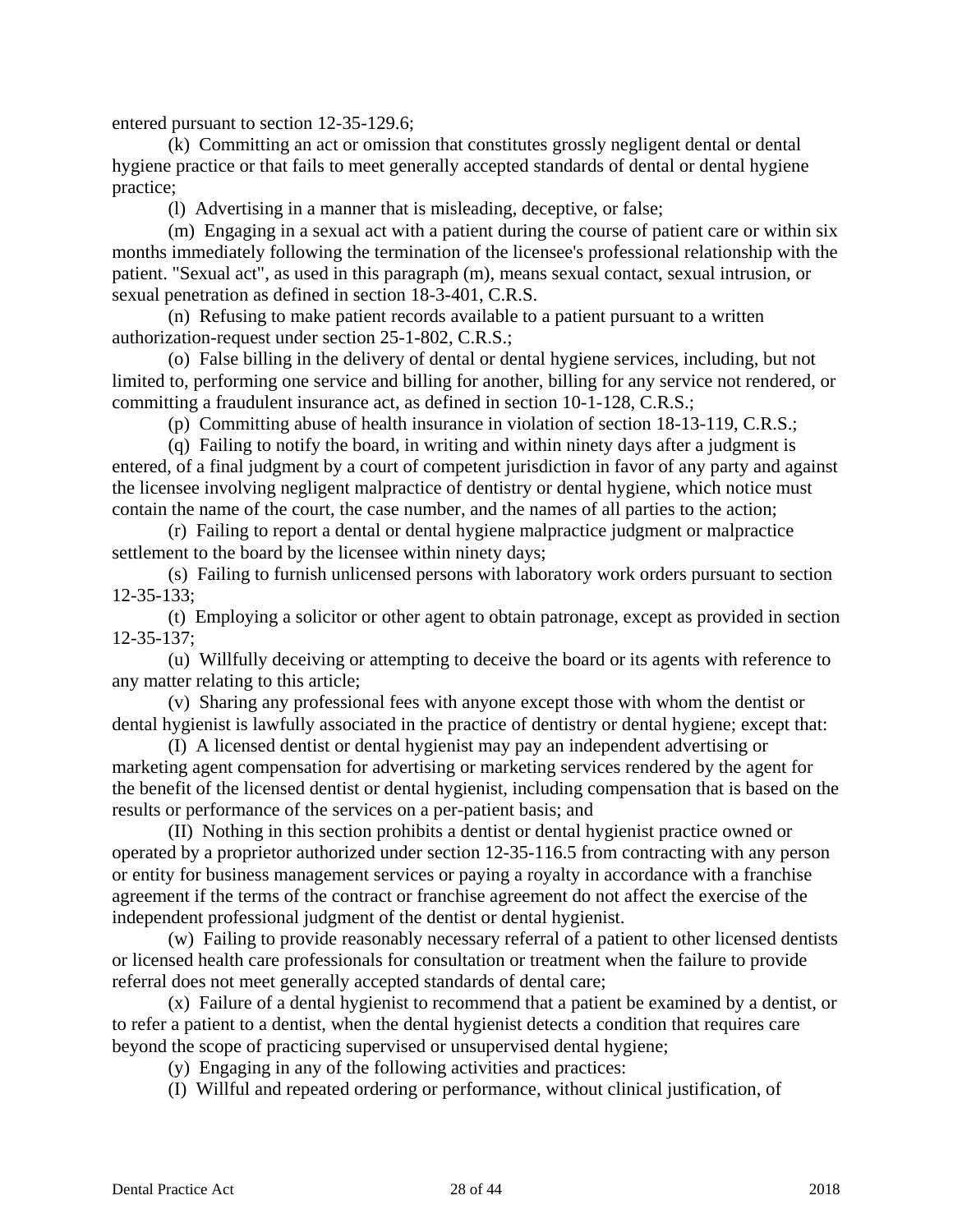entered pursuant to section 12-35-129.6;

(k) Committing an act or omission that constitutes grossly negligent dental or dental hygiene practice or that fails to meet generally accepted standards of dental or dental hygiene practice;

(l) Advertising in a manner that is misleading, deceptive, or false;

(m) Engaging in a sexual act with a patient during the course of patient care or within six months immediately following the termination of the licensee's professional relationship with the patient. "Sexual act", as used in this paragraph (m), means sexual contact, sexual intrusion, or sexual penetration as defined in section 18-3-401, C.R.S.

(n) Refusing to make patient records available to a patient pursuant to a written authorization-request under section 25-1-802, C.R.S.;

(o) False billing in the delivery of dental or dental hygiene services, including, but not limited to, performing one service and billing for another, billing for any service not rendered, or committing a fraudulent insurance act, as defined in section 10-1-128, C.R.S.;

(p) Committing abuse of health insurance in violation of section 18-13-119, C.R.S.;

(q) Failing to notify the board, in writing and within ninety days after a judgment is entered, of a final judgment by a court of competent jurisdiction in favor of any party and against the licensee involving negligent malpractice of dentistry or dental hygiene, which notice must contain the name of the court, the case number, and the names of all parties to the action;

(r) Failing to report a dental or dental hygiene malpractice judgment or malpractice settlement to the board by the licensee within ninety days;

(s) Failing to furnish unlicensed persons with laboratory work orders pursuant to section 12-35-133;

(t) Employing a solicitor or other agent to obtain patronage, except as provided in section 12-35-137;

(u) Willfully deceiving or attempting to deceive the board or its agents with reference to any matter relating to this article;

(v) Sharing any professional fees with anyone except those with whom the dentist or dental hygienist is lawfully associated in the practice of dentistry or dental hygiene; except that:

(I) A licensed dentist or dental hygienist may pay an independent advertising or marketing agent compensation for advertising or marketing services rendered by the agent for the benefit of the licensed dentist or dental hygienist, including compensation that is based on the results or performance of the services on a per-patient basis; and

(II) Nothing in this section prohibits a dentist or dental hygienist practice owned or operated by a proprietor authorized under section 12-35-116.5 from contracting with any person or entity for business management services or paying a royalty in accordance with a franchise agreement if the terms of the contract or franchise agreement do not affect the exercise of the independent professional judgment of the dentist or dental hygienist.

(w) Failing to provide reasonably necessary referral of a patient to other licensed dentists or licensed health care professionals for consultation or treatment when the failure to provide referral does not meet generally accepted standards of dental care;

(x) Failure of a dental hygienist to recommend that a patient be examined by a dentist, or to refer a patient to a dentist, when the dental hygienist detects a condition that requires care beyond the scope of practicing supervised or unsupervised dental hygiene;

(y) Engaging in any of the following activities and practices:

(I) Willful and repeated ordering or performance, without clinical justification, of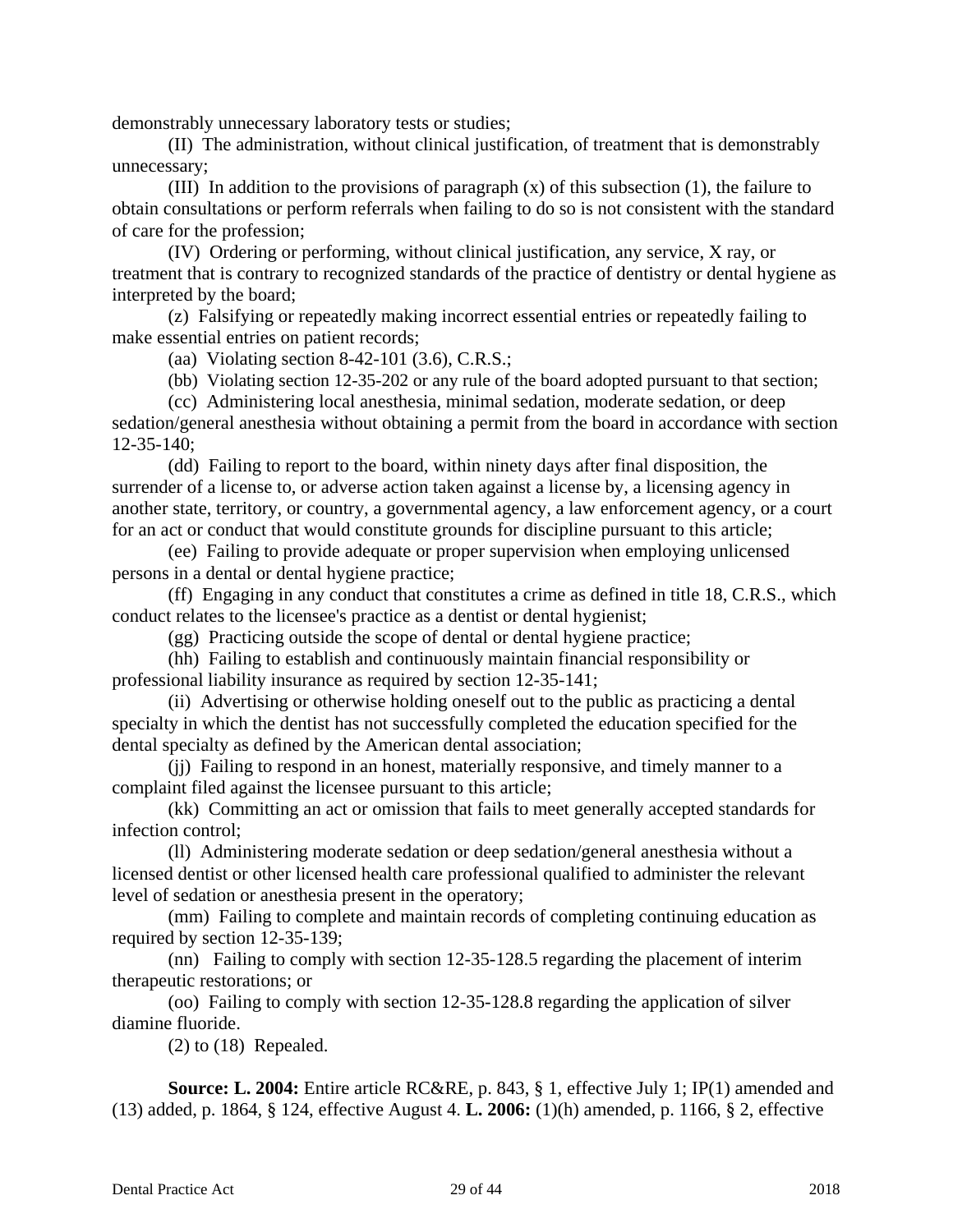demonstrably unnecessary laboratory tests or studies;

(II) The administration, without clinical justification, of treatment that is demonstrably unnecessary;

(III) In addition to the provisions of paragraph (x) of this subsection (1), the failure to obtain consultations or perform referrals when failing to do so is not consistent with the standard of care for the profession;

(IV) Ordering or performing, without clinical justification, any service, X ray, or treatment that is contrary to recognized standards of the practice of dentistry or dental hygiene as interpreted by the board;

(z) Falsifying or repeatedly making incorrect essential entries or repeatedly failing to make essential entries on patient records;

(aa) Violating section 8-42-101 (3.6), C.R.S.;

(bb) Violating section 12-35-202 or any rule of the board adopted pursuant to that section;

(cc) Administering local anesthesia, minimal sedation, moderate sedation, or deep sedation/general anesthesia without obtaining a permit from the board in accordance with section 12-35-140;

(dd) Failing to report to the board, within ninety days after final disposition, the surrender of a license to, or adverse action taken against a license by, a licensing agency in another state, territory, or country, a governmental agency, a law enforcement agency, or a court for an act or conduct that would constitute grounds for discipline pursuant to this article;

(ee) Failing to provide adequate or proper supervision when employing unlicensed persons in a dental or dental hygiene practice;

(ff) Engaging in any conduct that constitutes a crime as defined in title 18, C.R.S., which conduct relates to the licensee's practice as a dentist or dental hygienist;

(gg) Practicing outside the scope of dental or dental hygiene practice;

(hh) Failing to establish and continuously maintain financial responsibility or professional liability insurance as required by section 12-35-141;

(ii) Advertising or otherwise holding oneself out to the public as practicing a dental specialty in which the dentist has not successfully completed the education specified for the dental specialty as defined by the American dental association;

(jj) Failing to respond in an honest, materially responsive, and timely manner to a complaint filed against the licensee pursuant to this article;

(kk) Committing an act or omission that fails to meet generally accepted standards for infection control;

(ll) Administering moderate sedation or deep sedation/general anesthesia without a licensed dentist or other licensed health care professional qualified to administer the relevant level of sedation or anesthesia present in the operatory;

(mm) Failing to complete and maintain records of completing continuing education as required by section 12-35-139;

(nn) Failing to comply with section 12-35-128.5 regarding the placement of interim therapeutic restorations; or

(oo) Failing to comply with section 12-35-128.8 regarding the application of silver diamine fluoride.

(2) to (18) Repealed.

**Source: L. 2004:** Entire article RC&RE, p. 843, § 1, effective July 1; IP(1) amended and (13) added, p. 1864, § 124, effective August 4. **L. 2006:** (1)(h) amended, p. 1166, § 2, effective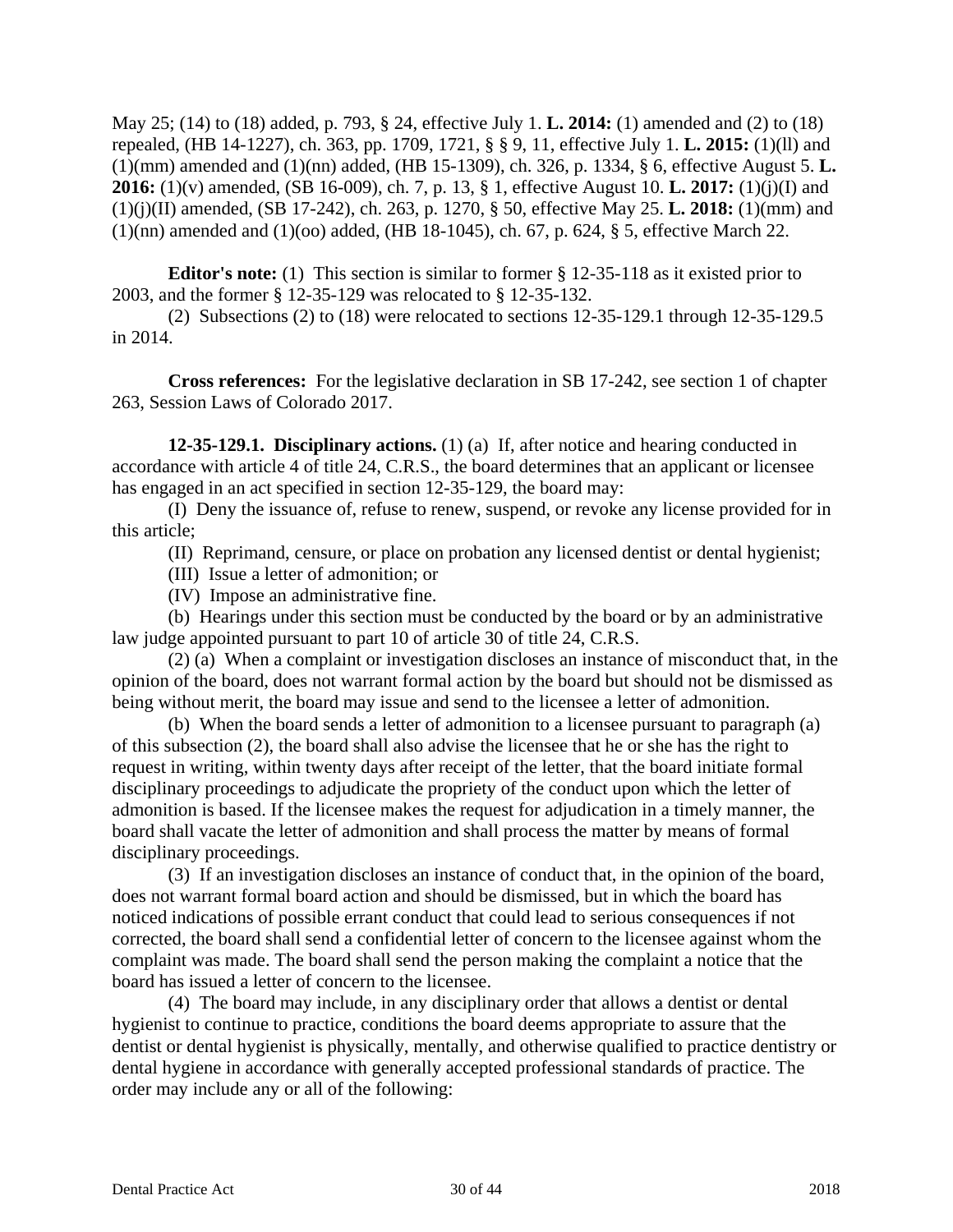May 25; (14) to (18) added, p. 793, § 24, effective July 1. **L. 2014:** (1) amended and (2) to (18) repealed, (HB 14-1227), ch. 363, pp. 1709, 1721, § § 9, 11, effective July 1. **L. 2015:** (1)(ll) and (1)(mm) amended and (1)(nn) added, (HB 15-1309), ch. 326, p. 1334, § 6, effective August 5. **L. 2016:** (1)(v) amended, (SB 16-009), ch. 7, p. 13, § 1, effective August 10. **L. 2017:** (1)(j)(I) and (1)(j)(II) amended, (SB 17-242), ch. 263, p. 1270, § 50, effective May 25. **L. 2018:** (1)(mm) and (1)(nn) amended and (1)(oo) added, (HB 18-1045), ch. 67, p. 624, § 5, effective March 22.

**Editor's note:** (1) This section is similar to former § 12-35-118 as it existed prior to 2003, and the former § 12-35-129 was relocated to § 12-35-132.

(2) Subsections (2) to (18) were relocated to sections 12-35-129.1 through 12-35-129.5 in 2014.

**Cross references:** For the legislative declaration in SB 17-242, see section 1 of chapter 263, Session Laws of Colorado 2017.

**12-35-129.1. Disciplinary actions.** (1) (a) If, after notice and hearing conducted in accordance with article 4 of title 24, C.R.S., the board determines that an applicant or licensee has engaged in an act specified in section 12-35-129, the board may:

(I) Deny the issuance of, refuse to renew, suspend, or revoke any license provided for in this article;

(II) Reprimand, censure, or place on probation any licensed dentist or dental hygienist;

(III) Issue a letter of admonition; or

(IV) Impose an administrative fine.

(b) Hearings under this section must be conducted by the board or by an administrative law judge appointed pursuant to part 10 of article 30 of title 24, C.R.S.

(2) (a) When a complaint or investigation discloses an instance of misconduct that, in the opinion of the board, does not warrant formal action by the board but should not be dismissed as being without merit, the board may issue and send to the licensee a letter of admonition.

(b) When the board sends a letter of admonition to a licensee pursuant to paragraph (a) of this subsection (2), the board shall also advise the licensee that he or she has the right to request in writing, within twenty days after receipt of the letter, that the board initiate formal disciplinary proceedings to adjudicate the propriety of the conduct upon which the letter of admonition is based. If the licensee makes the request for adjudication in a timely manner, the board shall vacate the letter of admonition and shall process the matter by means of formal disciplinary proceedings.

(3) If an investigation discloses an instance of conduct that, in the opinion of the board, does not warrant formal board action and should be dismissed, but in which the board has noticed indications of possible errant conduct that could lead to serious consequences if not corrected, the board shall send a confidential letter of concern to the licensee against whom the complaint was made. The board shall send the person making the complaint a notice that the board has issued a letter of concern to the licensee.

(4) The board may include, in any disciplinary order that allows a dentist or dental hygienist to continue to practice, conditions the board deems appropriate to assure that the dentist or dental hygienist is physically, mentally, and otherwise qualified to practice dentistry or dental hygiene in accordance with generally accepted professional standards of practice. The order may include any or all of the following: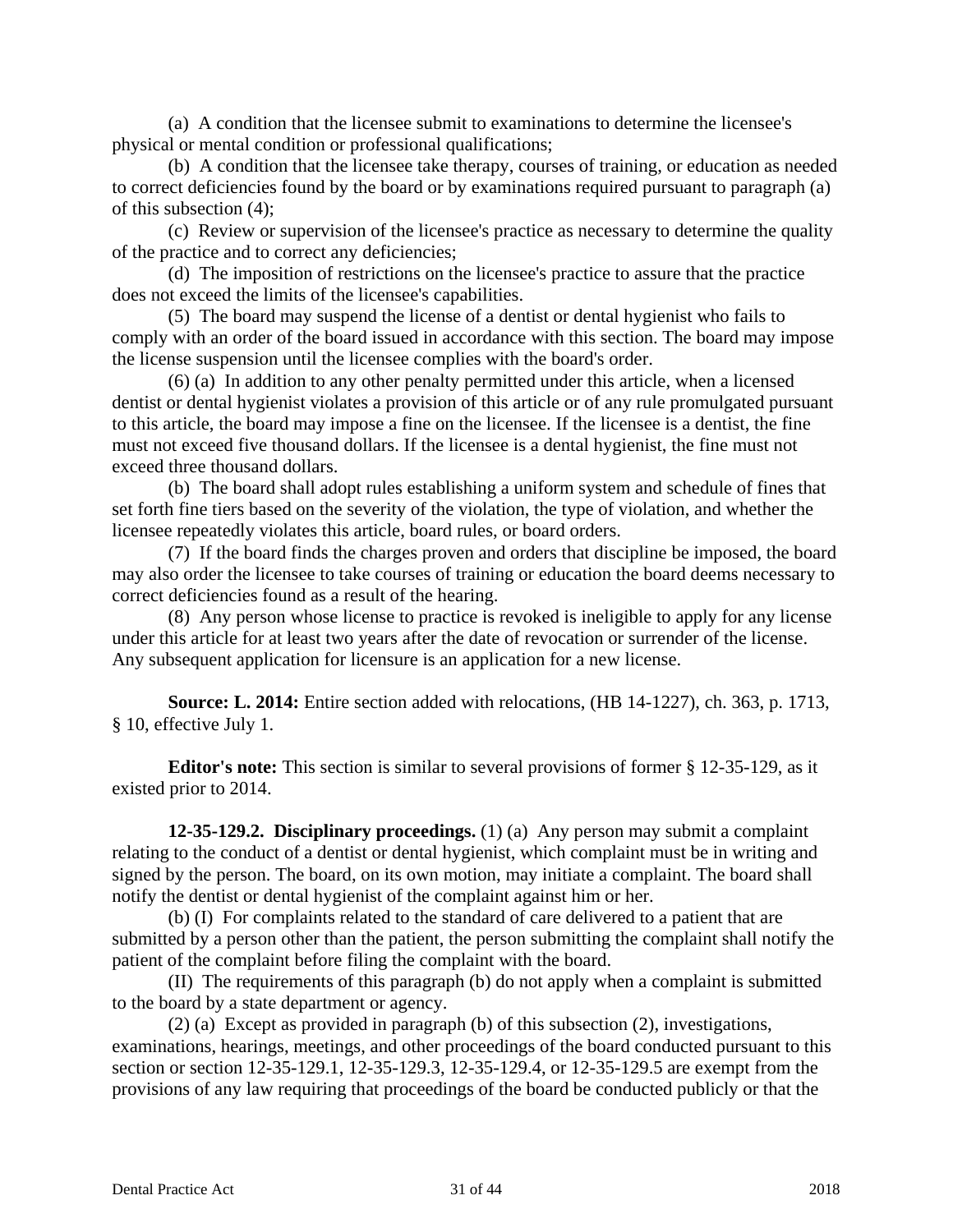(a) A condition that the licensee submit to examinations to determine the licensee's physical or mental condition or professional qualifications;

(b) A condition that the licensee take therapy, courses of training, or education as needed to correct deficiencies found by the board or by examinations required pursuant to paragraph (a) of this subsection (4);

(c) Review or supervision of the licensee's practice as necessary to determine the quality of the practice and to correct any deficiencies;

(d) The imposition of restrictions on the licensee's practice to assure that the practice does not exceed the limits of the licensee's capabilities.

(5) The board may suspend the license of a dentist or dental hygienist who fails to comply with an order of the board issued in accordance with this section. The board may impose the license suspension until the licensee complies with the board's order.

(6) (a) In addition to any other penalty permitted under this article, when a licensed dentist or dental hygienist violates a provision of this article or of any rule promulgated pursuant to this article, the board may impose a fine on the licensee. If the licensee is a dentist, the fine must not exceed five thousand dollars. If the licensee is a dental hygienist, the fine must not exceed three thousand dollars.

(b) The board shall adopt rules establishing a uniform system and schedule of fines that set forth fine tiers based on the severity of the violation, the type of violation, and whether the licensee repeatedly violates this article, board rules, or board orders.

(7) If the board finds the charges proven and orders that discipline be imposed, the board may also order the licensee to take courses of training or education the board deems necessary to correct deficiencies found as a result of the hearing.

(8) Any person whose license to practice is revoked is ineligible to apply for any license under this article for at least two years after the date of revocation or surrender of the license. Any subsequent application for licensure is an application for a new license.

**Source: L. 2014:** Entire section added with relocations, (HB 14-1227), ch. 363, p. 1713, § 10, effective July 1.

**Editor's note:** This section is similar to several provisions of former § 12-35-129, as it existed prior to 2014.

**12-35-129.2. Disciplinary proceedings.** (1) (a) Any person may submit a complaint relating to the conduct of a dentist or dental hygienist, which complaint must be in writing and signed by the person. The board, on its own motion, may initiate a complaint. The board shall notify the dentist or dental hygienist of the complaint against him or her.

(b) (I) For complaints related to the standard of care delivered to a patient that are submitted by a person other than the patient, the person submitting the complaint shall notify the patient of the complaint before filing the complaint with the board.

(II) The requirements of this paragraph (b) do not apply when a complaint is submitted to the board by a state department or agency.

(2) (a) Except as provided in paragraph (b) of this subsection (2), investigations, examinations, hearings, meetings, and other proceedings of the board conducted pursuant to this section or section 12-35-129.1, 12-35-129.3, 12-35-129.4, or 12-35-129.5 are exempt from the provisions of any law requiring that proceedings of the board be conducted publicly or that the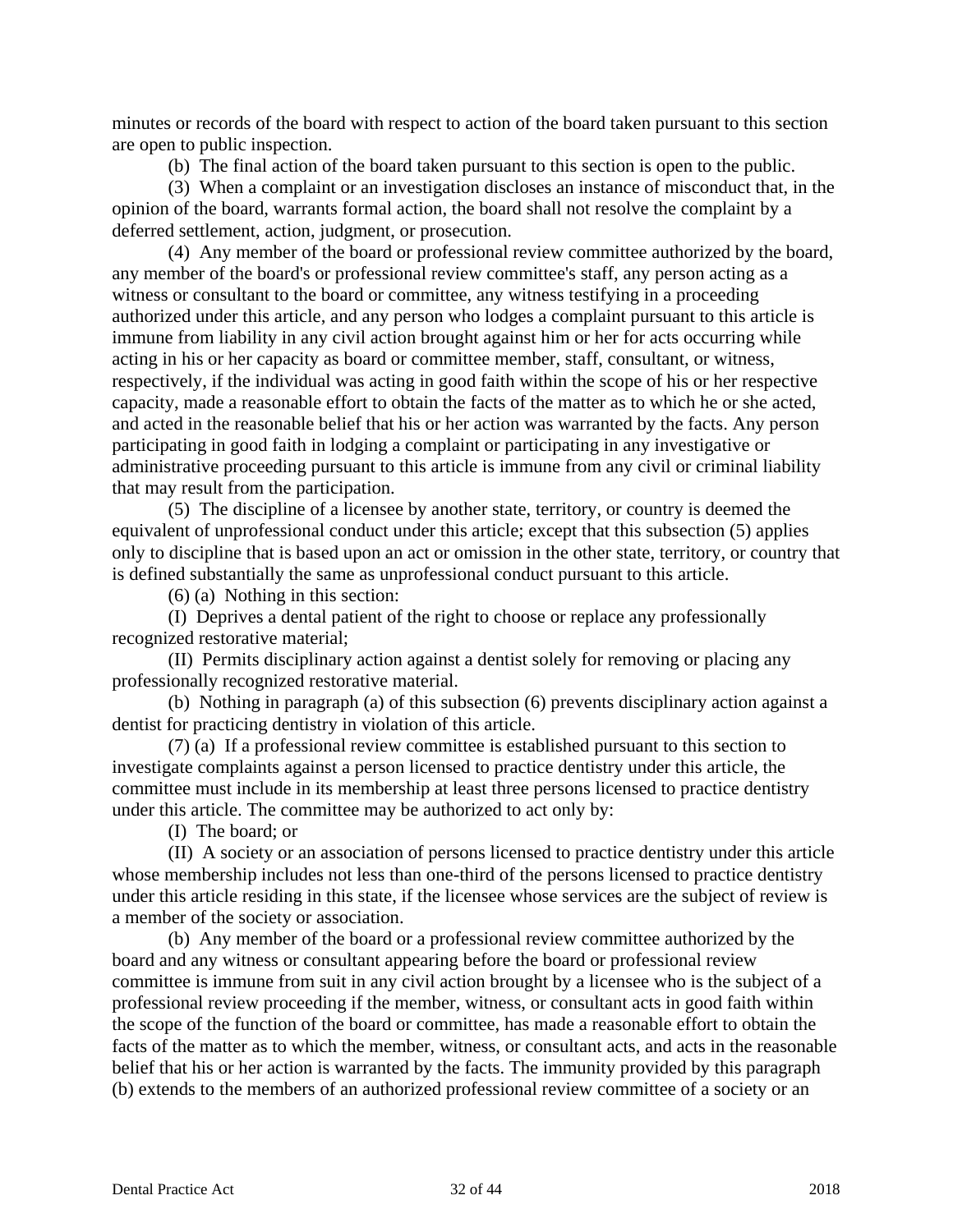minutes or records of the board with respect to action of the board taken pursuant to this section are open to public inspection.

(b) The final action of the board taken pursuant to this section is open to the public.

(3) When a complaint or an investigation discloses an instance of misconduct that, in the opinion of the board, warrants formal action, the board shall not resolve the complaint by a deferred settlement, action, judgment, or prosecution.

(4) Any member of the board or professional review committee authorized by the board, any member of the board's or professional review committee's staff, any person acting as a witness or consultant to the board or committee, any witness testifying in a proceeding authorized under this article, and any person who lodges a complaint pursuant to this article is immune from liability in any civil action brought against him or her for acts occurring while acting in his or her capacity as board or committee member, staff, consultant, or witness, respectively, if the individual was acting in good faith within the scope of his or her respective capacity, made a reasonable effort to obtain the facts of the matter as to which he or she acted, and acted in the reasonable belief that his or her action was warranted by the facts. Any person participating in good faith in lodging a complaint or participating in any investigative or administrative proceeding pursuant to this article is immune from any civil or criminal liability that may result from the participation.

(5) The discipline of a licensee by another state, territory, or country is deemed the equivalent of unprofessional conduct under this article; except that this subsection (5) applies only to discipline that is based upon an act or omission in the other state, territory, or country that is defined substantially the same as unprofessional conduct pursuant to this article.

(6) (a) Nothing in this section:

(I) Deprives a dental patient of the right to choose or replace any professionally recognized restorative material;

(II) Permits disciplinary action against a dentist solely for removing or placing any professionally recognized restorative material.

(b) Nothing in paragraph (a) of this subsection (6) prevents disciplinary action against a dentist for practicing dentistry in violation of this article.

(7) (a) If a professional review committee is established pursuant to this section to investigate complaints against a person licensed to practice dentistry under this article, the committee must include in its membership at least three persons licensed to practice dentistry under this article. The committee may be authorized to act only by:

(I) The board; or

(II) A society or an association of persons licensed to practice dentistry under this article whose membership includes not less than one-third of the persons licensed to practice dentistry under this article residing in this state, if the licensee whose services are the subject of review is a member of the society or association.

(b) Any member of the board or a professional review committee authorized by the board and any witness or consultant appearing before the board or professional review committee is immune from suit in any civil action brought by a licensee who is the subject of a professional review proceeding if the member, witness, or consultant acts in good faith within the scope of the function of the board or committee, has made a reasonable effort to obtain the facts of the matter as to which the member, witness, or consultant acts, and acts in the reasonable belief that his or her action is warranted by the facts. The immunity provided by this paragraph (b) extends to the members of an authorized professional review committee of a society or an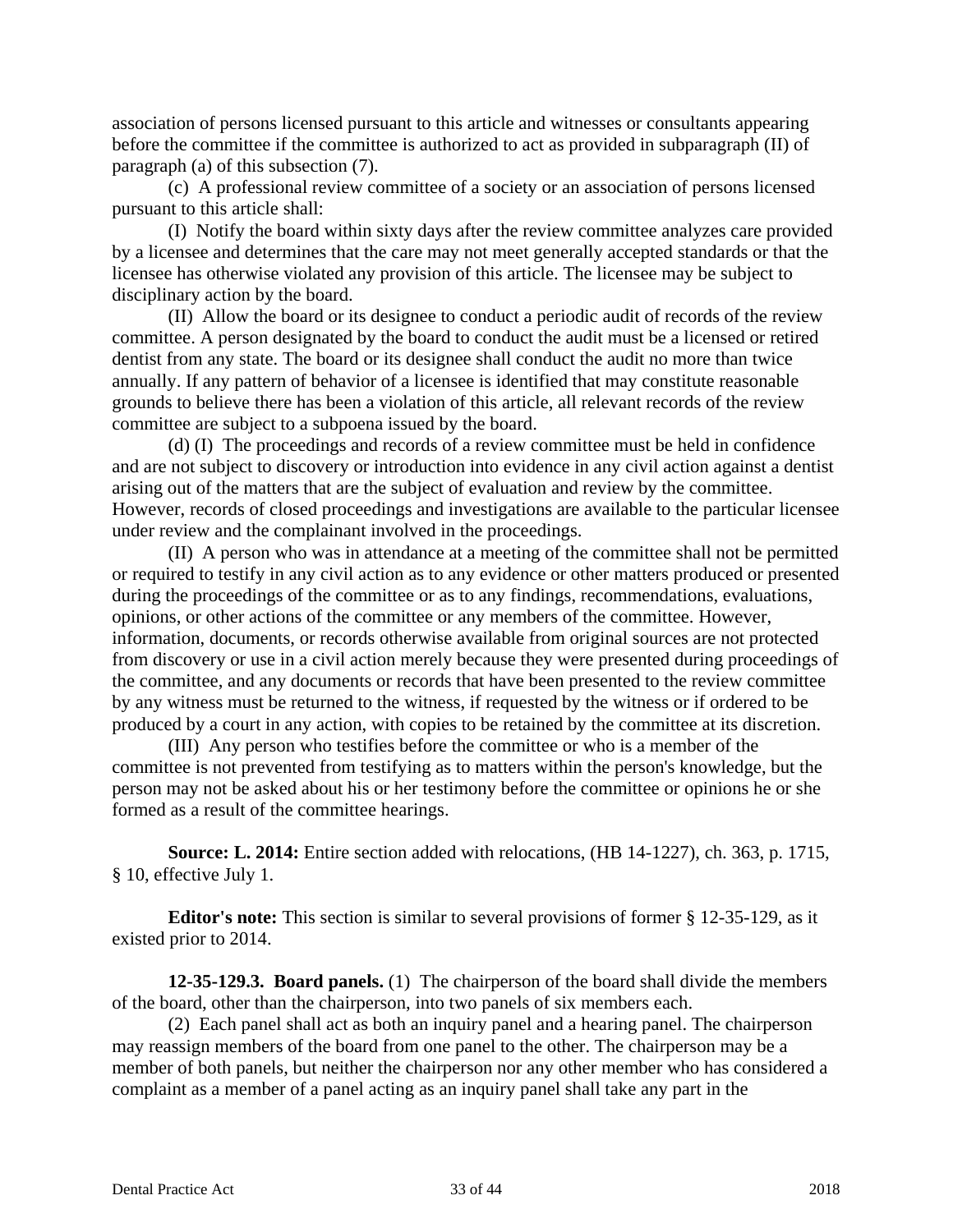association of persons licensed pursuant to this article and witnesses or consultants appearing before the committee if the committee is authorized to act as provided in subparagraph (II) of paragraph (a) of this subsection (7).

(c) A professional review committee of a society or an association of persons licensed pursuant to this article shall:

(I) Notify the board within sixty days after the review committee analyzes care provided by a licensee and determines that the care may not meet generally accepted standards or that the licensee has otherwise violated any provision of this article. The licensee may be subject to disciplinary action by the board.

(II) Allow the board or its designee to conduct a periodic audit of records of the review committee. A person designated by the board to conduct the audit must be a licensed or retired dentist from any state. The board or its designee shall conduct the audit no more than twice annually. If any pattern of behavior of a licensee is identified that may constitute reasonable grounds to believe there has been a violation of this article, all relevant records of the review committee are subject to a subpoena issued by the board.

(d) (I) The proceedings and records of a review committee must be held in confidence and are not subject to discovery or introduction into evidence in any civil action against a dentist arising out of the matters that are the subject of evaluation and review by the committee. However, records of closed proceedings and investigations are available to the particular licensee under review and the complainant involved in the proceedings.

(II) A person who was in attendance at a meeting of the committee shall not be permitted or required to testify in any civil action as to any evidence or other matters produced or presented during the proceedings of the committee or as to any findings, recommendations, evaluations, opinions, or other actions of the committee or any members of the committee. However, information, documents, or records otherwise available from original sources are not protected from discovery or use in a civil action merely because they were presented during proceedings of the committee, and any documents or records that have been presented to the review committee by any witness must be returned to the witness, if requested by the witness or if ordered to be produced by a court in any action, with copies to be retained by the committee at its discretion.

(III) Any person who testifies before the committee or who is a member of the committee is not prevented from testifying as to matters within the person's knowledge, but the person may not be asked about his or her testimony before the committee or opinions he or she formed as a result of the committee hearings.

**Source: L. 2014:** Entire section added with relocations, (HB 14-1227), ch. 363, p. 1715, § 10, effective July 1.

**Editor's note:** This section is similar to several provisions of former § 12-35-129, as it existed prior to 2014.

**12-35-129.3. Board panels.** (1) The chairperson of the board shall divide the members of the board, other than the chairperson, into two panels of six members each.

(2) Each panel shall act as both an inquiry panel and a hearing panel. The chairperson may reassign members of the board from one panel to the other. The chairperson may be a member of both panels, but neither the chairperson nor any other member who has considered a complaint as a member of a panel acting as an inquiry panel shall take any part in the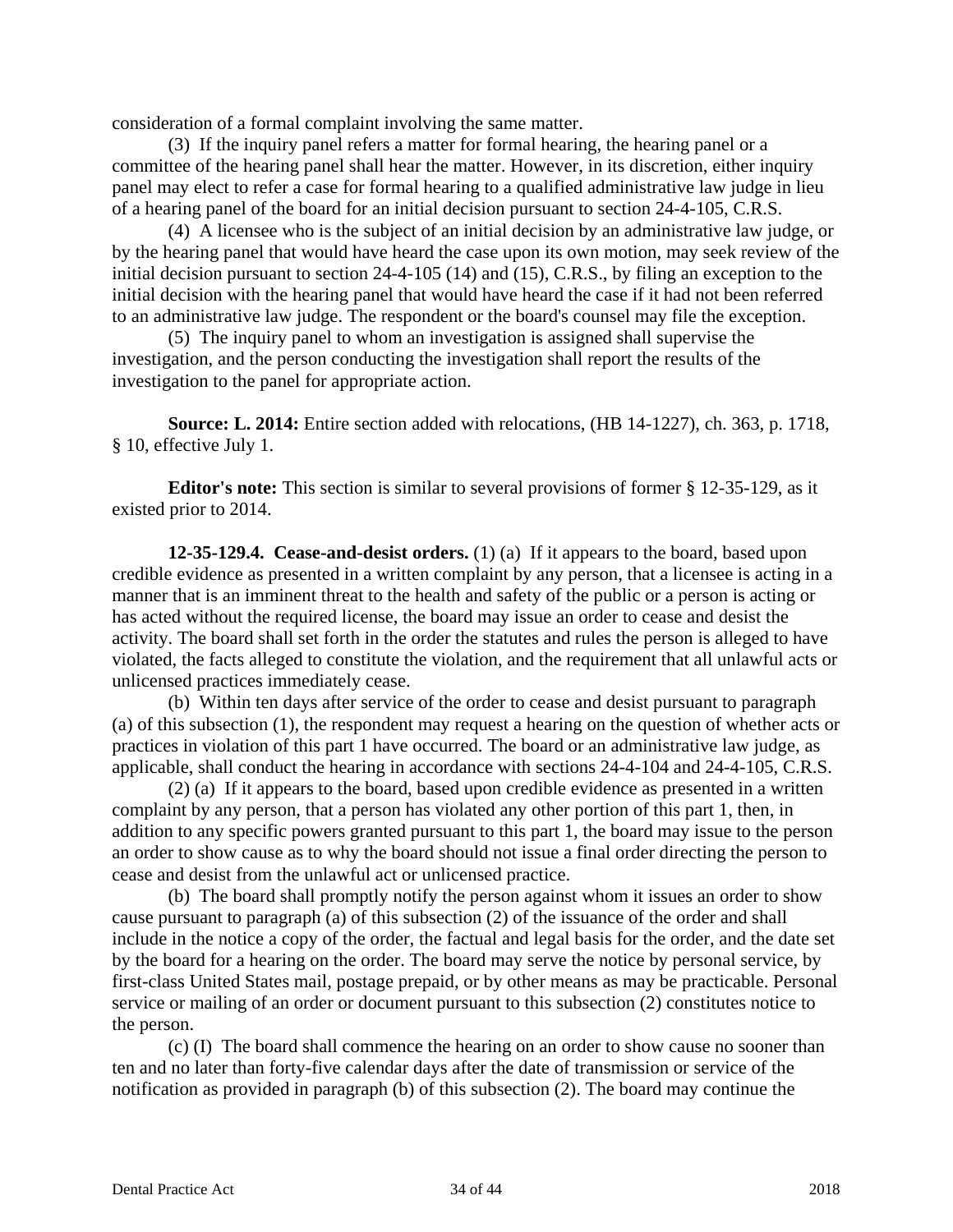consideration of a formal complaint involving the same matter.

(3) If the inquiry panel refers a matter for formal hearing, the hearing panel or a committee of the hearing panel shall hear the matter. However, in its discretion, either inquiry panel may elect to refer a case for formal hearing to a qualified administrative law judge in lieu of a hearing panel of the board for an initial decision pursuant to section 24-4-105, C.R.S.

(4) A licensee who is the subject of an initial decision by an administrative law judge, or by the hearing panel that would have heard the case upon its own motion, may seek review of the initial decision pursuant to section 24-4-105 (14) and (15), C.R.S., by filing an exception to the initial decision with the hearing panel that would have heard the case if it had not been referred to an administrative law judge. The respondent or the board's counsel may file the exception.

(5) The inquiry panel to whom an investigation is assigned shall supervise the investigation, and the person conducting the investigation shall report the results of the investigation to the panel for appropriate action.

**Source: L. 2014:** Entire section added with relocations, (HB 14-1227), ch. 363, p. 1718, § 10, effective July 1.

**Editor's note:** This section is similar to several provisions of former § 12-35-129, as it existed prior to 2014.

**12-35-129.4. Cease-and-desist orders.** (1) (a) If it appears to the board, based upon credible evidence as presented in a written complaint by any person, that a licensee is acting in a manner that is an imminent threat to the health and safety of the public or a person is acting or has acted without the required license, the board may issue an order to cease and desist the activity. The board shall set forth in the order the statutes and rules the person is alleged to have violated, the facts alleged to constitute the violation, and the requirement that all unlawful acts or unlicensed practices immediately cease.

(b) Within ten days after service of the order to cease and desist pursuant to paragraph (a) of this subsection (1), the respondent may request a hearing on the question of whether acts or practices in violation of this part 1 have occurred. The board or an administrative law judge, as applicable, shall conduct the hearing in accordance with sections 24-4-104 and 24-4-105, C.R.S.

(2) (a) If it appears to the board, based upon credible evidence as presented in a written complaint by any person, that a person has violated any other portion of this part 1, then, in addition to any specific powers granted pursuant to this part 1, the board may issue to the person an order to show cause as to why the board should not issue a final order directing the person to cease and desist from the unlawful act or unlicensed practice.

(b) The board shall promptly notify the person against whom it issues an order to show cause pursuant to paragraph (a) of this subsection (2) of the issuance of the order and shall include in the notice a copy of the order, the factual and legal basis for the order, and the date set by the board for a hearing on the order. The board may serve the notice by personal service, by first-class United States mail, postage prepaid, or by other means as may be practicable. Personal service or mailing of an order or document pursuant to this subsection (2) constitutes notice to the person.

(c) (I) The board shall commence the hearing on an order to show cause no sooner than ten and no later than forty-five calendar days after the date of transmission or service of the notification as provided in paragraph (b) of this subsection (2). The board may continue the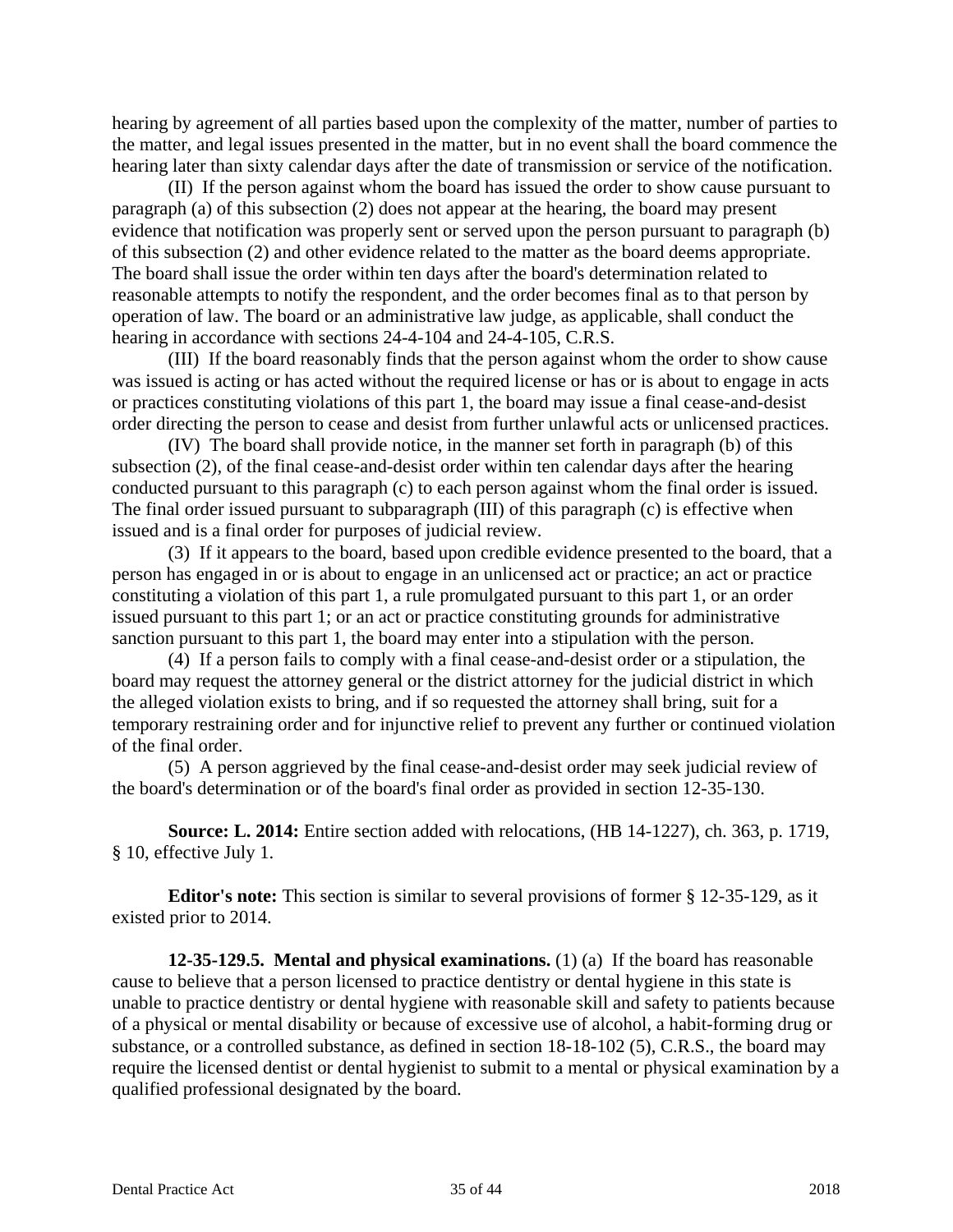hearing by agreement of all parties based upon the complexity of the matter, number of parties to the matter, and legal issues presented in the matter, but in no event shall the board commence the hearing later than sixty calendar days after the date of transmission or service of the notification.

(II) If the person against whom the board has issued the order to show cause pursuant to paragraph (a) of this subsection (2) does not appear at the hearing, the board may present evidence that notification was properly sent or served upon the person pursuant to paragraph (b) of this subsection (2) and other evidence related to the matter as the board deems appropriate. The board shall issue the order within ten days after the board's determination related to reasonable attempts to notify the respondent, and the order becomes final as to that person by operation of law. The board or an administrative law judge, as applicable, shall conduct the hearing in accordance with sections 24-4-104 and 24-4-105, C.R.S.

(III) If the board reasonably finds that the person against whom the order to show cause was issued is acting or has acted without the required license or has or is about to engage in acts or practices constituting violations of this part 1, the board may issue a final cease-and-desist order directing the person to cease and desist from further unlawful acts or unlicensed practices.

(IV) The board shall provide notice, in the manner set forth in paragraph (b) of this subsection (2), of the final cease-and-desist order within ten calendar days after the hearing conducted pursuant to this paragraph (c) to each person against whom the final order is issued. The final order issued pursuant to subparagraph (III) of this paragraph (c) is effective when issued and is a final order for purposes of judicial review.

(3) If it appears to the board, based upon credible evidence presented to the board, that a person has engaged in or is about to engage in an unlicensed act or practice; an act or practice constituting a violation of this part 1, a rule promulgated pursuant to this part 1, or an order issued pursuant to this part 1; or an act or practice constituting grounds for administrative sanction pursuant to this part 1, the board may enter into a stipulation with the person.

(4) If a person fails to comply with a final cease-and-desist order or a stipulation, the board may request the attorney general or the district attorney for the judicial district in which the alleged violation exists to bring, and if so requested the attorney shall bring, suit for a temporary restraining order and for injunctive relief to prevent any further or continued violation of the final order.

(5) A person aggrieved by the final cease-and-desist order may seek judicial review of the board's determination or of the board's final order as provided in section 12-35-130.

**Source: L. 2014:** Entire section added with relocations, (HB 14-1227), ch. 363, p. 1719, § 10, effective July 1.

**Editor's note:** This section is similar to several provisions of former § 12-35-129, as it existed prior to 2014.

**12-35-129.5. Mental and physical examinations.** (1) (a) If the board has reasonable cause to believe that a person licensed to practice dentistry or dental hygiene in this state is unable to practice dentistry or dental hygiene with reasonable skill and safety to patients because of a physical or mental disability or because of excessive use of alcohol, a habit-forming drug or substance, or a controlled substance, as defined in section 18-18-102 (5), C.R.S., the board may require the licensed dentist or dental hygienist to submit to a mental or physical examination by a qualified professional designated by the board.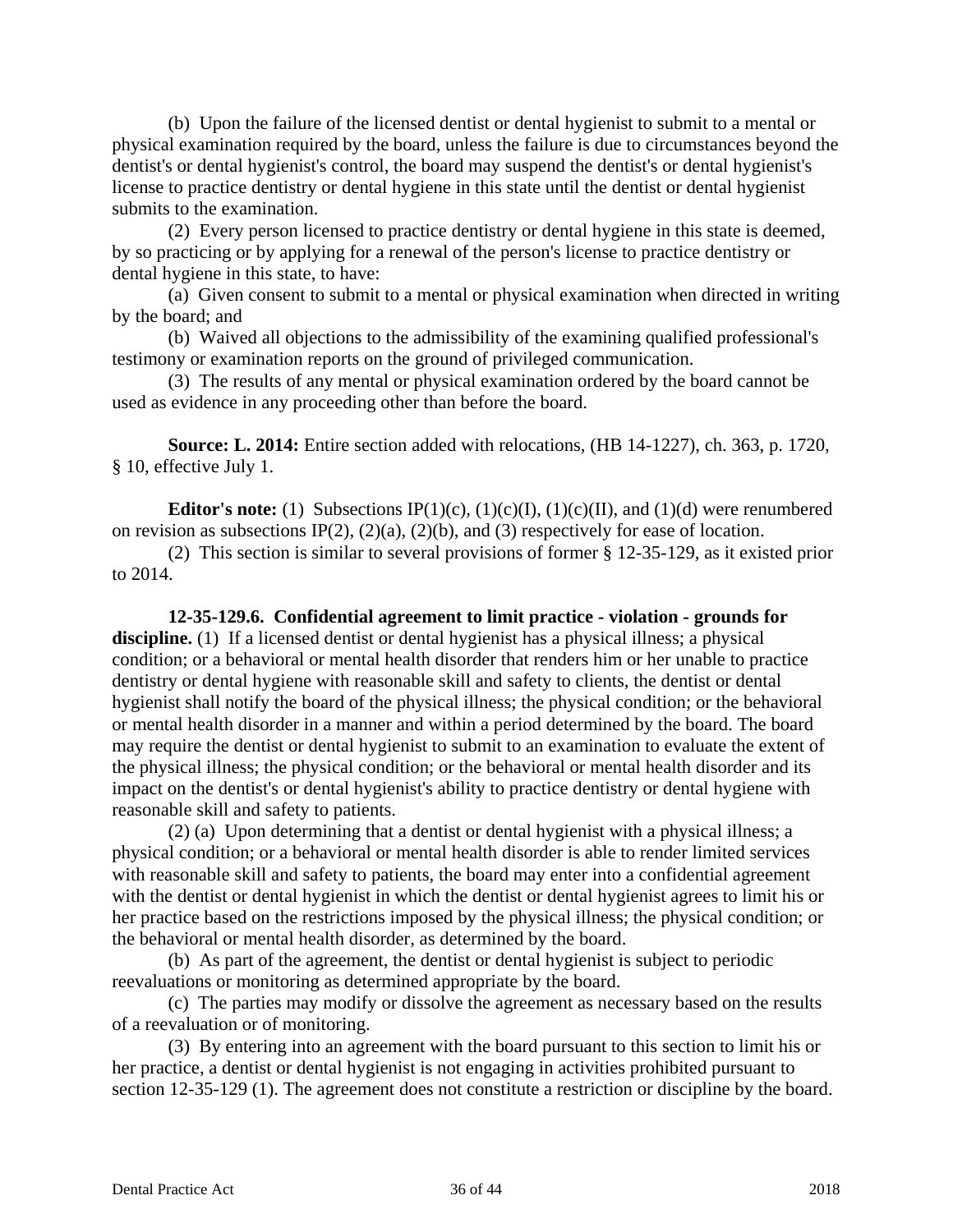(b) Upon the failure of the licensed dentist or dental hygienist to submit to a mental or physical examination required by the board, unless the failure is due to circumstances beyond the dentist's or dental hygienist's control, the board may suspend the dentist's or dental hygienist's license to practice dentistry or dental hygiene in this state until the dentist or dental hygienist submits to the examination.

(2) Every person licensed to practice dentistry or dental hygiene in this state is deemed, by so practicing or by applying for a renewal of the person's license to practice dentistry or dental hygiene in this state, to have:

(a) Given consent to submit to a mental or physical examination when directed in writing by the board; and

(b) Waived all objections to the admissibility of the examining qualified professional's testimony or examination reports on the ground of privileged communication.

(3) The results of any mental or physical examination ordered by the board cannot be used as evidence in any proceeding other than before the board.

**Source: L. 2014:** Entire section added with relocations, (HB 14-1227), ch. 363, p. 1720, § 10, effective July 1.

**Editor's note:** (1) Subsections IP(1)(c), (1)(c)(I), (1)(c)(II), and (1)(d) were renumbered on revision as subsections IP(2), (2)(a), (2)(b), and (3) respectively for ease of location.

(2) This section is similar to several provisions of former § 12-35-129, as it existed prior to 2014.

**12-35-129.6. Confidential agreement to limit practice - violation - grounds for**  discipline. (1) If a licensed dentist or dental hygienist has a physical illness; a physical condition; or a behavioral or mental health disorder that renders him or her unable to practice dentistry or dental hygiene with reasonable skill and safety to clients, the dentist or dental hygienist shall notify the board of the physical illness; the physical condition; or the behavioral or mental health disorder in a manner and within a period determined by the board. The board may require the dentist or dental hygienist to submit to an examination to evaluate the extent of the physical illness; the physical condition; or the behavioral or mental health disorder and its impact on the dentist's or dental hygienist's ability to practice dentistry or dental hygiene with reasonable skill and safety to patients.

(2) (a) Upon determining that a dentist or dental hygienist with a physical illness; a physical condition; or a behavioral or mental health disorder is able to render limited services with reasonable skill and safety to patients, the board may enter into a confidential agreement with the dentist or dental hygienist in which the dentist or dental hygienist agrees to limit his or her practice based on the restrictions imposed by the physical illness; the physical condition; or the behavioral or mental health disorder, as determined by the board.

(b) As part of the agreement, the dentist or dental hygienist is subject to periodic reevaluations or monitoring as determined appropriate by the board.

(c) The parties may modify or dissolve the agreement as necessary based on the results of a reevaluation or of monitoring.

(3) By entering into an agreement with the board pursuant to this section to limit his or her practice, a dentist or dental hygienist is not engaging in activities prohibited pursuant to section 12-35-129 (1). The agreement does not constitute a restriction or discipline by the board.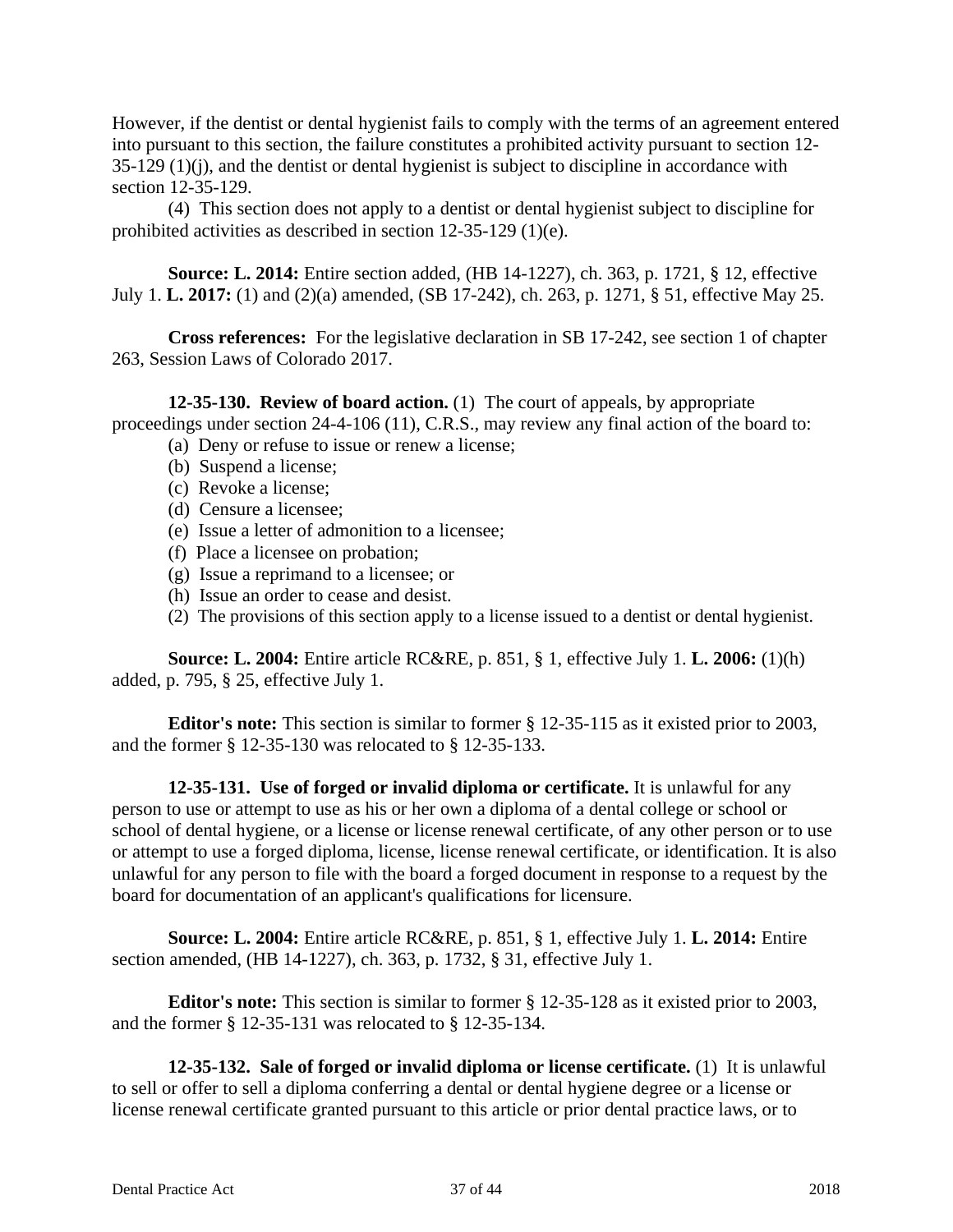However, if the dentist or dental hygienist fails to comply with the terms of an agreement entered into pursuant to this section, the failure constitutes a prohibited activity pursuant to section 12- 35-129 (1)(j), and the dentist or dental hygienist is subject to discipline in accordance with section 12-35-129.

(4) This section does not apply to a dentist or dental hygienist subject to discipline for prohibited activities as described in section 12-35-129 (1)(e).

**Source: L. 2014:** Entire section added, (HB 14-1227), ch. 363, p. 1721, § 12, effective July 1. **L. 2017:** (1) and (2)(a) amended, (SB 17-242), ch. 263, p. 1271, § 51, effective May 25.

**Cross references:** For the legislative declaration in SB 17-242, see section 1 of chapter 263, Session Laws of Colorado 2017.

**12-35-130. Review of board action.** (1) The court of appeals, by appropriate proceedings under section 24-4-106 (11), C.R.S., may review any final action of the board to:

- (a) Deny or refuse to issue or renew a license;
- (b) Suspend a license;
- (c) Revoke a license;
- (d) Censure a licensee;
- (e) Issue a letter of admonition to a licensee;
- (f) Place a licensee on probation;
- (g) Issue a reprimand to a licensee; or
- (h) Issue an order to cease and desist.
- (2) The provisions of this section apply to a license issued to a dentist or dental hygienist.

**Source: L. 2004:** Entire article RC&RE, p. 851, § 1, effective July 1. **L. 2006:** (1)(h) added, p. 795, § 25, effective July 1.

**Editor's note:** This section is similar to former § 12-35-115 as it existed prior to 2003, and the former § 12-35-130 was relocated to § 12-35-133.

**12-35-131. Use of forged or invalid diploma or certificate.** It is unlawful for any person to use or attempt to use as his or her own a diploma of a dental college or school or school of dental hygiene, or a license or license renewal certificate, of any other person or to use or attempt to use a forged diploma, license, license renewal certificate, or identification. It is also unlawful for any person to file with the board a forged document in response to a request by the board for documentation of an applicant's qualifications for licensure.

**Source: L. 2004:** Entire article RC&RE, p. 851, § 1, effective July 1. **L. 2014:** Entire section amended, (HB 14-1227), ch. 363, p. 1732, § 31, effective July 1.

**Editor's note:** This section is similar to former § 12-35-128 as it existed prior to 2003, and the former § 12-35-131 was relocated to § 12-35-134.

**12-35-132. Sale of forged or invalid diploma or license certificate.** (1) It is unlawful to sell or offer to sell a diploma conferring a dental or dental hygiene degree or a license or license renewal certificate granted pursuant to this article or prior dental practice laws, or to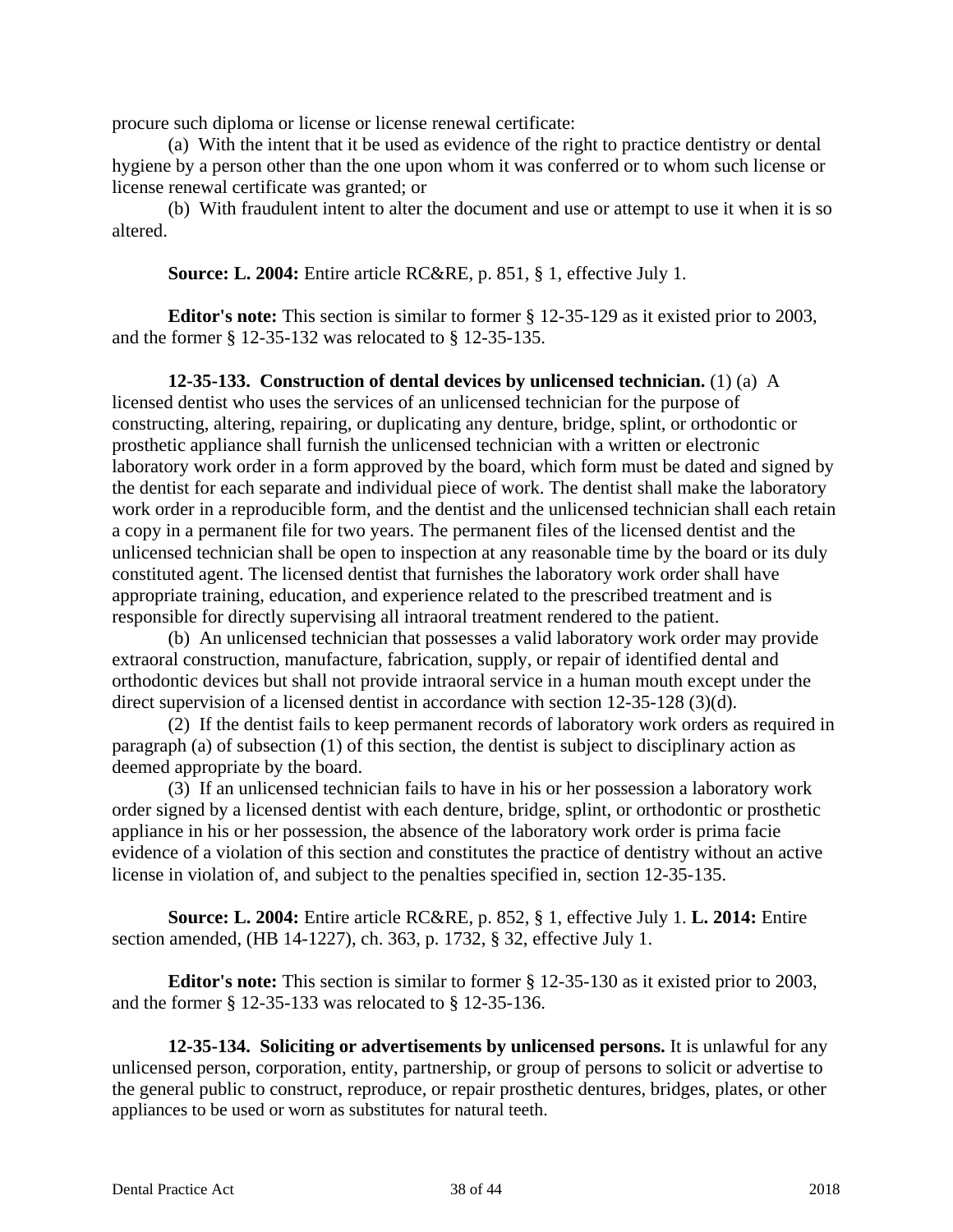procure such diploma or license or license renewal certificate:

(a) With the intent that it be used as evidence of the right to practice dentistry or dental hygiene by a person other than the one upon whom it was conferred or to whom such license or license renewal certificate was granted; or

(b) With fraudulent intent to alter the document and use or attempt to use it when it is so altered.

**Source: L. 2004:** Entire article RC&RE, p. 851, § 1, effective July 1.

**Editor's note:** This section is similar to former § 12-35-129 as it existed prior to 2003, and the former § 12-35-132 was relocated to § 12-35-135.

**12-35-133. Construction of dental devices by unlicensed technician.** (1) (a) A licensed dentist who uses the services of an unlicensed technician for the purpose of constructing, altering, repairing, or duplicating any denture, bridge, splint, or orthodontic or prosthetic appliance shall furnish the unlicensed technician with a written or electronic laboratory work order in a form approved by the board, which form must be dated and signed by the dentist for each separate and individual piece of work. The dentist shall make the laboratory work order in a reproducible form, and the dentist and the unlicensed technician shall each retain a copy in a permanent file for two years. The permanent files of the licensed dentist and the unlicensed technician shall be open to inspection at any reasonable time by the board or its duly constituted agent. The licensed dentist that furnishes the laboratory work order shall have appropriate training, education, and experience related to the prescribed treatment and is responsible for directly supervising all intraoral treatment rendered to the patient.

(b) An unlicensed technician that possesses a valid laboratory work order may provide extraoral construction, manufacture, fabrication, supply, or repair of identified dental and orthodontic devices but shall not provide intraoral service in a human mouth except under the direct supervision of a licensed dentist in accordance with section 12-35-128 (3)(d).

(2) If the dentist fails to keep permanent records of laboratory work orders as required in paragraph (a) of subsection (1) of this section, the dentist is subject to disciplinary action as deemed appropriate by the board.

(3) If an unlicensed technician fails to have in his or her possession a laboratory work order signed by a licensed dentist with each denture, bridge, splint, or orthodontic or prosthetic appliance in his or her possession, the absence of the laboratory work order is prima facie evidence of a violation of this section and constitutes the practice of dentistry without an active license in violation of, and subject to the penalties specified in, section 12-35-135.

**Source: L. 2004:** Entire article RC&RE, p. 852, § 1, effective July 1. **L. 2014:** Entire section amended, (HB 14-1227), ch. 363, p. 1732, § 32, effective July 1.

**Editor's note:** This section is similar to former § 12-35-130 as it existed prior to 2003, and the former § 12-35-133 was relocated to § 12-35-136.

**12-35-134. Soliciting or advertisements by unlicensed persons.** It is unlawful for any unlicensed person, corporation, entity, partnership, or group of persons to solicit or advertise to the general public to construct, reproduce, or repair prosthetic dentures, bridges, plates, or other appliances to be used or worn as substitutes for natural teeth.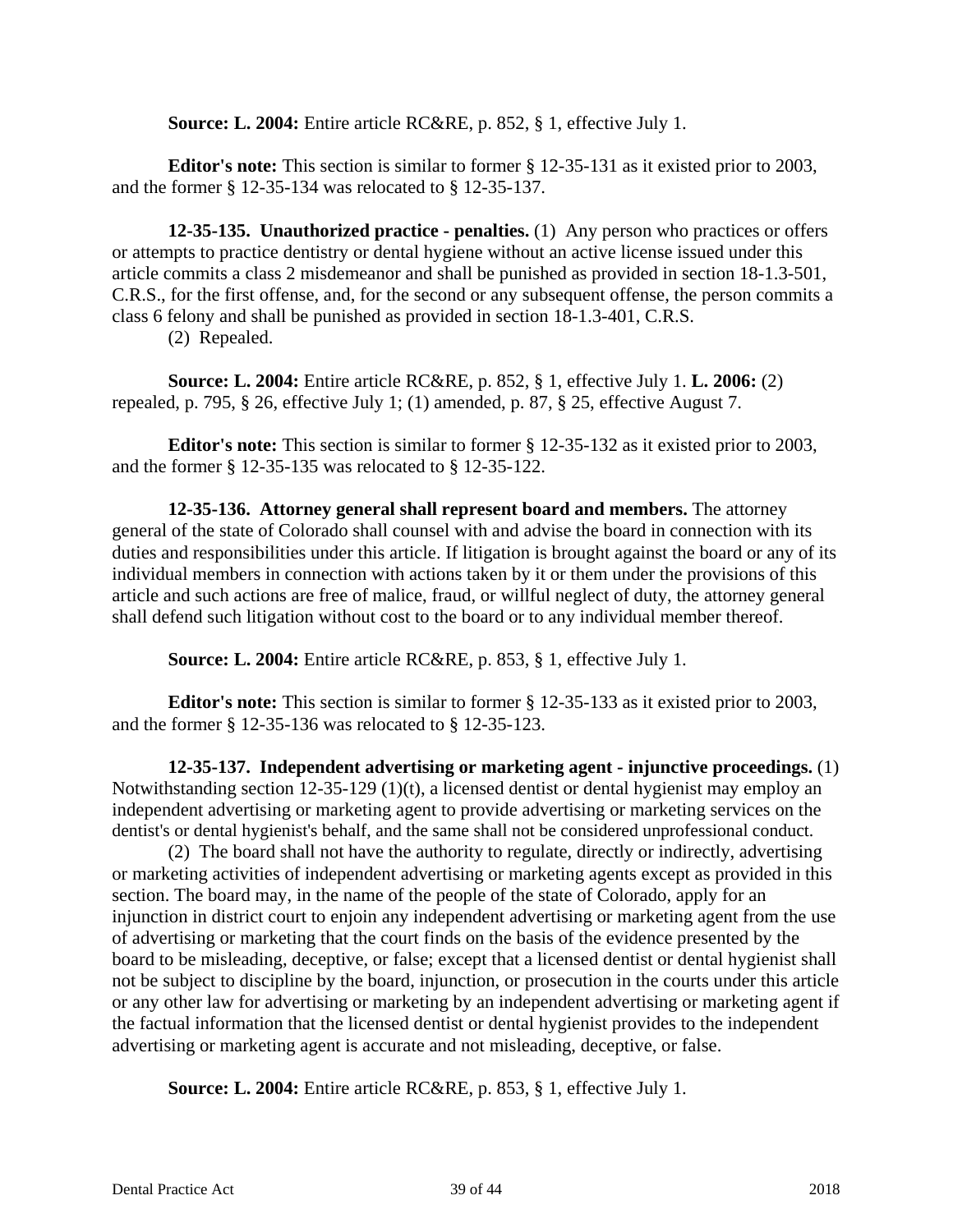**Source: L. 2004:** Entire article RC&RE, p. 852, § 1, effective July 1.

**Editor's note:** This section is similar to former § 12-35-131 as it existed prior to 2003, and the former § 12-35-134 was relocated to § 12-35-137.

**12-35-135. Unauthorized practice - penalties.** (1) Any person who practices or offers or attempts to practice dentistry or dental hygiene without an active license issued under this article commits a class 2 misdemeanor and shall be punished as provided in section 18-1.3-501, C.R.S., for the first offense, and, for the second or any subsequent offense, the person commits a class 6 felony and shall be punished as provided in section 18-1.3-401, C.R.S.

(2) Repealed.

**Source: L. 2004:** Entire article RC&RE, p. 852, § 1, effective July 1. **L. 2006:** (2) repealed, p. 795, § 26, effective July 1; (1) amended, p. 87, § 25, effective August 7.

**Editor's note:** This section is similar to former § 12-35-132 as it existed prior to 2003, and the former § 12-35-135 was relocated to § 12-35-122.

**12-35-136. Attorney general shall represent board and members.** The attorney general of the state of Colorado shall counsel with and advise the board in connection with its duties and responsibilities under this article. If litigation is brought against the board or any of its individual members in connection with actions taken by it or them under the provisions of this article and such actions are free of malice, fraud, or willful neglect of duty, the attorney general shall defend such litigation without cost to the board or to any individual member thereof.

**Source: L. 2004:** Entire article RC&RE, p. 853, § 1, effective July 1.

**Editor's note:** This section is similar to former § 12-35-133 as it existed prior to 2003, and the former § 12-35-136 was relocated to § 12-35-123.

**12-35-137. Independent advertising or marketing agent - injunctive proceedings.** (1) Notwithstanding section 12-35-129 (1)(t), a licensed dentist or dental hygienist may employ an independent advertising or marketing agent to provide advertising or marketing services on the dentist's or dental hygienist's behalf, and the same shall not be considered unprofessional conduct.

(2) The board shall not have the authority to regulate, directly or indirectly, advertising or marketing activities of independent advertising or marketing agents except as provided in this section. The board may, in the name of the people of the state of Colorado, apply for an injunction in district court to enjoin any independent advertising or marketing agent from the use of advertising or marketing that the court finds on the basis of the evidence presented by the board to be misleading, deceptive, or false; except that a licensed dentist or dental hygienist shall not be subject to discipline by the board, injunction, or prosecution in the courts under this article or any other law for advertising or marketing by an independent advertising or marketing agent if the factual information that the licensed dentist or dental hygienist provides to the independent advertising or marketing agent is accurate and not misleading, deceptive, or false.

**Source: L. 2004:** Entire article RC&RE, p. 853, § 1, effective July 1.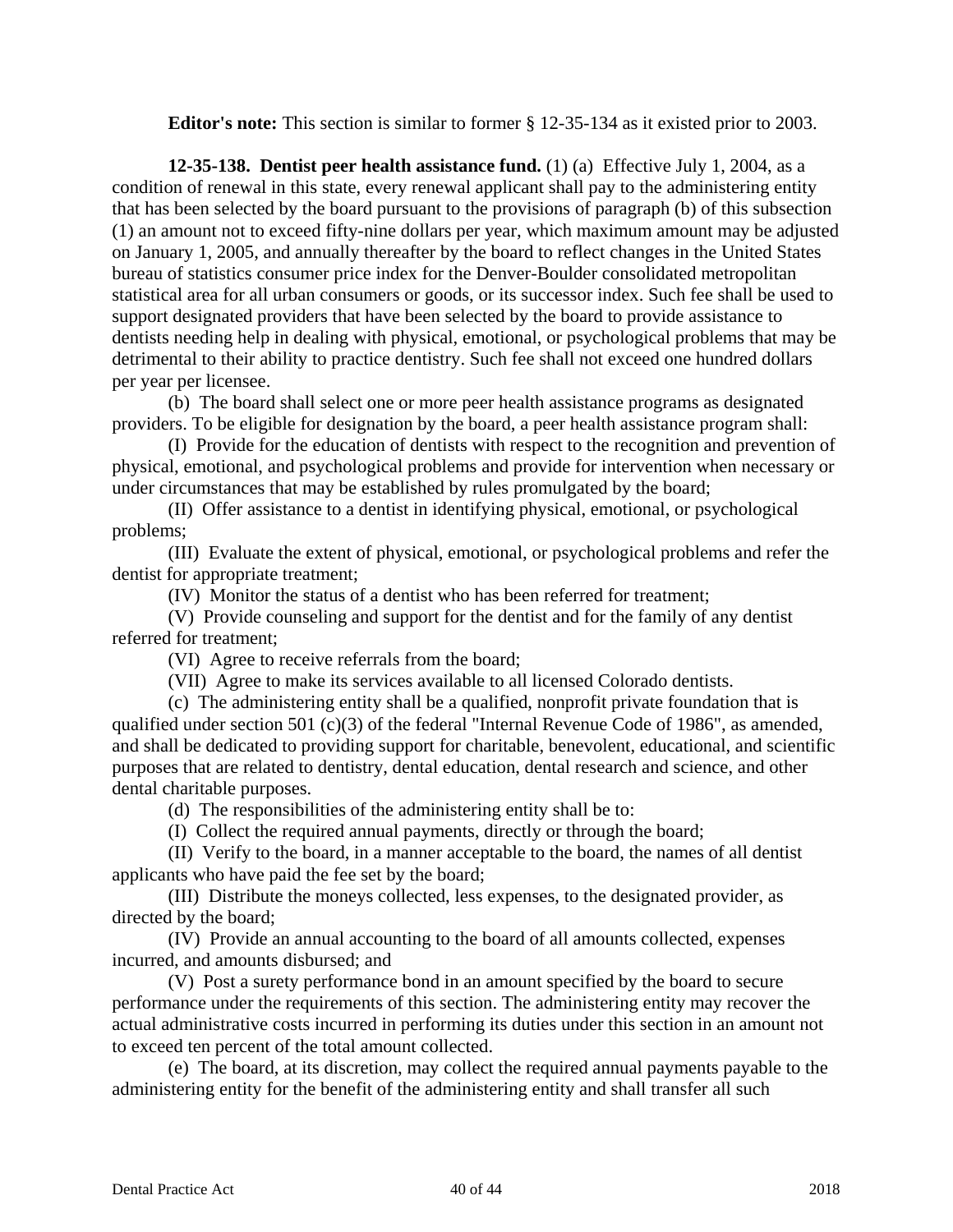**Editor's note:** This section is similar to former § 12-35-134 as it existed prior to 2003.

**12-35-138. Dentist peer health assistance fund.** (1) (a) Effective July 1, 2004, as a condition of renewal in this state, every renewal applicant shall pay to the administering entity that has been selected by the board pursuant to the provisions of paragraph (b) of this subsection (1) an amount not to exceed fifty-nine dollars per year, which maximum amount may be adjusted on January 1, 2005, and annually thereafter by the board to reflect changes in the United States bureau of statistics consumer price index for the Denver-Boulder consolidated metropolitan statistical area for all urban consumers or goods, or its successor index. Such fee shall be used to support designated providers that have been selected by the board to provide assistance to dentists needing help in dealing with physical, emotional, or psychological problems that may be detrimental to their ability to practice dentistry. Such fee shall not exceed one hundred dollars per year per licensee.

(b) The board shall select one or more peer health assistance programs as designated providers. To be eligible for designation by the board, a peer health assistance program shall:

(I) Provide for the education of dentists with respect to the recognition and prevention of physical, emotional, and psychological problems and provide for intervention when necessary or under circumstances that may be established by rules promulgated by the board;

(II) Offer assistance to a dentist in identifying physical, emotional, or psychological problems;

(III) Evaluate the extent of physical, emotional, or psychological problems and refer the dentist for appropriate treatment;

(IV) Monitor the status of a dentist who has been referred for treatment;

(V) Provide counseling and support for the dentist and for the family of any dentist referred for treatment;

(VI) Agree to receive referrals from the board;

(VII) Agree to make its services available to all licensed Colorado dentists.

(c) The administering entity shall be a qualified, nonprofit private foundation that is qualified under section 501 (c)(3) of the federal "Internal Revenue Code of 1986", as amended, and shall be dedicated to providing support for charitable, benevolent, educational, and scientific purposes that are related to dentistry, dental education, dental research and science, and other dental charitable purposes.

(d) The responsibilities of the administering entity shall be to:

(I) Collect the required annual payments, directly or through the board;

(II) Verify to the board, in a manner acceptable to the board, the names of all dentist applicants who have paid the fee set by the board;

(III) Distribute the moneys collected, less expenses, to the designated provider, as directed by the board;

(IV) Provide an annual accounting to the board of all amounts collected, expenses incurred, and amounts disbursed; and

(V) Post a surety performance bond in an amount specified by the board to secure performance under the requirements of this section. The administering entity may recover the actual administrative costs incurred in performing its duties under this section in an amount not to exceed ten percent of the total amount collected.

(e) The board, at its discretion, may collect the required annual payments payable to the administering entity for the benefit of the administering entity and shall transfer all such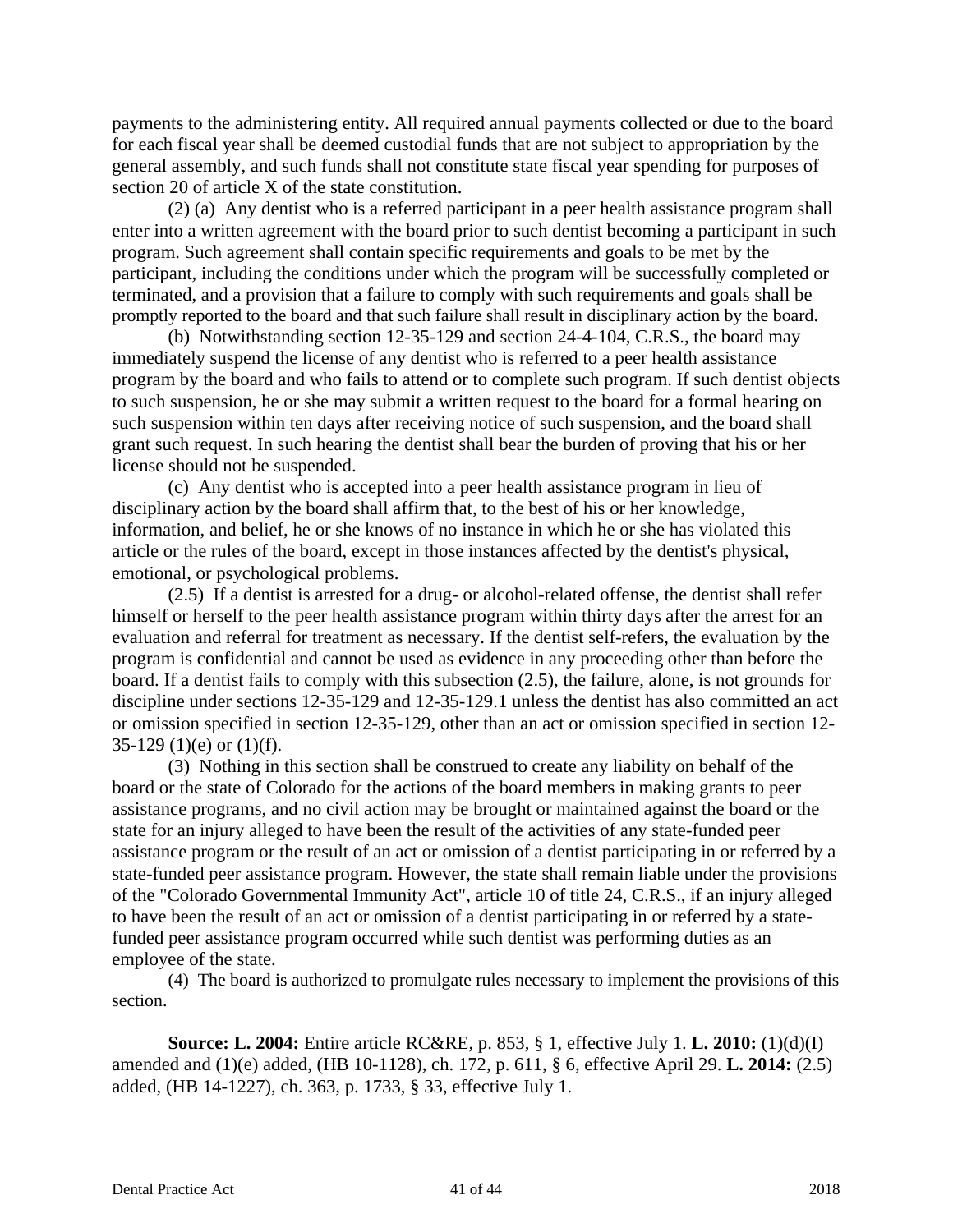payments to the administering entity. All required annual payments collected or due to the board for each fiscal year shall be deemed custodial funds that are not subject to appropriation by the general assembly, and such funds shall not constitute state fiscal year spending for purposes of section 20 of article X of the state constitution.

(2) (a) Any dentist who is a referred participant in a peer health assistance program shall enter into a written agreement with the board prior to such dentist becoming a participant in such program. Such agreement shall contain specific requirements and goals to be met by the participant, including the conditions under which the program will be successfully completed or terminated, and a provision that a failure to comply with such requirements and goals shall be promptly reported to the board and that such failure shall result in disciplinary action by the board.

(b) Notwithstanding section 12-35-129 and section 24-4-104, C.R.S., the board may immediately suspend the license of any dentist who is referred to a peer health assistance program by the board and who fails to attend or to complete such program. If such dentist objects to such suspension, he or she may submit a written request to the board for a formal hearing on such suspension within ten days after receiving notice of such suspension, and the board shall grant such request. In such hearing the dentist shall bear the burden of proving that his or her license should not be suspended.

(c) Any dentist who is accepted into a peer health assistance program in lieu of disciplinary action by the board shall affirm that, to the best of his or her knowledge, information, and belief, he or she knows of no instance in which he or she has violated this article or the rules of the board, except in those instances affected by the dentist's physical, emotional, or psychological problems.

(2.5) If a dentist is arrested for a drug- or alcohol-related offense, the dentist shall refer himself or herself to the peer health assistance program within thirty days after the arrest for an evaluation and referral for treatment as necessary. If the dentist self-refers, the evaluation by the program is confidential and cannot be used as evidence in any proceeding other than before the board. If a dentist fails to comply with this subsection (2.5), the failure, alone, is not grounds for discipline under sections 12-35-129 and 12-35-129.1 unless the dentist has also committed an act or omission specified in section 12-35-129, other than an act or omission specified in section 12- 35-129 (1)(e) or  $(1)(f)$ .

(3) Nothing in this section shall be construed to create any liability on behalf of the board or the state of Colorado for the actions of the board members in making grants to peer assistance programs, and no civil action may be brought or maintained against the board or the state for an injury alleged to have been the result of the activities of any state-funded peer assistance program or the result of an act or omission of a dentist participating in or referred by a state-funded peer assistance program. However, the state shall remain liable under the provisions of the "Colorado Governmental Immunity Act", article 10 of title 24, C.R.S., if an injury alleged to have been the result of an act or omission of a dentist participating in or referred by a statefunded peer assistance program occurred while such dentist was performing duties as an employee of the state.

(4) The board is authorized to promulgate rules necessary to implement the provisions of this section.

**Source: L. 2004:** Entire article RC&RE, p. 853, § 1, effective July 1. **L. 2010:** (1)(d)(I) amended and (1)(e) added, (HB 10-1128), ch. 172, p. 611, § 6, effective April 29. **L. 2014:** (2.5) added, (HB 14-1227), ch. 363, p. 1733, § 33, effective July 1.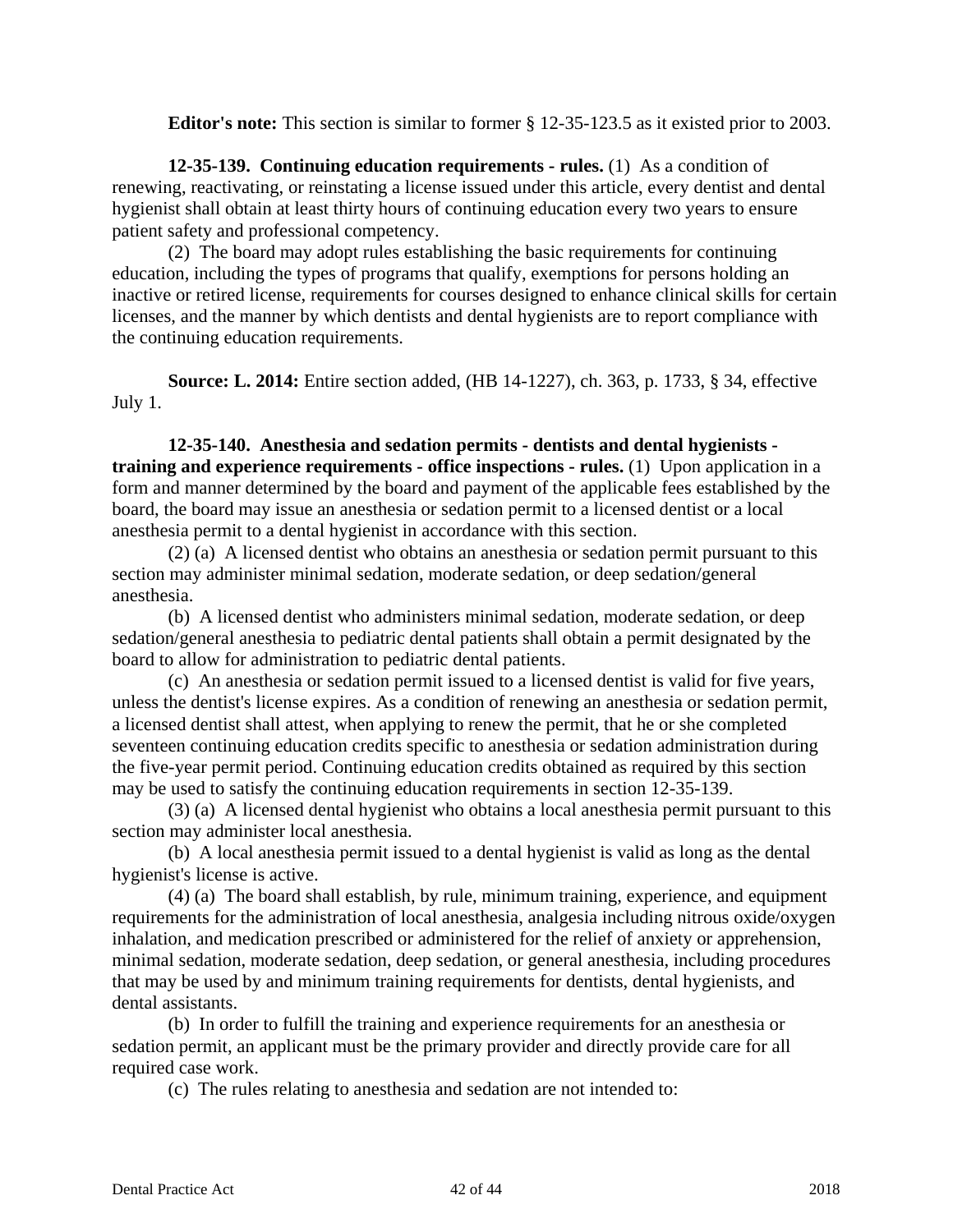**Editor's note:** This section is similar to former § 12-35-123.5 as it existed prior to 2003.

**12-35-139. Continuing education requirements - rules.** (1) As a condition of renewing, reactivating, or reinstating a license issued under this article, every dentist and dental hygienist shall obtain at least thirty hours of continuing education every two years to ensure patient safety and professional competency.

(2) The board may adopt rules establishing the basic requirements for continuing education, including the types of programs that qualify, exemptions for persons holding an inactive or retired license, requirements for courses designed to enhance clinical skills for certain licenses, and the manner by which dentists and dental hygienists are to report compliance with the continuing education requirements.

**Source: L. 2014:** Entire section added, (HB 14-1227), ch. 363, p. 1733, § 34, effective July 1.

**12-35-140. Anesthesia and sedation permits - dentists and dental hygienists training and experience requirements - office inspections - rules.** (1) Upon application in a form and manner determined by the board and payment of the applicable fees established by the board, the board may issue an anesthesia or sedation permit to a licensed dentist or a local anesthesia permit to a dental hygienist in accordance with this section.

(2) (a) A licensed dentist who obtains an anesthesia or sedation permit pursuant to this section may administer minimal sedation, moderate sedation, or deep sedation/general anesthesia.

(b) A licensed dentist who administers minimal sedation, moderate sedation, or deep sedation/general anesthesia to pediatric dental patients shall obtain a permit designated by the board to allow for administration to pediatric dental patients.

(c) An anesthesia or sedation permit issued to a licensed dentist is valid for five years, unless the dentist's license expires. As a condition of renewing an anesthesia or sedation permit, a licensed dentist shall attest, when applying to renew the permit, that he or she completed seventeen continuing education credits specific to anesthesia or sedation administration during the five-year permit period. Continuing education credits obtained as required by this section may be used to satisfy the continuing education requirements in section 12-35-139.

(3) (a) A licensed dental hygienist who obtains a local anesthesia permit pursuant to this section may administer local anesthesia.

(b) A local anesthesia permit issued to a dental hygienist is valid as long as the dental hygienist's license is active.

(4) (a) The board shall establish, by rule, minimum training, experience, and equipment requirements for the administration of local anesthesia, analgesia including nitrous oxide/oxygen inhalation, and medication prescribed or administered for the relief of anxiety or apprehension, minimal sedation, moderate sedation, deep sedation, or general anesthesia, including procedures that may be used by and minimum training requirements for dentists, dental hygienists, and dental assistants.

(b) In order to fulfill the training and experience requirements for an anesthesia or sedation permit, an applicant must be the primary provider and directly provide care for all required case work.

(c) The rules relating to anesthesia and sedation are not intended to: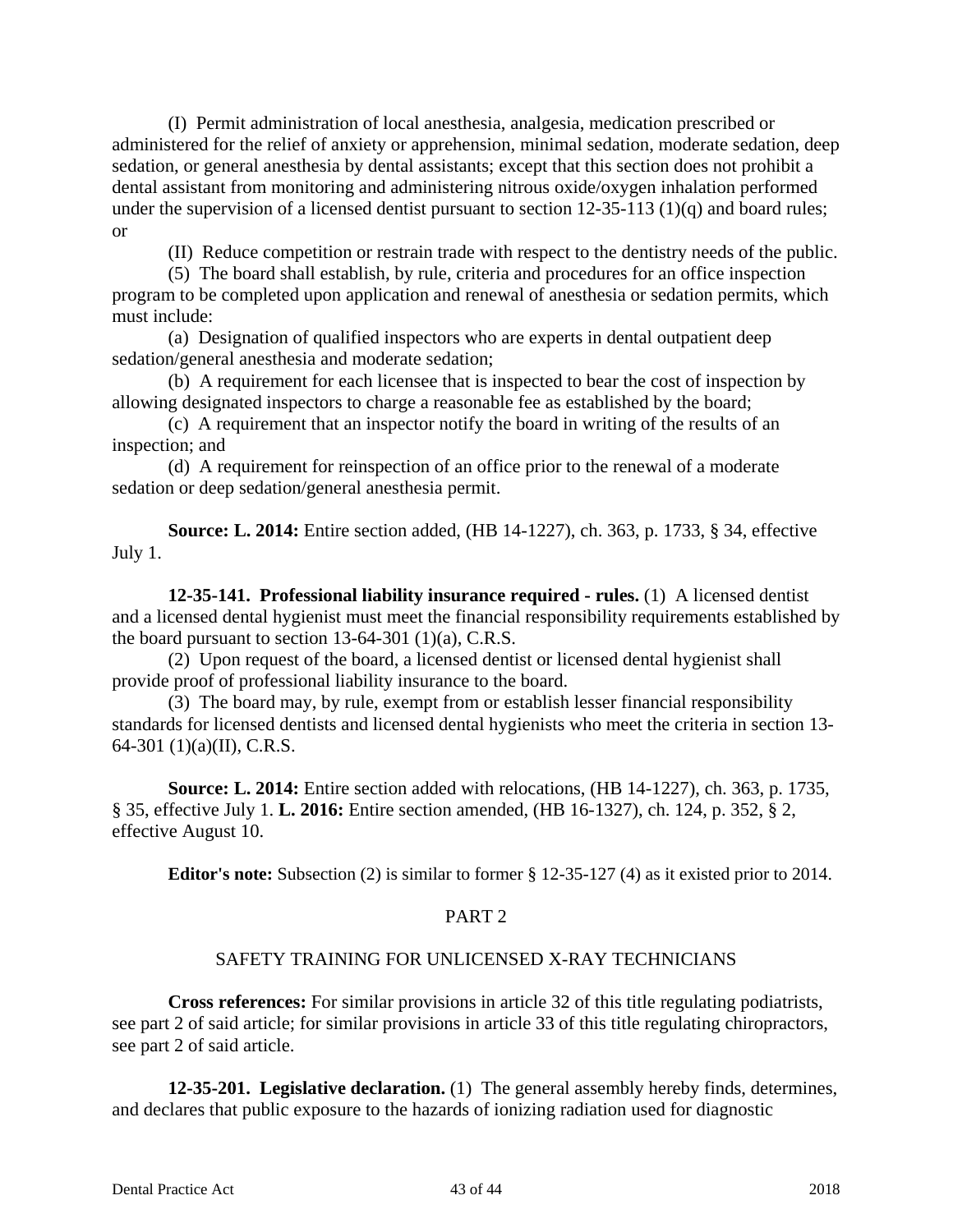(I) Permit administration of local anesthesia, analgesia, medication prescribed or administered for the relief of anxiety or apprehension, minimal sedation, moderate sedation, deep sedation, or general anesthesia by dental assistants; except that this section does not prohibit a dental assistant from monitoring and administering nitrous oxide/oxygen inhalation performed under the supervision of a licensed dentist pursuant to section 12-35-113 (1)(q) and board rules; or

(II) Reduce competition or restrain trade with respect to the dentistry needs of the public.

(5) The board shall establish, by rule, criteria and procedures for an office inspection program to be completed upon application and renewal of anesthesia or sedation permits, which must include:

(a) Designation of qualified inspectors who are experts in dental outpatient deep sedation/general anesthesia and moderate sedation;

(b) A requirement for each licensee that is inspected to bear the cost of inspection by allowing designated inspectors to charge a reasonable fee as established by the board;

(c) A requirement that an inspector notify the board in writing of the results of an inspection; and

(d) A requirement for reinspection of an office prior to the renewal of a moderate sedation or deep sedation/general anesthesia permit.

**Source: L. 2014:** Entire section added, (HB 14-1227), ch. 363, p. 1733, § 34, effective July 1.

**12-35-141. Professional liability insurance required - rules.** (1) A licensed dentist and a licensed dental hygienist must meet the financial responsibility requirements established by the board pursuant to section  $13-64-301$  (1)(a), C.R.S.

(2) Upon request of the board, a licensed dentist or licensed dental hygienist shall provide proof of professional liability insurance to the board.

(3) The board may, by rule, exempt from or establish lesser financial responsibility standards for licensed dentists and licensed dental hygienists who meet the criteria in section 13- 64-301 (1)(a)(II), C.R.S.

**Source: L. 2014:** Entire section added with relocations, (HB 14-1227), ch. 363, p. 1735, § 35, effective July 1. **L. 2016:** Entire section amended, (HB 16-1327), ch. 124, p. 352, § 2, effective August 10.

**Editor's note:** Subsection (2) is similar to former § 12-35-127 (4) as it existed prior to 2014.

#### PART 2

# SAFETY TRAINING FOR UNLICENSED X-RAY TECHNICIANS

**Cross references:** For similar provisions in article 32 of this title regulating podiatrists, see part 2 of said article; for similar provisions in article 33 of this title regulating chiropractors, see part 2 of said article.

**12-35-201. Legislative declaration.** (1) The general assembly hereby finds, determines, and declares that public exposure to the hazards of ionizing radiation used for diagnostic